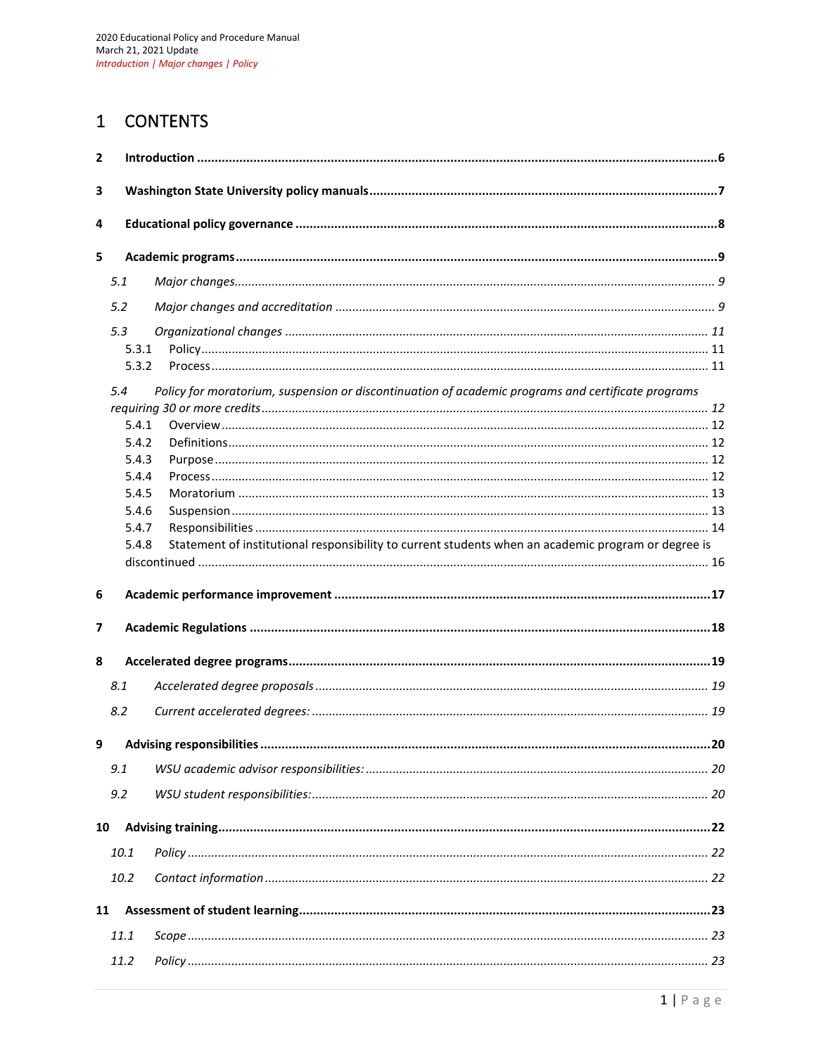#### **CONTENTS**  $\mathbf{1}$

| $\overline{2}$ |                |                                                                                                     |    |  |  |
|----------------|----------------|-----------------------------------------------------------------------------------------------------|----|--|--|
| 3              |                |                                                                                                     |    |  |  |
| 4              |                |                                                                                                     |    |  |  |
| 5              |                |                                                                                                     |    |  |  |
|                | 5.1            |                                                                                                     |    |  |  |
|                | 5.2            |                                                                                                     |    |  |  |
|                | 5.3            |                                                                                                     |    |  |  |
|                | 5.3.1          |                                                                                                     |    |  |  |
|                | 5.3.2          |                                                                                                     |    |  |  |
|                | 5.4            | Policy for moratorium, suspension or discontinuation of academic programs and certificate programs  |    |  |  |
|                |                |                                                                                                     |    |  |  |
|                | 5.4.1<br>5.4.2 |                                                                                                     |    |  |  |
|                | 5.4.3          |                                                                                                     |    |  |  |
|                | 5.4.4          |                                                                                                     |    |  |  |
|                | 5.4.5          |                                                                                                     |    |  |  |
|                | 5.4.6          |                                                                                                     |    |  |  |
|                | 5.4.7          |                                                                                                     |    |  |  |
|                | 5.4.8          | Statement of institutional responsibility to current students when an academic program or degree is |    |  |  |
|                |                |                                                                                                     |    |  |  |
| 6              |                |                                                                                                     |    |  |  |
| 7              |                |                                                                                                     |    |  |  |
| 8              |                |                                                                                                     |    |  |  |
|                |                |                                                                                                     |    |  |  |
|                | 8.1            |                                                                                                     |    |  |  |
|                | 8.2            |                                                                                                     |    |  |  |
| 9.             |                |                                                                                                     | 20 |  |  |
|                | 9.1            |                                                                                                     |    |  |  |
|                | 9.2            |                                                                                                     |    |  |  |
| 10             |                |                                                                                                     |    |  |  |
|                | 10.1           |                                                                                                     |    |  |  |
|                | 10.2           |                                                                                                     |    |  |  |
| 11             |                |                                                                                                     |    |  |  |
|                | 11.1           |                                                                                                     |    |  |  |
|                | 11.2           |                                                                                                     |    |  |  |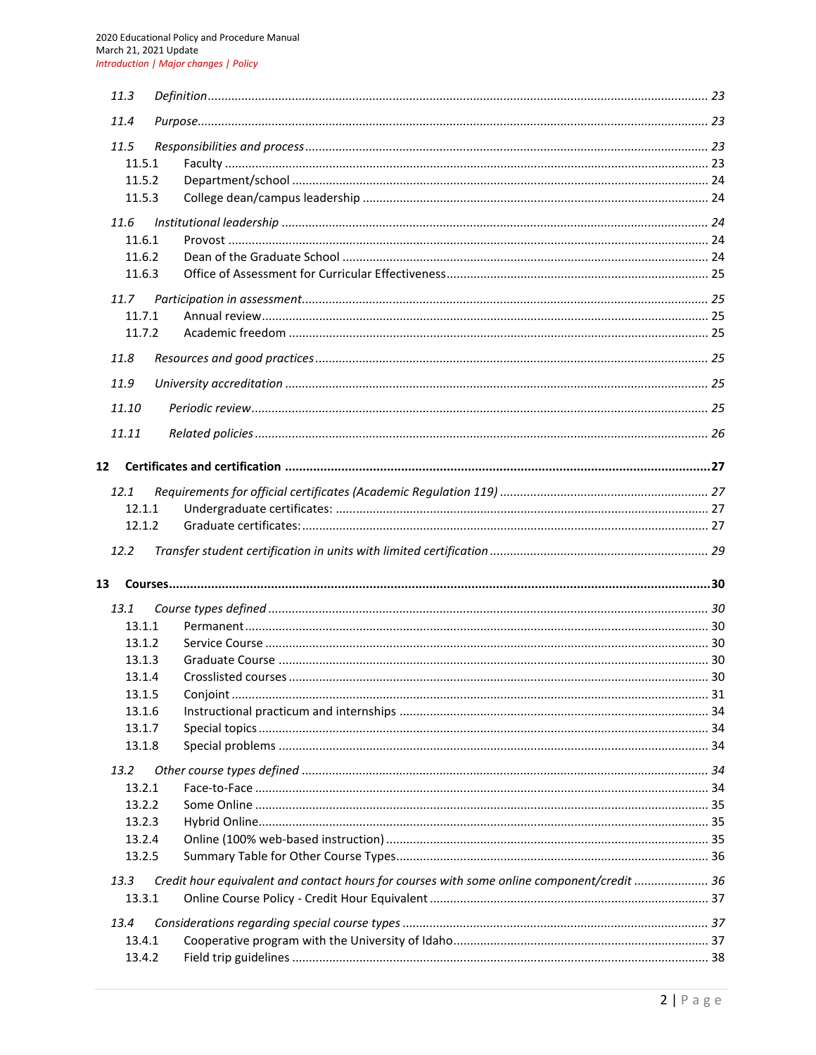| 11.3             |                                                                                            |  |
|------------------|--------------------------------------------------------------------------------------------|--|
| 11.4             |                                                                                            |  |
| 11.5             |                                                                                            |  |
| 11.5.1           |                                                                                            |  |
| 11.5.2           |                                                                                            |  |
| 11.5.3           |                                                                                            |  |
| 11.6             |                                                                                            |  |
| 11.6.1           |                                                                                            |  |
| 11.6.2           |                                                                                            |  |
| 11.6.3           |                                                                                            |  |
|                  |                                                                                            |  |
| 11.7             |                                                                                            |  |
| 11.7.1           |                                                                                            |  |
| 11.7.2           |                                                                                            |  |
| 11.8             |                                                                                            |  |
| 11.9             |                                                                                            |  |
| 11.10            |                                                                                            |  |
| 11.11            |                                                                                            |  |
|                  |                                                                                            |  |
| 12 <sup>2</sup>  |                                                                                            |  |
| 12.1             |                                                                                            |  |
| 12.1.1           |                                                                                            |  |
| 12.1.2           |                                                                                            |  |
| 12.2             |                                                                                            |  |
| 13               |                                                                                            |  |
|                  |                                                                                            |  |
| 13.1<br>13.1.1   |                                                                                            |  |
|                  |                                                                                            |  |
| 13.1.2<br>13.1.3 |                                                                                            |  |
| 13.1.4           |                                                                                            |  |
| 13.1.5           |                                                                                            |  |
| 13.1.6           |                                                                                            |  |
| 13.1.7           |                                                                                            |  |
| 13.1.8           |                                                                                            |  |
|                  |                                                                                            |  |
| 13.2             |                                                                                            |  |
| 13.2.1           |                                                                                            |  |
| 13.2.2           |                                                                                            |  |
| 13.2.3           |                                                                                            |  |
| 13.2.4           |                                                                                            |  |
| 13.2.5           |                                                                                            |  |
| 13.3             | Credit hour equivalent and contact hours for courses with some online component/credit  36 |  |
| 13.3.1           |                                                                                            |  |
| 13.4             |                                                                                            |  |
| 13.4.1           |                                                                                            |  |
| 13.4.2           |                                                                                            |  |
|                  |                                                                                            |  |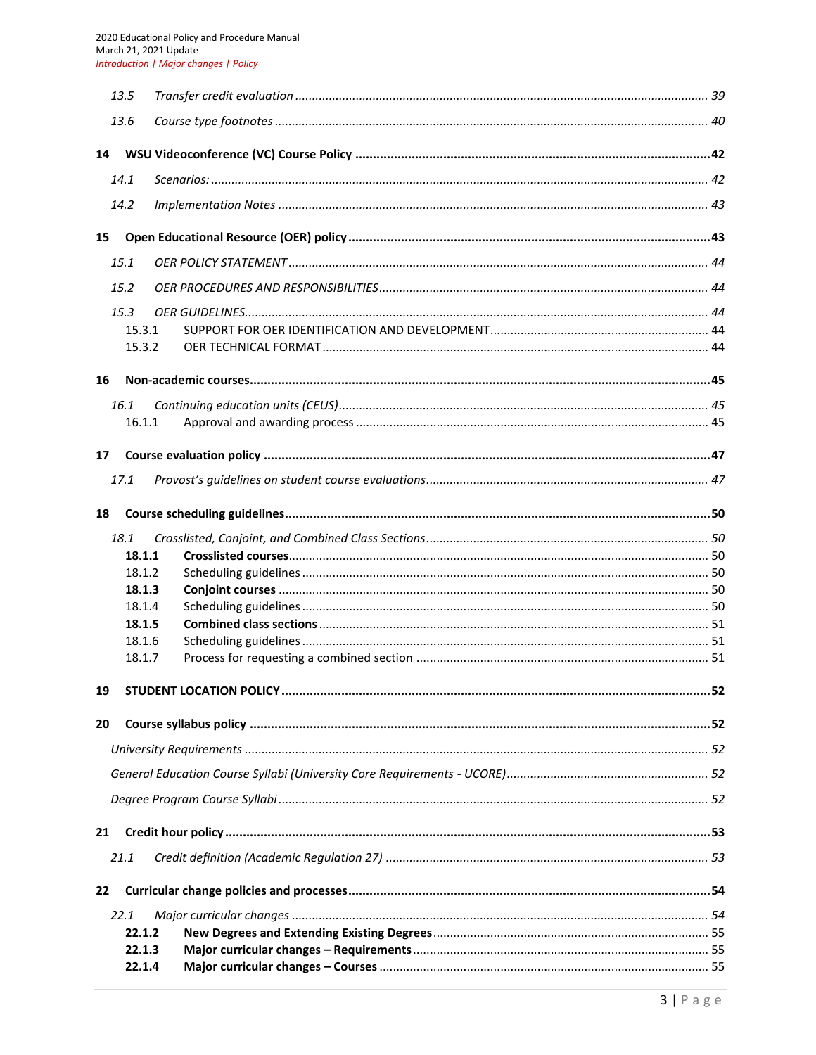|    | 13.5             |  |
|----|------------------|--|
|    | 13.6             |  |
| 14 |                  |  |
|    | 14.1             |  |
|    | 14.2             |  |
|    |                  |  |
| 15 |                  |  |
|    | 15.1             |  |
|    | 15.2             |  |
|    | 15.3             |  |
|    | 15.3.1           |  |
|    | 15.3.2           |  |
| 16 |                  |  |
|    | 16.1             |  |
|    | 16.1.1           |  |
|    |                  |  |
| 17 |                  |  |
|    | 17.1             |  |
| 18 |                  |  |
|    | 18.1             |  |
|    | 18.1.1           |  |
|    | 18.1.2           |  |
|    | 18.1.3<br>18.1.4 |  |
|    | 18.1.5           |  |
|    | 18.1.6           |  |
|    | 18.1.7           |  |
| 19 |                  |  |
|    |                  |  |
| 20 |                  |  |
|    |                  |  |
|    |                  |  |
|    |                  |  |
| 21 |                  |  |
|    | 21.1             |  |
|    |                  |  |
| 22 |                  |  |
|    | 22.1             |  |
|    | 22.1.2           |  |
|    | 22.1.3           |  |
|    | 22.1.4           |  |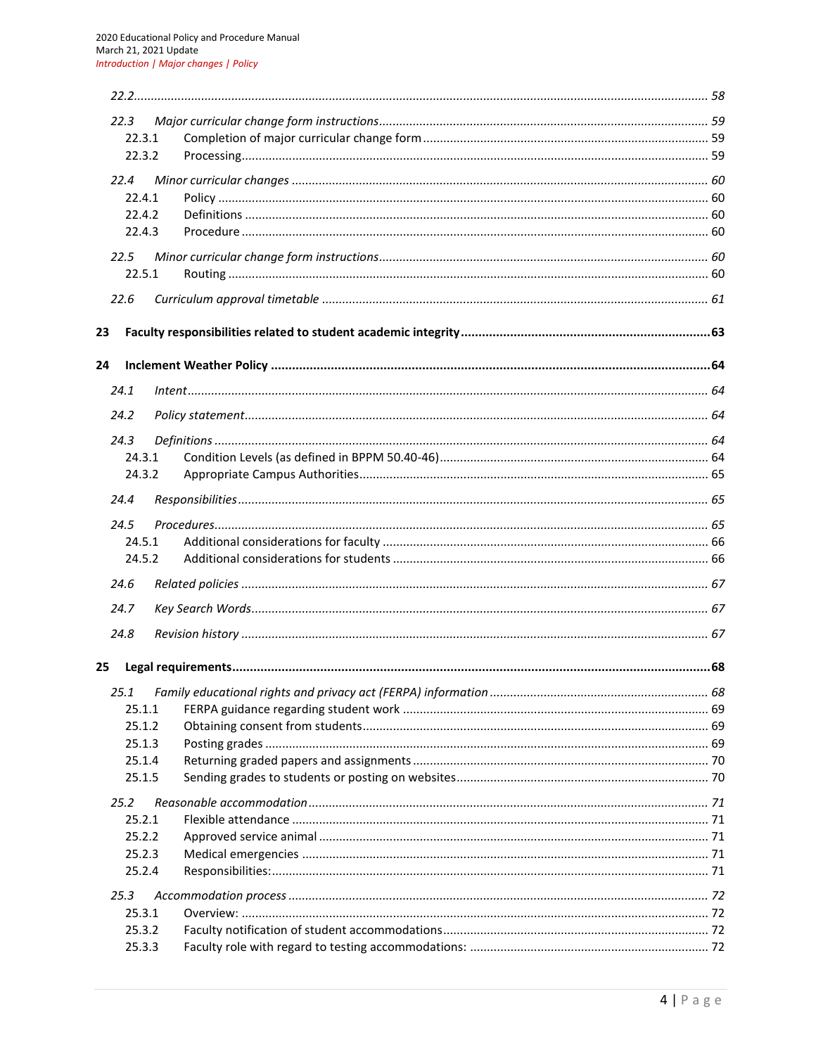|    | 22.3             |  |  |
|----|------------------|--|--|
|    | 22.3.1           |  |  |
|    | 22.3.2           |  |  |
|    | 22.4             |  |  |
|    | 22.4.1           |  |  |
|    | 22.4.2           |  |  |
|    | 22.4.3           |  |  |
|    | 22.5             |  |  |
|    | 22.5.1           |  |  |
|    | 22.6             |  |  |
| 23 |                  |  |  |
| 24 |                  |  |  |
|    | 24.1             |  |  |
|    | 24.2             |  |  |
|    | 24.3             |  |  |
|    | 24.3.1           |  |  |
|    | 24.3.2           |  |  |
|    | 24.4             |  |  |
|    |                  |  |  |
|    | 24.5<br>24.5.1   |  |  |
|    | 24.5.2           |  |  |
|    |                  |  |  |
|    | 24.6             |  |  |
|    | 24.7             |  |  |
|    | 24.8             |  |  |
| 25 |                  |  |  |
|    | 25.1             |  |  |
|    | 25.1.1           |  |  |
|    | 25.1.2           |  |  |
|    | 25.1.3           |  |  |
|    | 25.1.4           |  |  |
|    | 25.1.5           |  |  |
|    | 25.2             |  |  |
|    | 25.2.1           |  |  |
|    | 25.2.2           |  |  |
|    | 25.2.3<br>25.2.4 |  |  |
|    |                  |  |  |
|    | 25.3             |  |  |
|    | 25.3.1           |  |  |
|    | 25.3.2           |  |  |
|    | 25.3.3           |  |  |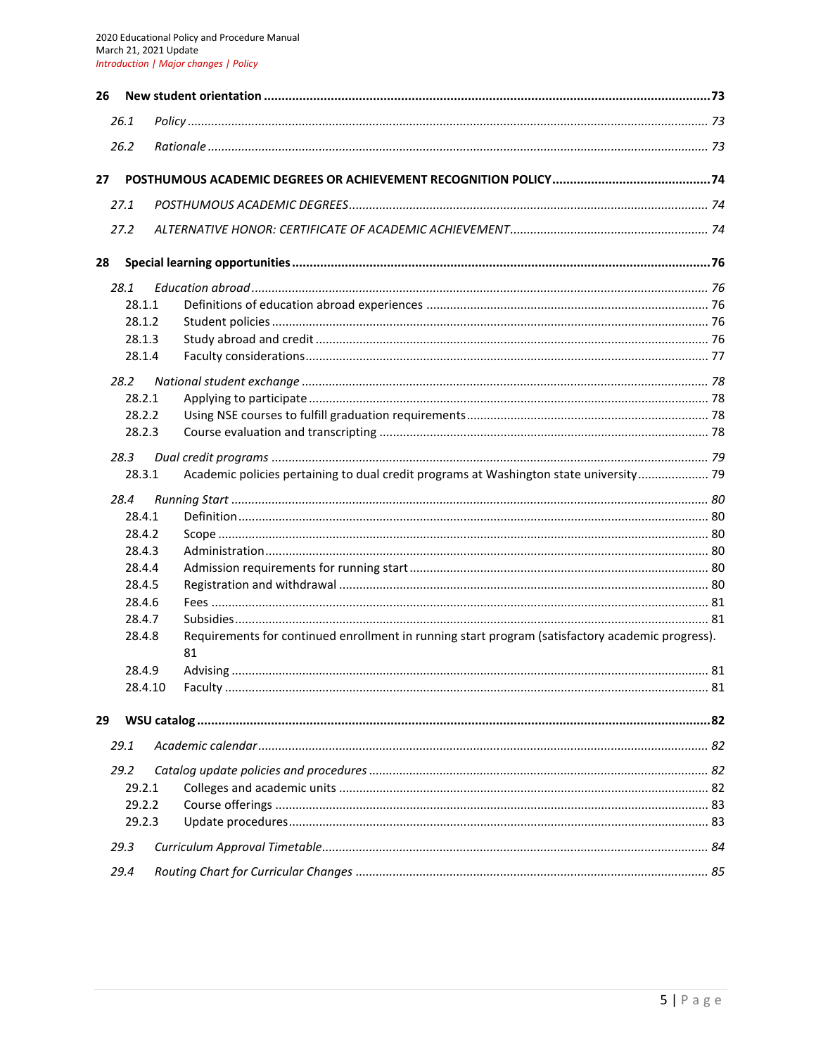| 26 |         |                                                                                                        |  |  |  |  |
|----|---------|--------------------------------------------------------------------------------------------------------|--|--|--|--|
|    | 26.1    |                                                                                                        |  |  |  |  |
|    | 26.2    |                                                                                                        |  |  |  |  |
| 27 |         |                                                                                                        |  |  |  |  |
|    | 27.1    |                                                                                                        |  |  |  |  |
|    | 27.2    |                                                                                                        |  |  |  |  |
| 28 |         |                                                                                                        |  |  |  |  |
|    | 28.1    |                                                                                                        |  |  |  |  |
|    | 28.1.1  |                                                                                                        |  |  |  |  |
|    | 28.1.2  |                                                                                                        |  |  |  |  |
|    | 28.1.3  |                                                                                                        |  |  |  |  |
|    | 28.1.4  |                                                                                                        |  |  |  |  |
|    | 28.2    |                                                                                                        |  |  |  |  |
|    | 28.2.1  |                                                                                                        |  |  |  |  |
|    | 28.2.2  |                                                                                                        |  |  |  |  |
|    | 28.2.3  |                                                                                                        |  |  |  |  |
|    |         |                                                                                                        |  |  |  |  |
|    | 28.3    |                                                                                                        |  |  |  |  |
|    | 28.3.1  | Academic policies pertaining to dual credit programs at Washington state university 79                 |  |  |  |  |
|    | 28.4    |                                                                                                        |  |  |  |  |
|    | 28.4.1  |                                                                                                        |  |  |  |  |
|    | 28.4.2  |                                                                                                        |  |  |  |  |
|    | 28.4.3  |                                                                                                        |  |  |  |  |
|    | 28.4.4  |                                                                                                        |  |  |  |  |
|    | 28.4.5  |                                                                                                        |  |  |  |  |
|    | 28.4.6  |                                                                                                        |  |  |  |  |
|    | 28.4.7  |                                                                                                        |  |  |  |  |
|    | 28.4.8  | Requirements for continued enrollment in running start program (satisfactory academic progress).<br>81 |  |  |  |  |
|    | 28.4.9  |                                                                                                        |  |  |  |  |
|    | 28.4.10 |                                                                                                        |  |  |  |  |
| 29 |         |                                                                                                        |  |  |  |  |
|    | 29.1    |                                                                                                        |  |  |  |  |
|    | 29.2    |                                                                                                        |  |  |  |  |
|    | 29.2.1  |                                                                                                        |  |  |  |  |
|    | 29.2.2  |                                                                                                        |  |  |  |  |
|    | 29.2.3  |                                                                                                        |  |  |  |  |
|    | 29.3    |                                                                                                        |  |  |  |  |
|    | 29.4    |                                                                                                        |  |  |  |  |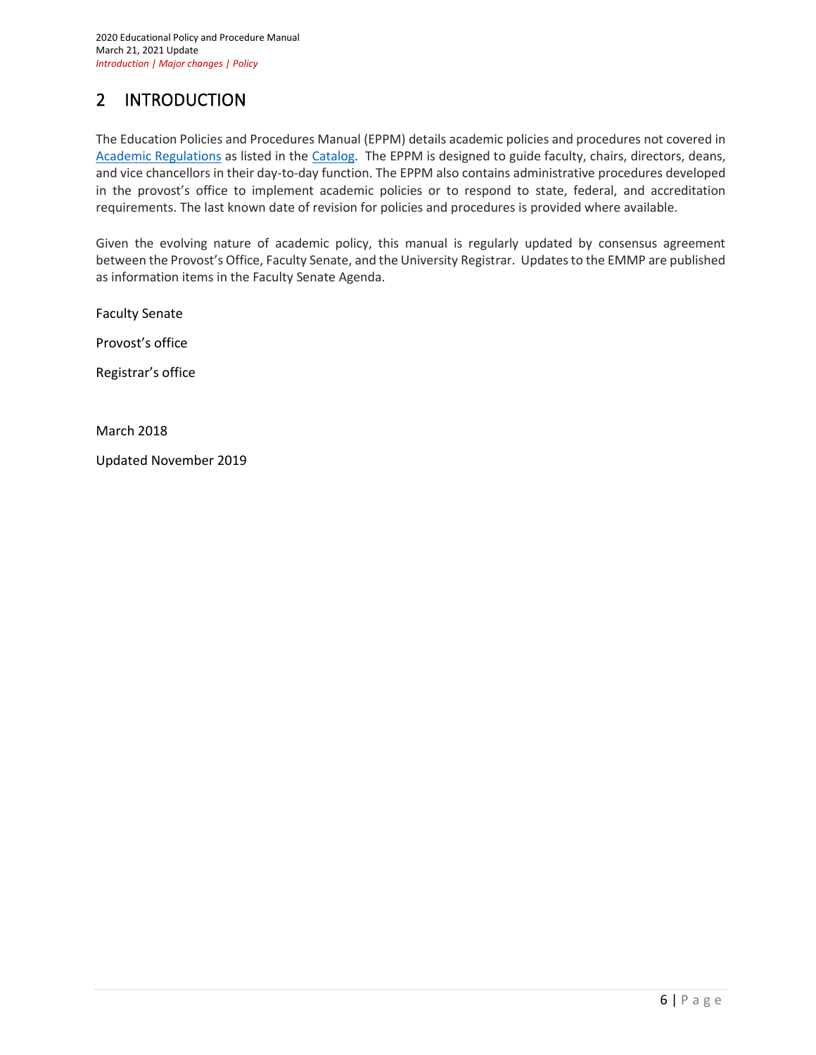# <span id="page-5-0"></span>2 INTRODUCTION

The Education Policies and Procedures Manual (EPPM) details academic policies and procedures not covered in [Academic Regulations](https://registrar.wsu.edu/academic-regulations/) as listed in the [Catalog.](https://catalog.wsu.edu/) The EPPM is designed to guide faculty, chairs, directors, deans, and vice chancellors in their day-to-day function. The EPPM also contains administrative procedures developed in the provost's office to implement academic policies or to respond to state, federal, and accreditation requirements. The last known date of revision for policies and procedures is provided where available.

Given the evolving nature of academic policy, this manual is regularly updated by consensus agreement between the Provost's Office, Faculty Senate, and the University Registrar. Updates to the EMMP are published as information items in the Faculty Senate Agenda.

Faculty Senate

Provost's office

Registrar's office

March 2018

Updated November 2019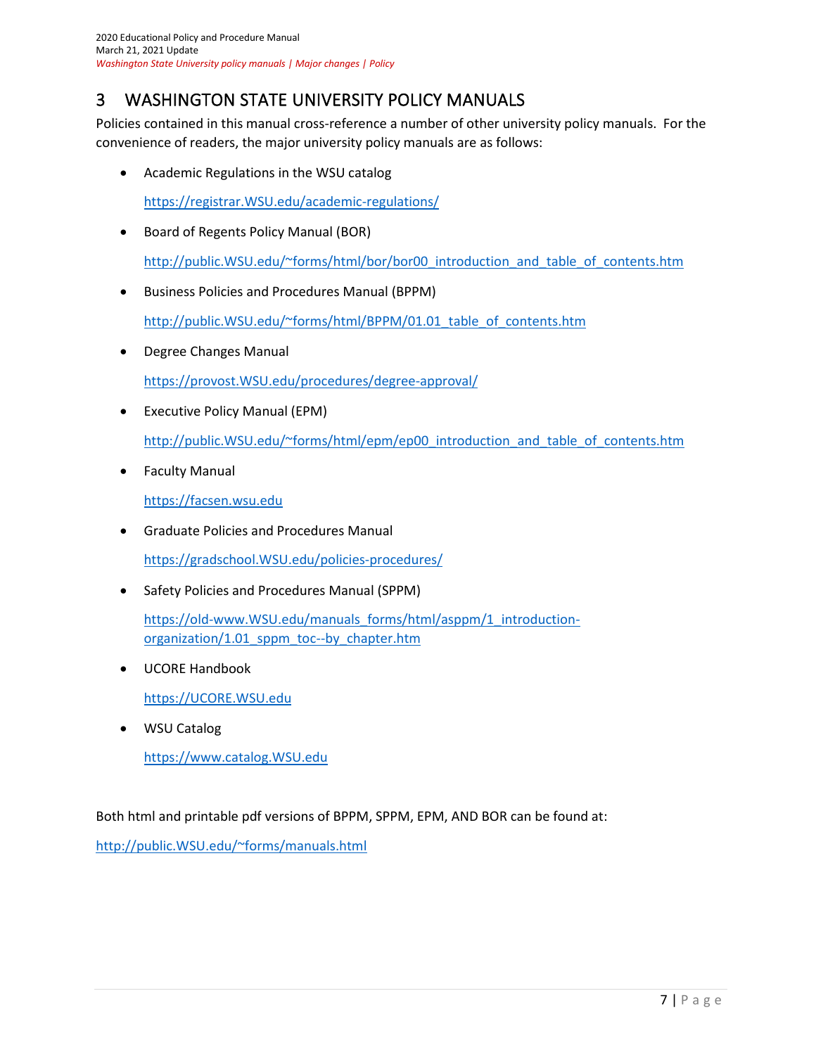# <span id="page-6-0"></span>3 WASHINGTON STATE UNIVERSITY POLICY MANUALS

Policies contained in this manual cross-reference a number of other university policy manuals. For the convenience of readers, the major university policy manuals are as follows:

• Academic Regulations in the WSU catalog

[https://registrar.WSU.edu/academic-regulations/](https://registrar.wsu.edu/academic-regulations/)

• Board of Regents Policy Manual (BOR)

[http://public.WSU.edu/~forms/html/bor/bor00\\_introduction\\_and\\_table\\_of\\_contents.htm](http://public.wsu.edu/~forms/HTML/BOR/BOR00_Introduction_and_Table_of_Contents.htm)

• Business Policies and Procedures Manual (BPPM)

[http://public.WSU.edu/~forms/html/BPPM/01.01\\_table\\_of\\_contents.htm](http://public.wsu.edu/~forms/HTML/BPPM/01.01_Table_of_Contents.htm)

• Degree Changes Manual

[https://provost.WSU.edu/procedures/degree-approval/](https://provost.wsu.edu/procedures/degree-approval/)

- Executive Policy Manual (EPM) [http://public.WSU.edu/~forms/html/epm/ep00\\_introduction\\_and\\_table\\_of\\_contents.htm](http://public.wsu.edu/~forms/HTML/EPM/EP00_Introduction_and_Table_of_Contents.htm)
- Faculty Manual

[https://facsen.wsu.edu](https://facsen.wsu.edu/)

- Graduate Policies and Procedures Manual [https://gradschool.WSU.edu/policies-procedures/](https://gradschool.wsu.edu/policies-procedures/)
- Safety Policies and Procedures Manual (SPPM)

[https://old-www.WSU.edu/manuals\\_forms/html/asppm/1\\_introduction](https://old-www.wsu.edu/manuals_forms/HTML/aSPPM/1_Introduction-Organization/1.01_SPPM_TOC--By_Chapter.htm)[organization/1.01\\_sppm\\_toc--by\\_chapter.htm](https://old-www.wsu.edu/manuals_forms/HTML/aSPPM/1_Introduction-Organization/1.01_SPPM_TOC--By_Chapter.htm)

• UCORE Handbook

[https://UCORE.WSU.edu](https://ucore.wsu.edu/)

• WSU Catalog [https://www.catalog.WSU.edu](https://www.catalog.wsu.edu/) 

Both html and printable pdf versions of BPPM, SPPM, EPM, AND BOR can be found at:

[http://public.WSU.edu/~forms/manuals.html](http://public.wsu.edu/~forms/manuals.html)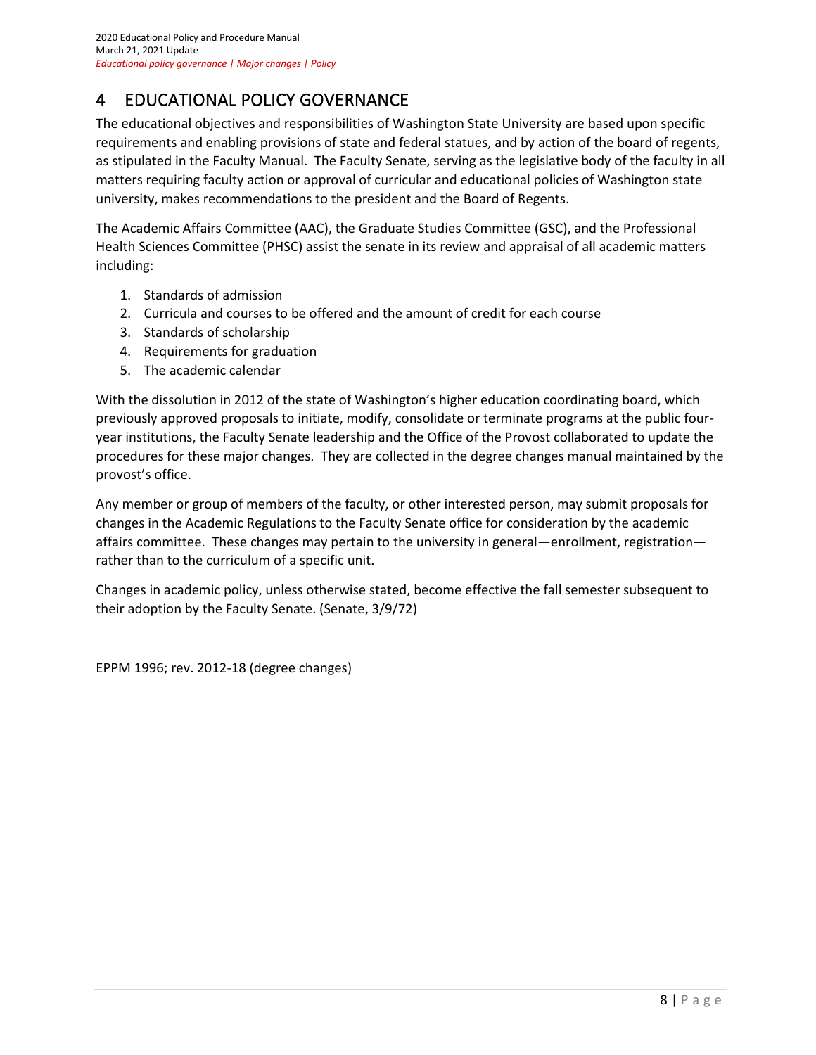# <span id="page-7-0"></span>4 EDUCATIONAL POLICY GOVERNANCE

The educational objectives and responsibilities of Washington State University are based upon specific requirements and enabling provisions of state and federal statues, and by action of the board of regents, as stipulated in the Faculty Manual. The Faculty Senate, serving as the legislative body of the faculty in all matters requiring faculty action or approval of curricular and educational policies of Washington state university, makes recommendations to the president and the Board of Regents.

The Academic Affairs Committee (AAC), the Graduate Studies Committee (GSC), and the Professional Health Sciences Committee (PHSC) assist the senate in its review and appraisal of all academic matters including:

- 1. Standards of admission
- 2. Curricula and courses to be offered and the amount of credit for each course
- 3. Standards of scholarship
- 4. Requirements for graduation
- 5. The academic calendar

With the dissolution in 2012 of the state of Washington's higher education coordinating board, which previously approved proposals to initiate, modify, consolidate or terminate programs at the public fouryear institutions, the Faculty Senate leadership and the Office of the Provost collaborated to update the procedures for these major changes. They are collected in the degree changes manual maintained by the provost's office.

Any member or group of members of the faculty, or other interested person, may submit proposals for changes in the Academic Regulations to the Faculty Senate office for consideration by the academic affairs committee. These changes may pertain to the university in general—enrollment, registration rather than to the curriculum of a specific unit.

Changes in academic policy, unless otherwise stated, become effective the fall semester subsequent to their adoption by the Faculty Senate. (Senate, 3/9/72)

EPPM 1996; rev. 2012-18 (degree changes)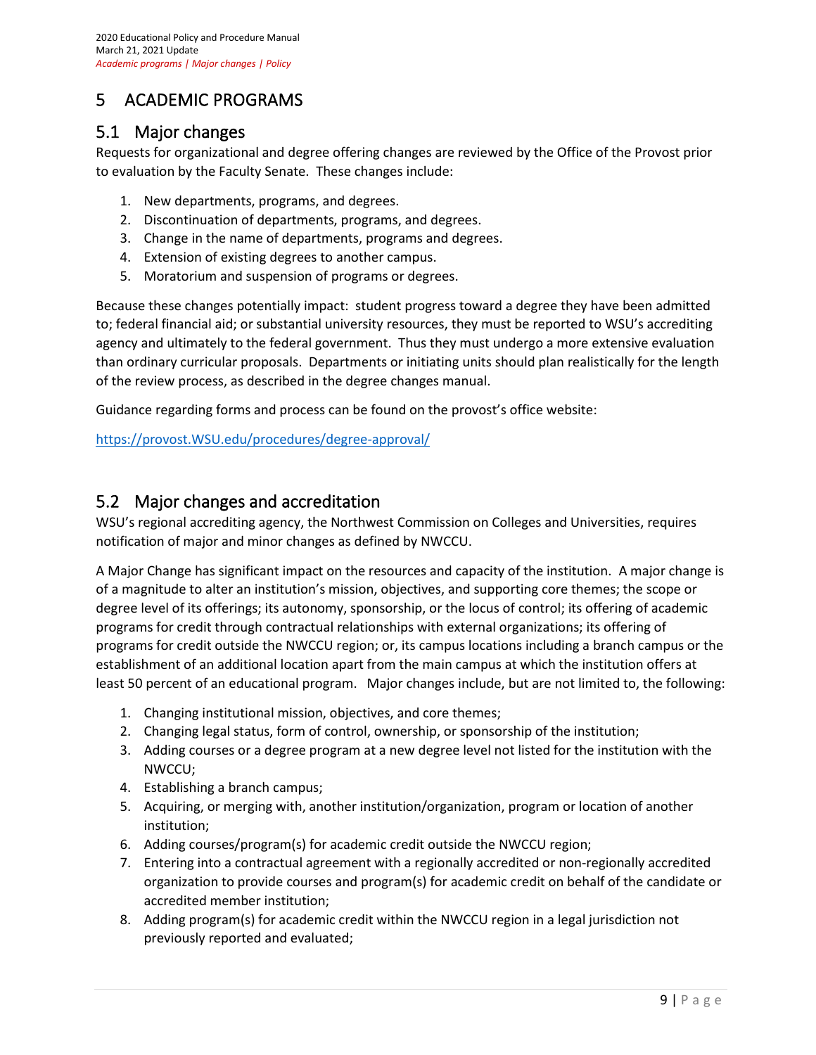# <span id="page-8-0"></span>5 ACADEMIC PROGRAMS

## <span id="page-8-1"></span>5.1 Major changes

Requests for organizational and degree offering changes are reviewed by the Office of the Provost prior to evaluation by the Faculty Senate. These changes include:

- 1. New departments, programs, and degrees.
- 2. Discontinuation of departments, programs, and degrees.
- 3. Change in the name of departments, programs and degrees.
- 4. Extension of existing degrees to another campus.
- 5. Moratorium and suspension of programs or degrees.

Because these changes potentially impact: student progress toward a degree they have been admitted to; federal financial aid; or substantial university resources, they must be reported to WSU's accrediting agency and ultimately to the federal government. Thus they must undergo a more extensive evaluation than ordinary curricular proposals. Departments or initiating units should plan realistically for the length of the review process, as described in the degree changes manual.

Guidance regarding forms and process can be found on the provost's office website:

[https://provost.WSU.edu/procedures/degree-approval/](https://provost.wsu.edu/procedures/degree-approval/)

## <span id="page-8-2"></span>5.2 Major changes and accreditation

WSU's regional accrediting agency, the Northwest Commission on Colleges and Universities, requires notification of major and minor changes as defined by NWCCU.

A Major Change has significant impact on the resources and capacity of the institution. A major change is of a magnitude to alter an institution's mission, objectives, and supporting core themes; the scope or degree level of its offerings; its autonomy, sponsorship, or the locus of control; its offering of academic programs for credit through contractual relationships with external organizations; its offering of programs for credit outside the NWCCU region; or, its campus locations including a branch campus or the establishment of an additional location apart from the main campus at which the institution offers at least 50 percent of an educational program. Major changes include, but are not limited to, the following:

- 1. Changing institutional mission, objectives, and core themes;
- 2. Changing legal status, form of control, ownership, or sponsorship of the institution;
- 3. Adding courses or a degree program at a new degree level not listed for the institution with the NWCCU;
- 4. Establishing a branch campus;
- 5. Acquiring, or merging with, another institution/organization, program or location of another institution;
- 6. Adding courses/program(s) for academic credit outside the NWCCU region;
- 7. Entering into a contractual agreement with a regionally accredited or non‐regionally accredited organization to provide courses and program(s) for academic credit on behalf of the candidate or accredited member institution;
- 8. Adding program(s) for academic credit within the NWCCU region in a legal jurisdiction not previously reported and evaluated;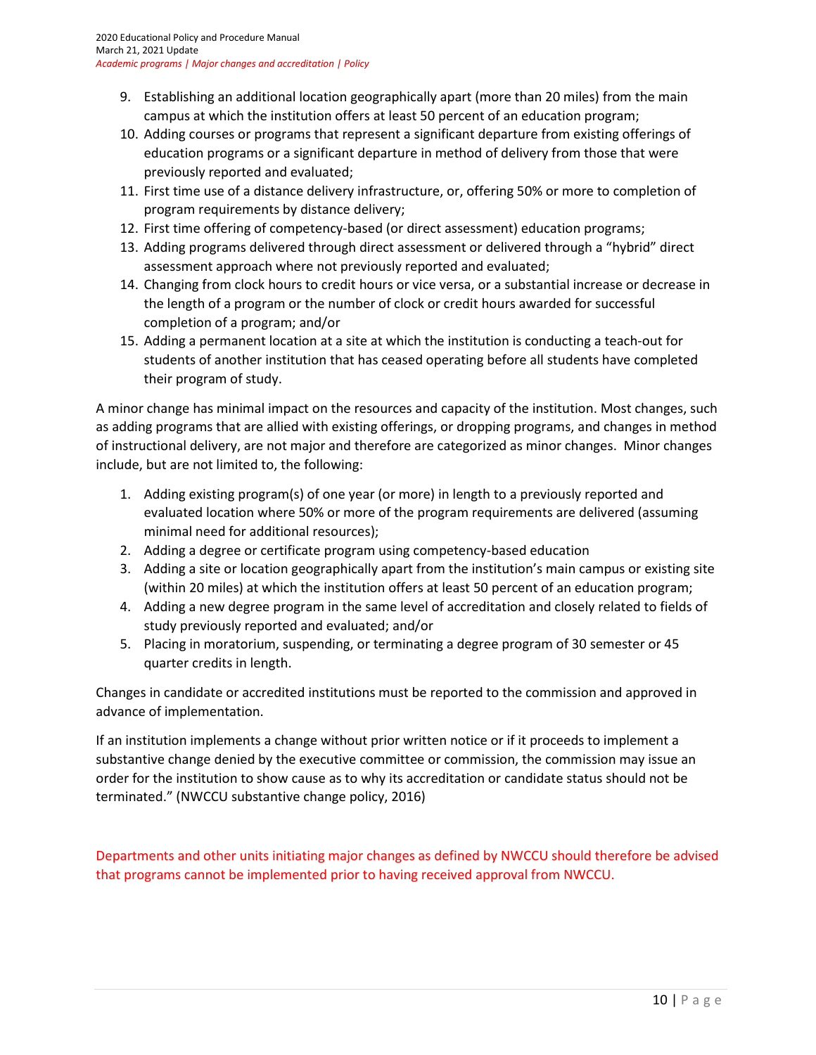- 9. Establishing an additional location geographically apart (more than 20 miles) from the main campus at which the institution offers at least 50 percent of an education program;
- 10. Adding courses or programs that represent a significant departure from existing offerings of education programs or a significant departure in method of delivery from those that were previously reported and evaluated;
- 11. First time use of a distance delivery infrastructure, or, offering 50% or more to completion of program requirements by distance delivery;
- 12. First time offering of competency-based (or direct assessment) education programs;
- 13. Adding programs delivered through direct assessment or delivered through a "hybrid" direct assessment approach where not previously reported and evaluated;
- 14. Changing from clock hours to credit hours or vice versa, or a substantial increase or decrease in the length of a program or the number of clock or credit hours awarded for successful completion of a program; and/or
- 15. Adding a permanent location at a site at which the institution is conducting a teach‐out for students of another institution that has ceased operating before all students have completed their program of study.

A minor change has minimal impact on the resources and capacity of the institution. Most changes, such as adding programs that are allied with existing offerings, or dropping programs, and changes in method of instructional delivery, are not major and therefore are categorized as minor changes. Minor changes include, but are not limited to, the following:

- 1. Adding existing program(s) of one year (or more) in length to a previously reported and evaluated location where 50% or more of the program requirements are delivered (assuming minimal need for additional resources);
- 2. Adding a degree or certificate program using competency‐based education
- 3. Adding a site or location geographically apart from the institution's main campus or existing site (within 20 miles) at which the institution offers at least 50 percent of an education program;
- 4. Adding a new degree program in the same level of accreditation and closely related to fields of study previously reported and evaluated; and/or
- 5. Placing in moratorium, suspending, or terminating a degree program of 30 semester or 45 quarter credits in length.

Changes in candidate or accredited institutions must be reported to the commission and approved in advance of implementation.

If an institution implements a change without prior written notice or if it proceeds to implement a substantive change denied by the executive committee or commission, the commission may issue an order for the institution to show cause as to why its accreditation or candidate status should not be terminated." (NWCCU substantive change policy, 2016)

Departments and other units initiating major changes as defined by NWCCU should therefore be advised that programs cannot be implemented prior to having received approval from NWCCU.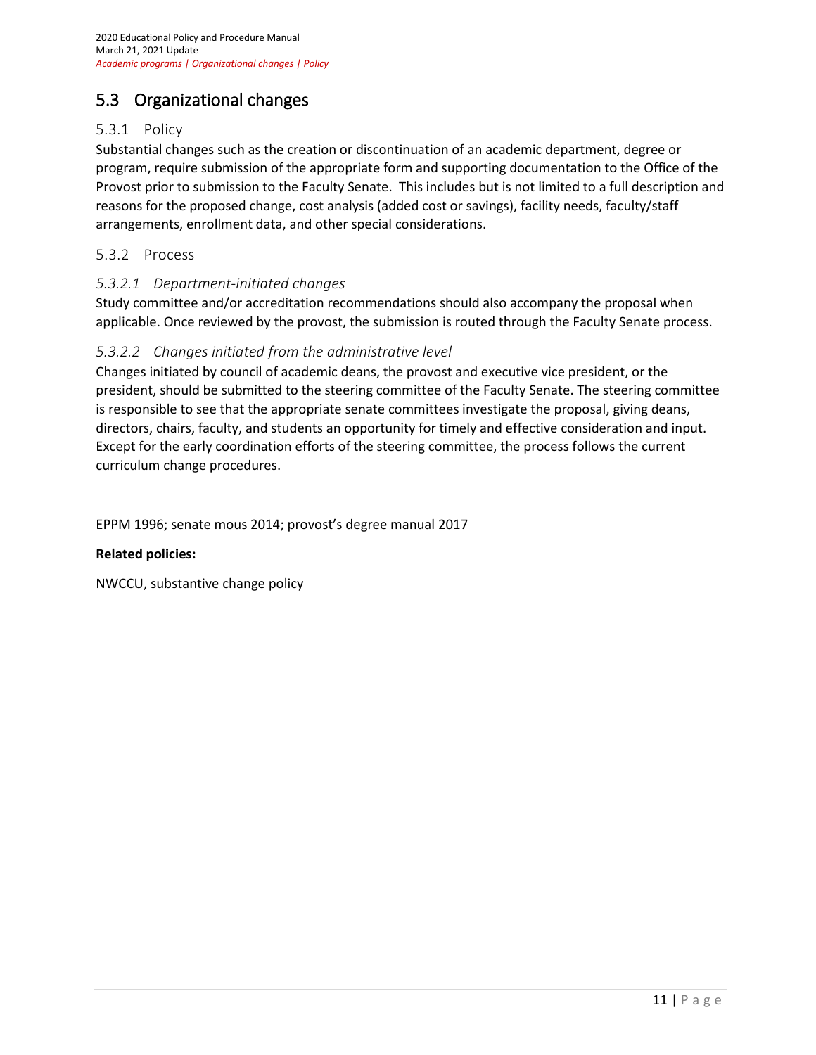# <span id="page-10-0"></span>5.3 Organizational changes

### <span id="page-10-1"></span>5.3.1 Policy

Substantial changes such as the creation or discontinuation of an academic department, degree or program, require submission of the appropriate form and supporting documentation to the Office of the Provost prior to submission to the Faculty Senate. This includes but is not limited to a full description and reasons for the proposed change, cost analysis (added cost or savings), facility needs, faculty/staff arrangements, enrollment data, and other special considerations.

### <span id="page-10-2"></span>5.3.2 Process

### *5.3.2.1 Department-initiated changes*

Study committee and/or accreditation recommendations should also accompany the proposal when applicable. Once reviewed by the provost, the submission is routed through the Faculty Senate process.

### *5.3.2.2 Changes initiated from the administrative level*

Changes initiated by council of academic deans, the provost and executive vice president, or the president, should be submitted to the steering committee of the Faculty Senate. The steering committee is responsible to see that the appropriate senate committees investigate the proposal, giving deans, directors, chairs, faculty, and students an opportunity for timely and effective consideration and input. Except for the early coordination efforts of the steering committee, the process follows the current curriculum change procedures.

EPPM 1996; senate mous 2014; provost's degree manual 2017

### **Related policies:**

NWCCU, substantive change policy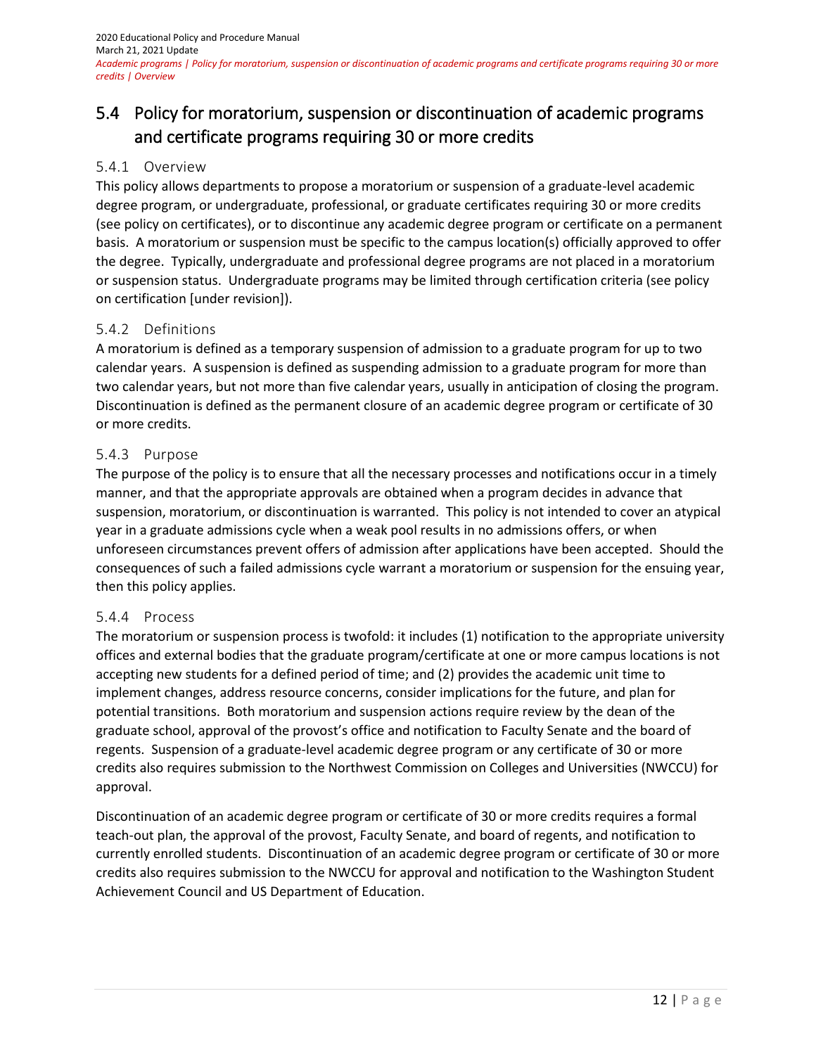# <span id="page-11-0"></span>5.4 Policy for moratorium, suspension or discontinuation of academic programs and certificate programs requiring 30 or more credits

#### <span id="page-11-1"></span>5.4.1 Overview

This policy allows departments to propose a moratorium or suspension of a graduate-level academic degree program, or undergraduate, professional, or graduate certificates requiring 30 or more credits (see policy on certificates), or to discontinue any academic degree program or certificate on a permanent basis. A moratorium or suspension must be specific to the campus location(s) officially approved to offer the degree. Typically, undergraduate and professional degree programs are not placed in a moratorium or suspension status. Undergraduate programs may be limited through certification criteria (see policy on certification [under revision]).

### <span id="page-11-2"></span>5.4.2 Definitions

A moratorium is defined as a temporary suspension of admission to a graduate program for up to two calendar years. A suspension is defined as suspending admission to a graduate program for more than two calendar years, but not more than five calendar years, usually in anticipation of closing the program. Discontinuation is defined as the permanent closure of an academic degree program or certificate of 30 or more credits.

#### <span id="page-11-3"></span>5.4.3 Purpose

The purpose of the policy is to ensure that all the necessary processes and notifications occur in a timely manner, and that the appropriate approvals are obtained when a program decides in advance that suspension, moratorium, or discontinuation is warranted. This policy is not intended to cover an atypical year in a graduate admissions cycle when a weak pool results in no admissions offers, or when unforeseen circumstances prevent offers of admission after applications have been accepted. Should the consequences of such a failed admissions cycle warrant a moratorium or suspension for the ensuing year, then this policy applies.

#### <span id="page-11-4"></span>5.4.4 Process

The moratorium or suspension process is twofold: it includes (1) notification to the appropriate university offices and external bodies that the graduate program/certificate at one or more campus locations is not accepting new students for a defined period of time; and (2) provides the academic unit time to implement changes, address resource concerns, consider implications for the future, and plan for potential transitions. Both moratorium and suspension actions require review by the dean of the graduate school, approval of the provost's office and notification to Faculty Senate and the board of regents. Suspension of a graduate-level academic degree program or any certificate of 30 or more credits also requires submission to the Northwest Commission on Colleges and Universities (NWCCU) for approval.

Discontinuation of an academic degree program or certificate of 30 or more credits requires a formal teach-out plan, the approval of the provost, Faculty Senate, and board of regents, and notification to currently enrolled students. Discontinuation of an academic degree program or certificate of 30 or more credits also requires submission to the NWCCU for approval and notification to the Washington Student Achievement Council and US Department of Education.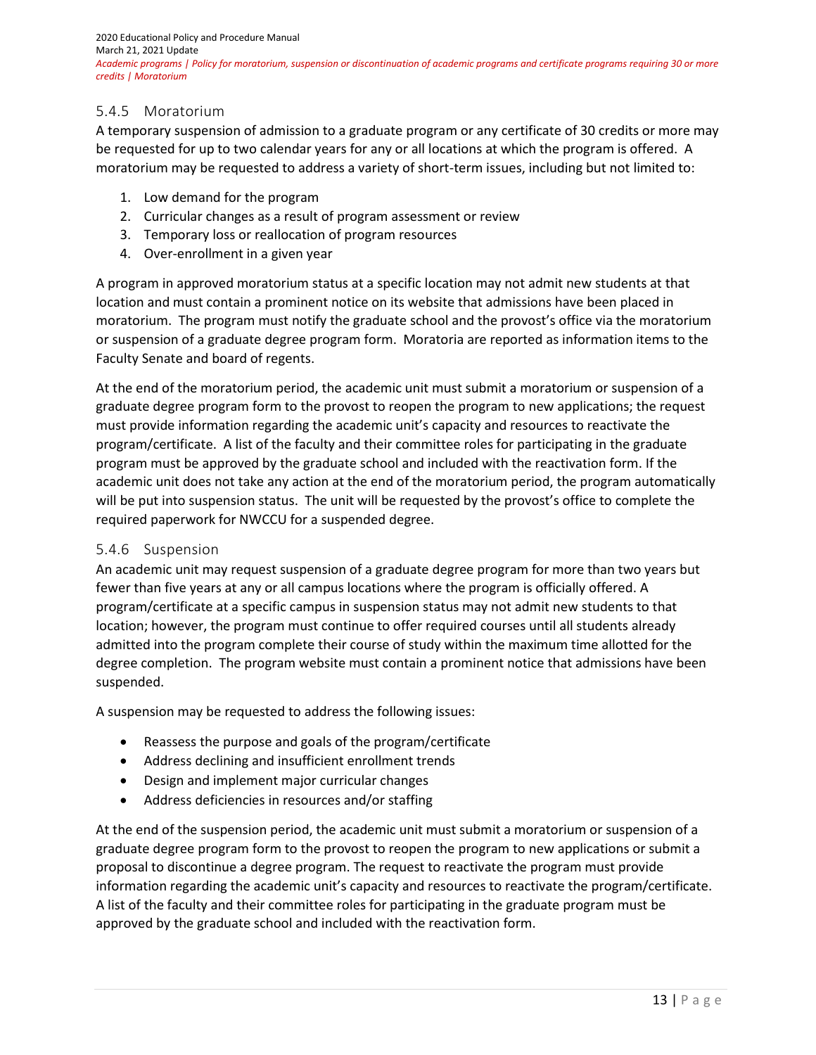2020 Educational Policy and Procedure Manual March 21, 2021 Update *Academic programs | Policy for moratorium, suspension or discontinuation of academic programs and certificate programs requiring 30 or more credits | Moratorium*

### <span id="page-12-0"></span>5.4.5 Moratorium

A temporary suspension of admission to a graduate program or any certificate of 30 credits or more may be requested for up to two calendar years for any or all locations at which the program is offered. A moratorium may be requested to address a variety of short-term issues, including but not limited to:

- 1. Low demand for the program
- 2. Curricular changes as a result of program assessment or review
- 3. Temporary loss or reallocation of program resources
- 4. Over-enrollment in a given year

A program in approved moratorium status at a specific location may not admit new students at that location and must contain a prominent notice on its website that admissions have been placed in moratorium. The program must notify the graduate school and the provost's office via the moratorium or suspension of a graduate degree program form. Moratoria are reported as information items to the Faculty Senate and board of regents.

At the end of the moratorium period, the academic unit must submit a moratorium or suspension of a graduate degree program form to the provost to reopen the program to new applications; the request must provide information regarding the academic unit's capacity and resources to reactivate the program/certificate. A list of the faculty and their committee roles for participating in the graduate program must be approved by the graduate school and included with the reactivation form. If the academic unit does not take any action at the end of the moratorium period, the program automatically will be put into suspension status. The unit will be requested by the provost's office to complete the required paperwork for NWCCU for a suspended degree.

#### <span id="page-12-1"></span>5.4.6 Suspension

An academic unit may request suspension of a graduate degree program for more than two years but fewer than five years at any or all campus locations where the program is officially offered. A program/certificate at a specific campus in suspension status may not admit new students to that location; however, the program must continue to offer required courses until all students already admitted into the program complete their course of study within the maximum time allotted for the degree completion. The program website must contain a prominent notice that admissions have been suspended.

A suspension may be requested to address the following issues:

- Reassess the purpose and goals of the program/certificate
- Address declining and insufficient enrollment trends
- Design and implement major curricular changes
- Address deficiencies in resources and/or staffing

At the end of the suspension period, the academic unit must submit a moratorium or suspension of a graduate degree program form to the provost to reopen the program to new applications or submit a proposal to discontinue a degree program. The request to reactivate the program must provide information regarding the academic unit's capacity and resources to reactivate the program/certificate. A list of the faculty and their committee roles for participating in the graduate program must be approved by the graduate school and included with the reactivation form.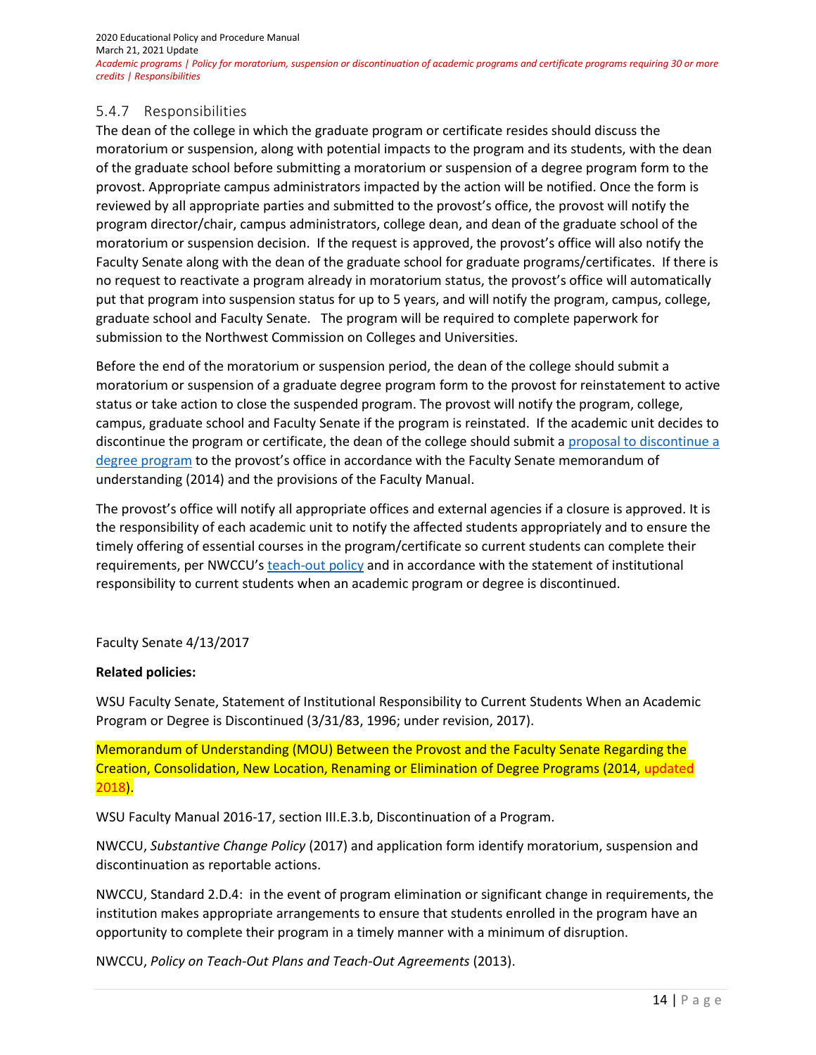2020 Educational Policy and Procedure Manual March 21, 2021 Update *Academic programs | Policy for moratorium, suspension or discontinuation of academic programs and certificate programs requiring 30 or more credits | Responsibilities*

### <span id="page-13-0"></span>5.4.7 Responsibilities

The dean of the college in which the graduate program or certificate resides should discuss the moratorium or suspension, along with potential impacts to the program and its students, with the dean of the graduate school before submitting a moratorium or suspension of a degree program form to the provost. Appropriate campus administrators impacted by the action will be notified. Once the form is reviewed by all appropriate parties and submitted to the provost's office, the provost will notify the program director/chair, campus administrators, college dean, and dean of the graduate school of the moratorium or suspension decision. If the request is approved, the provost's office will also notify the Faculty Senate along with the dean of the graduate school for graduate programs/certificates. If there is no request to reactivate a program already in moratorium status, the provost's office will automatically put that program into suspension status for up to 5 years, and will notify the program, campus, college, graduate school and Faculty Senate. The program will be required to complete paperwork for submission to the Northwest Commission on Colleges and Universities.

Before the end of the moratorium or suspension period, the dean of the college should submit a moratorium or suspension of a graduate degree program form to the provost for reinstatement to active status or take action to close the suspended program. The provost will notify the program, college, campus, graduate school and Faculty Senate if the program is reinstated. If the academic unit decides to discontinue the program or certificate, the dean of the college should submit [a proposal to discontinue a](https://provost.wsu.edu/degree-change-form/)  [degree program](https://provost.wsu.edu/degree-change-form/) to the provost's office in accordance with the Faculty Senate memorandum of understanding (2014) and the provisions of the Faculty Manual.

The provost's office will notify all appropriate offices and external agencies if a closure is approved. It is the responsibility of each academic unit to notify the affected students appropriately and to ensure the timely offering of essential courses in the program/certificate so current students can complete their requirements, per NWCCU's [teach-out policy](http://www.nwccu.org/Standards%20and%20Policies/Policies/PolicyDocs/Teach-Out%20Plans%20and%20Teach-Out%20Agreements%20Policy.pdf) and in accordance with the statement of institutional responsibility to current students when an academic program or degree is discontinued.

Faculty Senate 4/13/2017

#### **Related policies:**

WSU Faculty Senate, Statement of Institutional Responsibility to Current Students When an Academic Program or Degree is Discontinued (3/31/83, 1996; under revision, 2017).

Memorandum of Understanding (MOU) Between the Provost and the Faculty Senate Regarding the Creation, Consolidation, New Location, Renaming or Elimination of Degree Programs (2014, updated 2018).

WSU Faculty Manual 2016-17, section III.E.3.b, Discontinuation of a Program.

NWCCU, *Substantive Change Policy* (2017) and application form identify moratorium, suspension and discontinuation as reportable actions.

NWCCU, Standard 2.D.4: in the event of program elimination or significant change in requirements, the institution makes appropriate arrangements to ensure that students enrolled in the program have an opportunity to complete their program in a timely manner with a minimum of disruption.

NWCCU, *Policy on Teach-Out Plans and Teach-Out Agreements* (2013).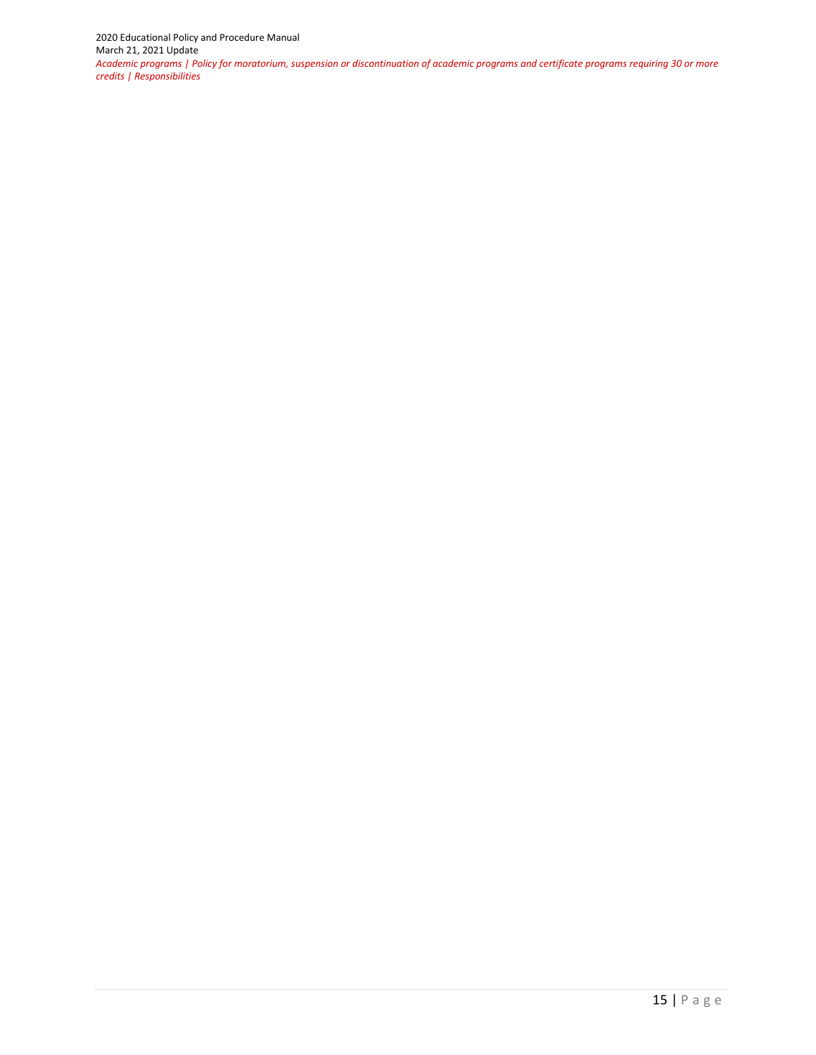2020 Educational Policy and Procedure Manual March 21, 2021 Update *Academic programs | Policy for moratorium, suspension or discontinuation of academic programs and certificate programs requiring 30 or more credits | Responsibilities*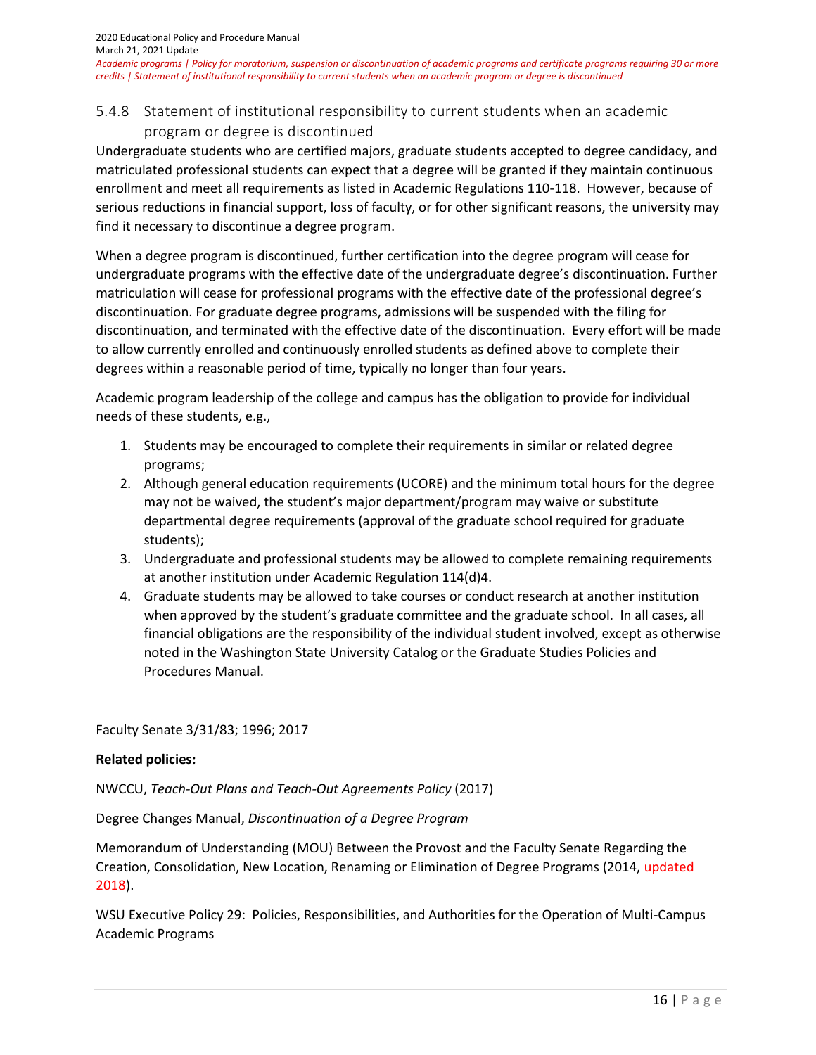## <span id="page-15-0"></span>5.4.8 Statement of institutional responsibility to current students when an academic program or degree is discontinued

Undergraduate students who are certified majors, graduate students accepted to degree candidacy, and matriculated professional students can expect that a degree will be granted if they maintain continuous enrollment and meet all requirements as listed in Academic Regulations 110-118. However, because of serious reductions in financial support, loss of faculty, or for other significant reasons, the university may find it necessary to discontinue a degree program.

When a degree program is discontinued, further certification into the degree program will cease for undergraduate programs with the effective date of the undergraduate degree's discontinuation. Further matriculation will cease for professional programs with the effective date of the professional degree's discontinuation. For graduate degree programs, admissions will be suspended with the filing for discontinuation, and terminated with the effective date of the discontinuation. Every effort will be made to allow currently enrolled and continuously enrolled students as defined above to complete their degrees within a reasonable period of time, typically no longer than four years.

Academic program leadership of the college and campus has the obligation to provide for individual needs of these students, e.g.,

- 1. Students may be encouraged to complete their requirements in similar or related degree programs;
- 2. Although general education requirements (UCORE) and the minimum total hours for the degree may not be waived, the student's major department/program may waive or substitute departmental degree requirements (approval of the graduate school required for graduate students);
- 3. Undergraduate and professional students may be allowed to complete remaining requirements at another institution under Academic Regulation 114(d)4.
- 4. Graduate students may be allowed to take courses or conduct research at another institution when approved by the student's graduate committee and the graduate school. In all cases, all financial obligations are the responsibility of the individual student involved, except as otherwise noted in the Washington State University Catalog or the Graduate Studies Policies and Procedures Manual.

Faculty Senate 3/31/83; 1996; 2017

#### **Related policies:**

NWCCU, *Teach-Out Plans and Teach-Out Agreements Policy* (2017)

Degree Changes Manual, *Discontinuation of a Degree Program*

Memorandum of Understanding (MOU) Between the Provost and the Faculty Senate Regarding the Creation, Consolidation, New Location, Renaming or Elimination of Degree Programs (2014, updated 2018).

WSU Executive Policy 29: Policies, Responsibilities, and Authorities for the Operation of Multi-Campus Academic Programs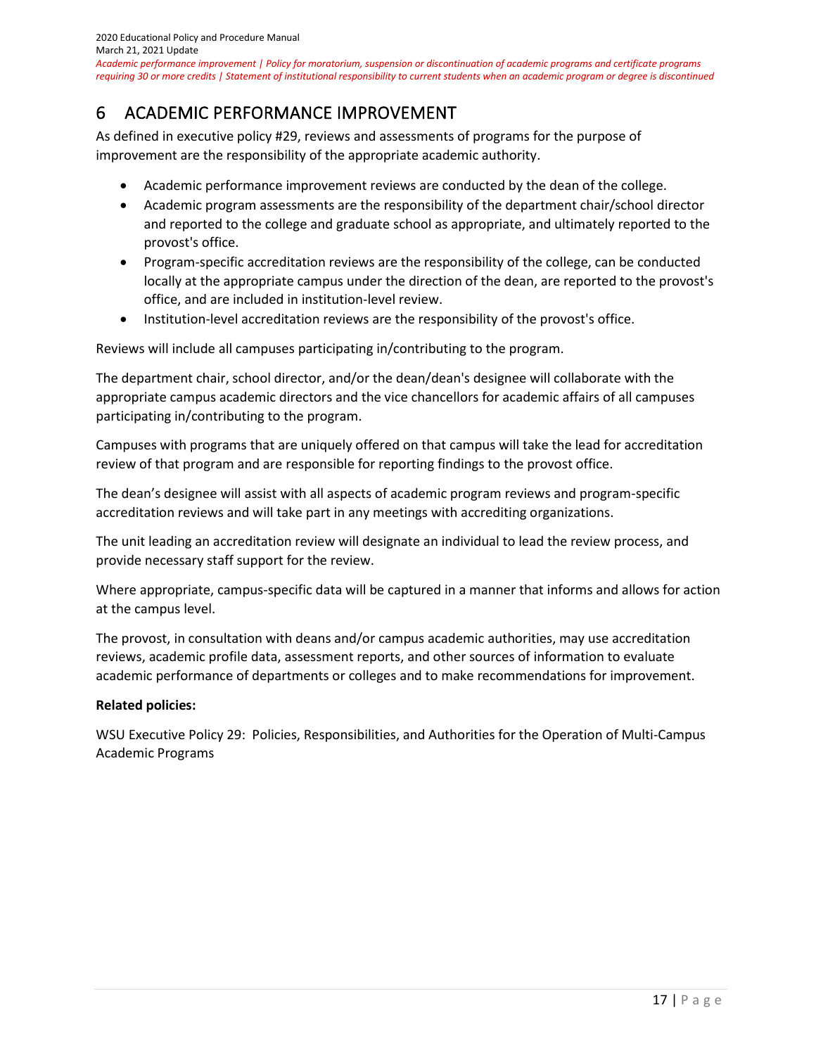2020 Educational Policy and Procedure Manual March 21, 2021 Update *Academic performance improvement | Policy for moratorium, suspension or discontinuation of academic programs and certificate programs requiring 30 or more credits | Statement of institutional responsibility to current students when an academic program or degree is discontinued*

# <span id="page-16-0"></span>6 ACADEMIC PERFORMANCE IMPROVEMENT

As defined in executive policy #29, reviews and assessments of programs for the purpose of improvement are the responsibility of the appropriate academic authority.

- Academic performance improvement reviews are conducted by the dean of the college.
- Academic program assessments are the responsibility of the department chair/school director and reported to the college and graduate school as appropriate, and ultimately reported to the provost's office.
- Program-specific accreditation reviews are the responsibility of the college, can be conducted locally at the appropriate campus under the direction of the dean, are reported to the provost's office, and are included in institution-level review.
- Institution-level accreditation reviews are the responsibility of the provost's office.

Reviews will include all campuses participating in/contributing to the program.

The department chair, school director, and/or the dean/dean's designee will collaborate with the appropriate campus academic directors and the vice chancellors for academic affairs of all campuses participating in/contributing to the program.

Campuses with programs that are uniquely offered on that campus will take the lead for accreditation review of that program and are responsible for reporting findings to the provost office.

The dean's designee will assist with all aspects of academic program reviews and program-specific accreditation reviews and will take part in any meetings with accrediting organizations.

The unit leading an accreditation review will designate an individual to lead the review process, and provide necessary staff support for the review.

Where appropriate, campus-specific data will be captured in a manner that informs and allows for action at the campus level.

The provost, in consultation with deans and/or campus academic authorities, may use accreditation reviews, academic profile data, assessment reports, and other sources of information to evaluate academic performance of departments or colleges and to make recommendations for improvement.

#### **Related policies:**

WSU Executive Policy 29: Policies, Responsibilities, and Authorities for the Operation of Multi-Campus Academic Programs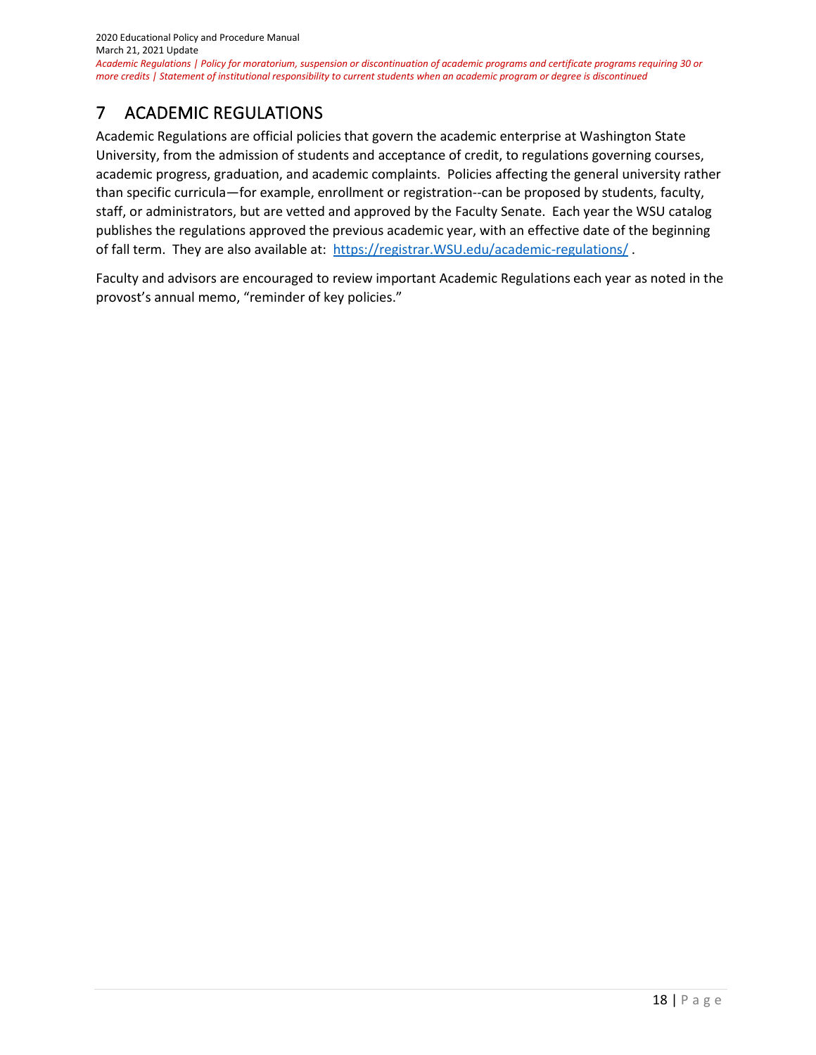2020 Educational Policy and Procedure Manual March 21, 2021 Update *Academic Regulations | Policy for moratorium, suspension or discontinuation of academic programs and certificate programs requiring 30 or more credits | Statement of institutional responsibility to current students when an academic program or degree is discontinued*

# <span id="page-17-0"></span>7 ACADEMIC REGULATIONS

Academic Regulations are official policies that govern the academic enterprise at Washington State University, from the admission of students and acceptance of credit, to regulations governing courses, academic progress, graduation, and academic complaints. Policies affecting the general university rather than specific curricula—for example, enrollment or registration--can be proposed by students, faculty, staff, or administrators, but are vetted and approved by the Faculty Senate. Each year the WSU catalog publishes the regulations approved the previous academic year, with an effective date of the beginning of fall term. They are also available at: [https://registrar.WSU.edu/academic-regulations/](https://registrar.wsu.edu/academic-regulations/) .

Faculty and advisors are encouraged to review important Academic Regulations each year as noted in the provost's annual memo, "reminder of key policies."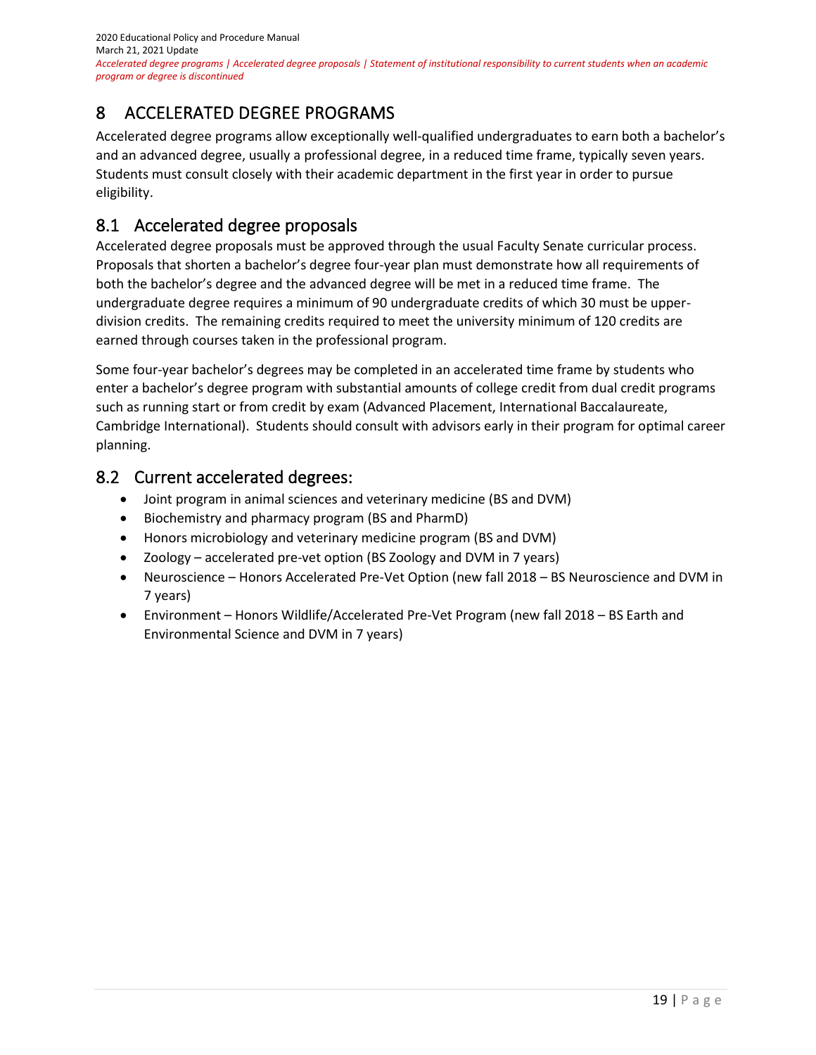2020 Educational Policy and Procedure Manual March 21, 2021 Update *Accelerated degree programs | Accelerated degree proposals | Statement of institutional responsibility to current students when an academic program or degree is discontinued*

# <span id="page-18-0"></span>8 ACCELERATED DEGREE PROGRAMS

Accelerated degree programs allow exceptionally well-qualified undergraduates to earn both a bachelor's and an advanced degree, usually a professional degree, in a reduced time frame, typically seven years. Students must consult closely with their academic department in the first year in order to pursue eligibility.

## <span id="page-18-1"></span>8.1 Accelerated degree proposals

Accelerated degree proposals must be approved through the usual Faculty Senate curricular process. Proposals that shorten a bachelor's degree four-year plan must demonstrate how all requirements of both the bachelor's degree and the advanced degree will be met in a reduced time frame. The undergraduate degree requires a minimum of 90 undergraduate credits of which 30 must be upperdivision credits. The remaining credits required to meet the university minimum of 120 credits are earned through courses taken in the professional program.

Some four-year bachelor's degrees may be completed in an accelerated time frame by students who enter a bachelor's degree program with substantial amounts of college credit from dual credit programs such as running start or from credit by exam (Advanced Placement, International Baccalaureate, Cambridge International). Students should consult with advisors early in their program for optimal career planning.

## <span id="page-18-2"></span>8.2 Current accelerated degrees:

- Joint program in animal sciences and veterinary medicine (BS and DVM)
- Biochemistry and pharmacy program (BS and PharmD)
- Honors microbiology and veterinary medicine program (BS and DVM)
- Zoology accelerated pre-vet option (BS Zoology and DVM in 7 years)
- Neuroscience Honors Accelerated Pre-Vet Option (new fall 2018 BS Neuroscience and DVM in 7 years)
- Environment Honors Wildlife/Accelerated Pre-Vet Program (new fall 2018 BS Earth and Environmental Science and DVM in 7 years)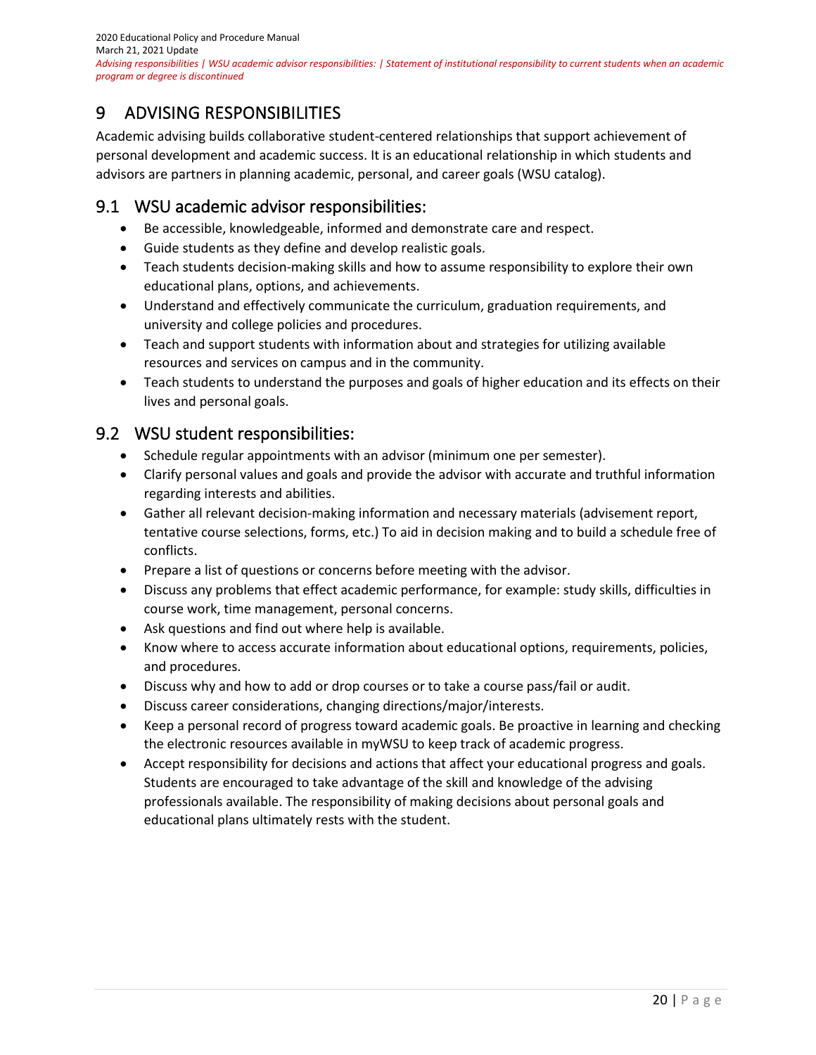2020 Educational Policy and Procedure Manual March 21, 2021 Update *Advising responsibilities | WSU academic advisor responsibilities: | Statement of institutional responsibility to current students when an academic program or degree is discontinued*

# <span id="page-19-0"></span>9 ADVISING RESPONSIBILITIES

Academic advising builds collaborative student-centered relationships that support achievement of personal development and academic success. It is an educational relationship in which students and advisors are partners in planning academic, personal, and career goals (WSU catalog).

## <span id="page-19-1"></span>9.1 WSU academic advisor responsibilities:

- Be accessible, knowledgeable, informed and demonstrate care and respect.
- Guide students as they define and develop realistic goals.
- Teach students decision-making skills and how to assume responsibility to explore their own educational plans, options, and achievements.
- Understand and effectively communicate the curriculum, graduation requirements, and university and college policies and procedures.
- Teach and support students with information about and strategies for utilizing available resources and services on campus and in the community.
- Teach students to understand the purposes and goals of higher education and its effects on their lives and personal goals.

## <span id="page-19-2"></span>9.2 WSU student responsibilities:

- Schedule regular appointments with an advisor (minimum one per semester).
- Clarify personal values and goals and provide the advisor with accurate and truthful information regarding interests and abilities.
- Gather all relevant decision-making information and necessary materials (advisement report, tentative course selections, forms, etc.) To aid in decision making and to build a schedule free of conflicts.
- Prepare a list of questions or concerns before meeting with the advisor.
- Discuss any problems that effect academic performance, for example: study skills, difficulties in course work, time management, personal concerns.
- Ask questions and find out where help is available.
- Know where to access accurate information about educational options, requirements, policies, and procedures.
- Discuss why and how to add or drop courses or to take a course pass/fail or audit.
- Discuss career considerations, changing directions/major/interests.
- Keep a personal record of progress toward academic goals. Be proactive in learning and checking the electronic resources available in myWSU to keep track of academic progress.
- Accept responsibility for decisions and actions that affect your educational progress and goals. Students are encouraged to take advantage of the skill and knowledge of the advising professionals available. The responsibility of making decisions about personal goals and educational plans ultimately rests with the student.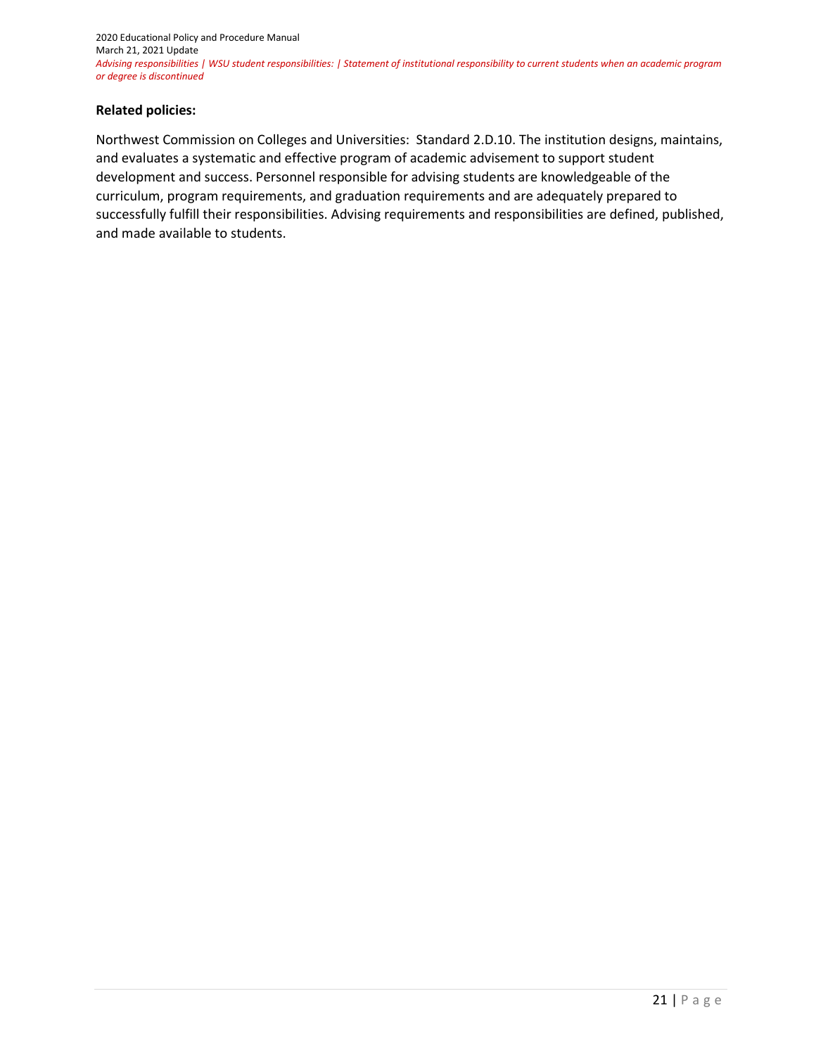2020 Educational Policy and Procedure Manual March 21, 2021 Update *Advising responsibilities | WSU student responsibilities: | Statement of institutional responsibility to current students when an academic program or degree is discontinued*

#### **Related policies:**

Northwest Commission on Colleges and Universities: Standard 2.D.10. The institution designs, maintains, and evaluates a systematic and effective program of academic advisement to support student development and success. Personnel responsible for advising students are knowledgeable of the curriculum, program requirements, and graduation requirements and are adequately prepared to successfully fulfill their responsibilities. Advising requirements and responsibilities are defined, published, and made available to students.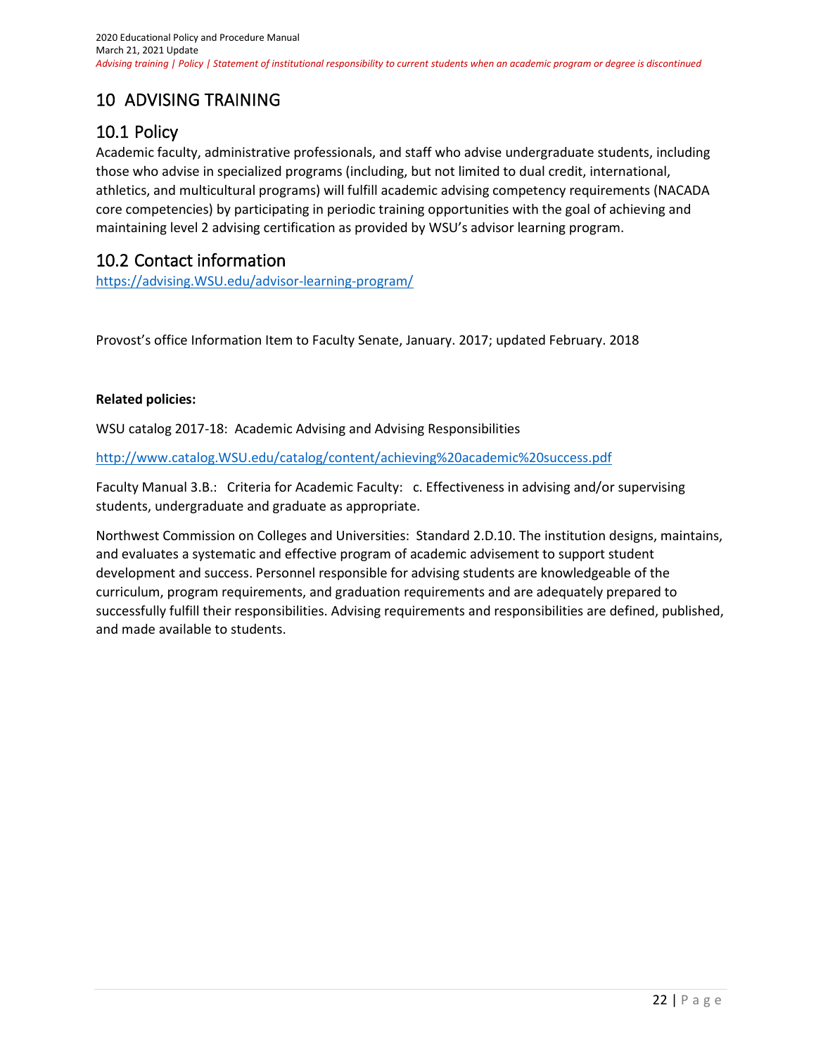# <span id="page-21-0"></span>10 ADVISING TRAINING

# <span id="page-21-1"></span>10.1 Policy

Academic faculty, administrative professionals, and staff who advise undergraduate students, including those who advise in specialized programs (including, but not limited to dual credit, international, athletics, and multicultural programs) will fulfill academic advising competency requirements (NACADA core competencies) by participating in periodic training opportunities with the goal of achieving and maintaining level 2 advising certification as provided by WSU's advisor learning program.

## <span id="page-21-2"></span>10.2 Contact information

[https://advising.WSU.edu/advisor-learning-program/](https://advising.wsu.edu/advisor-learning-program/)

Provost's office Information Item to Faculty Senate, January. 2017; updated February. 2018

### **Related policies:**

WSU catalog 2017-18: Academic Advising and Advising Responsibilities

[http://www.catalog.WSU.edu/catalog/content/achieving%20academic%20success.pdf](http://www.catalog.wsu.edu/Catalog/Content/Achieving%20Academic%20Success.pdf)

Faculty Manual 3.B.: Criteria for Academic Faculty: c. Effectiveness in advising and/or supervising students, undergraduate and graduate as appropriate.

Northwest Commission on Colleges and Universities: Standard 2.D.10. The institution designs, maintains, and evaluates a systematic and effective program of academic advisement to support student development and success. Personnel responsible for advising students are knowledgeable of the curriculum, program requirements, and graduation requirements and are adequately prepared to successfully fulfill their responsibilities. Advising requirements and responsibilities are defined, published, and made available to students.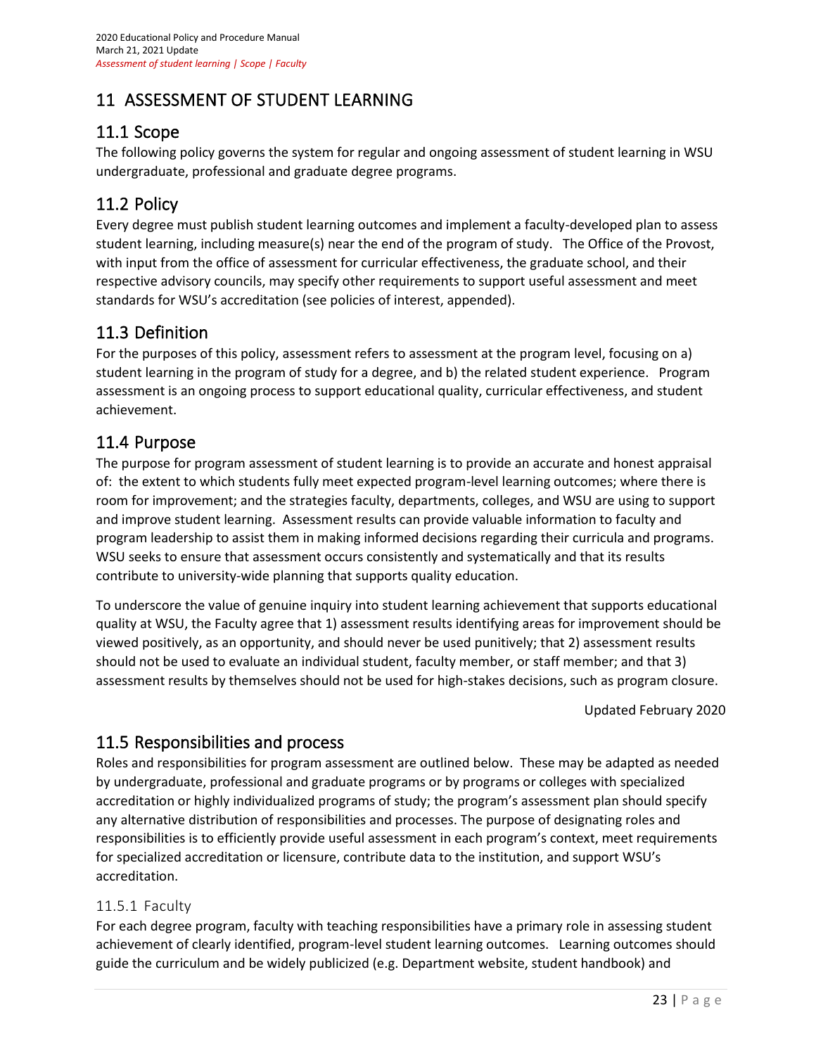# <span id="page-22-0"></span>11 ASSESSMENT OF STUDENT LEARNING

# <span id="page-22-1"></span>11.1 Scope

The following policy governs the system for regular and ongoing assessment of student learning in WSU undergraduate, professional and graduate degree programs.

# <span id="page-22-2"></span>11.2 Policy

Every degree must publish student learning outcomes and implement a faculty-developed plan to assess student learning, including measure(s) near the end of the program of study. The Office of the Provost, with input from the office of assessment for curricular effectiveness, the graduate school, and their respective advisory councils, may specify other requirements to support useful assessment and meet standards for WSU's accreditation (see policies of interest, appended).

# <span id="page-22-3"></span>11.3 Definition

For the purposes of this policy, assessment refers to assessment at the program level, focusing on a) student learning in the program of study for a degree, and b) the related student experience. Program assessment is an ongoing process to support educational quality, curricular effectiveness, and student achievement.

# <span id="page-22-4"></span>11.4 Purpose

The purpose for program assessment of student learning is to provide an accurate and honest appraisal of: the extent to which students fully meet expected program-level learning outcomes; where there is room for improvement; and the strategies faculty, departments, colleges, and WSU are using to support and improve student learning. Assessment results can provide valuable information to faculty and program leadership to assist them in making informed decisions regarding their curricula and programs. WSU seeks to ensure that assessment occurs consistently and systematically and that its results contribute to university-wide planning that supports quality education.

To underscore the value of genuine inquiry into student learning achievement that supports educational quality at WSU, the Faculty agree that 1) assessment results identifying areas for improvement should be viewed positively, as an opportunity, and should never be used punitively; that 2) assessment results should not be used to evaluate an individual student, faculty member, or staff member; and that 3) assessment results by themselves should not be used for high-stakes decisions, such as program closure.

Updated February 2020

## <span id="page-22-5"></span>11.5 Responsibilities and process

Roles and responsibilities for program assessment are outlined below. These may be adapted as needed by undergraduate, professional and graduate programs or by programs or colleges with specialized accreditation or highly individualized programs of study; the program's assessment plan should specify any alternative distribution of responsibilities and processes. The purpose of designating roles and responsibilities is to efficiently provide useful assessment in each program's context, meet requirements for specialized accreditation or licensure, contribute data to the institution, and support WSU's accreditation.

## <span id="page-22-6"></span>11.5.1 Faculty

For each degree program, faculty with teaching responsibilities have a primary role in assessing student achievement of clearly identified, program-level student learning outcomes. Learning outcomes should guide the curriculum and be widely publicized (e.g. Department website, student handbook) and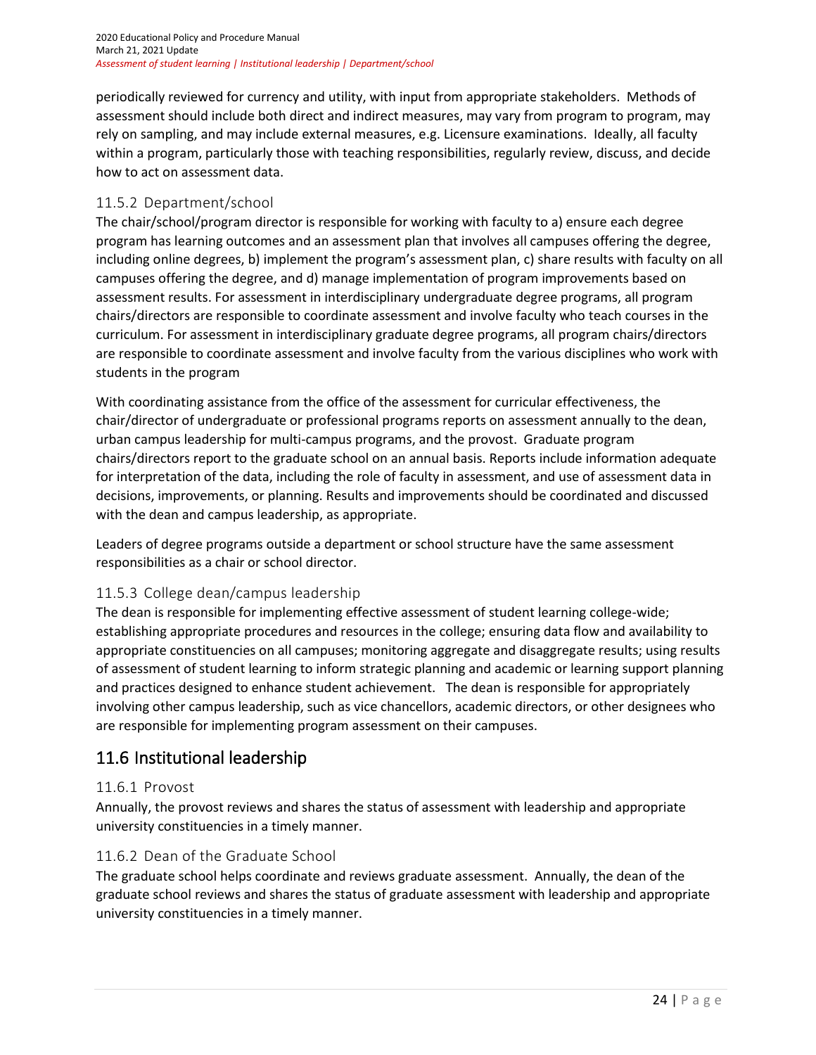periodically reviewed for currency and utility, with input from appropriate stakeholders. Methods of assessment should include both direct and indirect measures, may vary from program to program, may rely on sampling, and may include external measures, e.g. Licensure examinations. Ideally, all faculty within a program, particularly those with teaching responsibilities, regularly review, discuss, and decide how to act on assessment data.

### <span id="page-23-0"></span>11.5.2 Department/school

The chair/school/program director is responsible for working with faculty to a) ensure each degree program has learning outcomes and an assessment plan that involves all campuses offering the degree, including online degrees, b) implement the program's assessment plan, c) share results with faculty on all campuses offering the degree, and d) manage implementation of program improvements based on assessment results. For assessment in interdisciplinary undergraduate degree programs, all program chairs/directors are responsible to coordinate assessment and involve faculty who teach courses in the curriculum. For assessment in interdisciplinary graduate degree programs, all program chairs/directors are responsible to coordinate assessment and involve faculty from the various disciplines who work with students in the program

With coordinating assistance from the office of the assessment for curricular effectiveness, the chair/director of undergraduate or professional programs reports on assessment annually to the dean, urban campus leadership for multi-campus programs, and the provost. Graduate program chairs/directors report to the graduate school on an annual basis. Reports include information adequate for interpretation of the data, including the role of faculty in assessment, and use of assessment data in decisions, improvements, or planning. Results and improvements should be coordinated and discussed with the dean and campus leadership, as appropriate.

Leaders of degree programs outside a department or school structure have the same assessment responsibilities as a chair or school director.

### <span id="page-23-1"></span>11.5.3 College dean/campus leadership

The dean is responsible for implementing effective assessment of student learning college-wide; establishing appropriate procedures and resources in the college; ensuring data flow and availability to appropriate constituencies on all campuses; monitoring aggregate and disaggregate results; using results of assessment of student learning to inform strategic planning and academic or learning support planning and practices designed to enhance student achievement. The dean is responsible for appropriately involving other campus leadership, such as vice chancellors, academic directors, or other designees who are responsible for implementing program assessment on their campuses.

## <span id="page-23-2"></span>11.6 Institutional leadership

### <span id="page-23-3"></span>11.6.1 Provost

Annually, the provost reviews and shares the status of assessment with leadership and appropriate university constituencies in a timely manner.

### <span id="page-23-4"></span>11.6.2 Dean of the Graduate School

The graduate school helps coordinate and reviews graduate assessment. Annually, the dean of the graduate school reviews and shares the status of graduate assessment with leadership and appropriate university constituencies in a timely manner.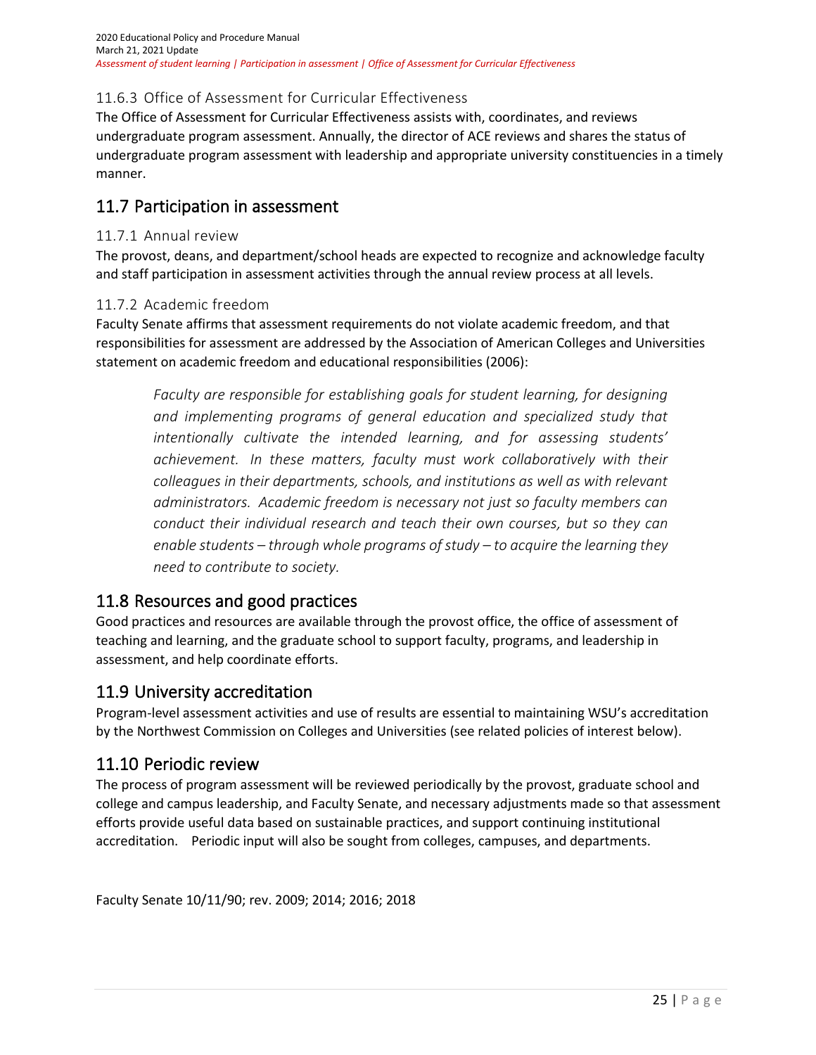2020 Educational Policy and Procedure Manual March 21, 2021 Update *Assessment of student learning | Participation in assessment | Office of Assessment for Curricular Effectiveness*

### <span id="page-24-0"></span>11.6.3 Office of Assessment for Curricular Effectiveness

The Office of Assessment for Curricular Effectiveness assists with, coordinates, and reviews undergraduate program assessment. Annually, the director of ACE reviews and shares the status of undergraduate program assessment with leadership and appropriate university constituencies in a timely manner.

## <span id="page-24-1"></span>11.7 Participation in assessment

#### <span id="page-24-2"></span>11.7.1 Annual review

The provost, deans, and department/school heads are expected to recognize and acknowledge faculty and staff participation in assessment activities through the annual review process at all levels.

#### <span id="page-24-3"></span>11.7.2 Academic freedom

Faculty Senate affirms that assessment requirements do not violate academic freedom, and that responsibilities for assessment are addressed by the Association of American Colleges and Universities statement on academic freedom and educational responsibilities (2006):

*Faculty are responsible for establishing goals for student learning, for designing and implementing programs of general education and specialized study that intentionally cultivate the intended learning, and for assessing students' achievement. In these matters, faculty must work collaboratively with their colleagues in their departments, schools, and institutions as well as with relevant administrators. Academic freedom is necessary not just so faculty members can conduct their individual research and teach their own courses, but so they can enable students – through whole programs of study – to acquire the learning they need to contribute to society.*

## <span id="page-24-4"></span>11.8 Resources and good practices

Good practices and resources are available through the provost office, the office of assessment of teaching and learning, and the graduate school to support faculty, programs, and leadership in assessment, and help coordinate efforts.

## <span id="page-24-5"></span>11.9 University accreditation

Program-level assessment activities and use of results are essential to maintaining WSU's accreditation by the Northwest Commission on Colleges and Universities (see related policies of interest below).

## <span id="page-24-6"></span>11.10 Periodic review

The process of program assessment will be reviewed periodically by the provost, graduate school and college and campus leadership, and Faculty Senate, and necessary adjustments made so that assessment efforts provide useful data based on sustainable practices, and support continuing institutional accreditation. Periodic input will also be sought from colleges, campuses, and departments.

Faculty Senate 10/11/90; rev. 2009; 2014; 2016; 2018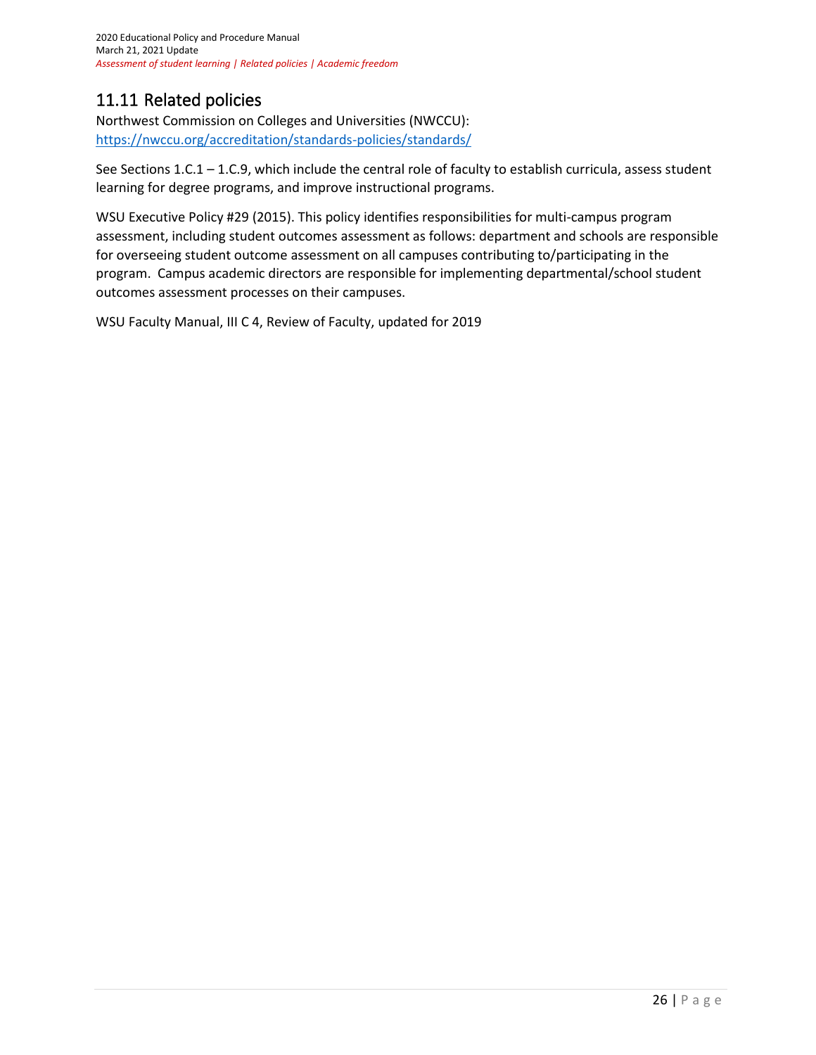# <span id="page-25-0"></span>11.11 Related policies

Northwest Commission on Colleges and Universities (NWCCU): <https://nwccu.org/accreditation/standards-policies/standards/>

See Sections 1.C.1 – 1.C.9, which include the central role of faculty to establish curricula, assess student learning for degree programs, and improve instructional programs.

WSU Executive Policy #29 (2015). This policy identifies responsibilities for multi-campus program assessment, including student outcomes assessment as follows: department and schools are responsible for overseeing student outcome assessment on all campuses contributing to/participating in the program. Campus academic directors are responsible for implementing departmental/school student outcomes assessment processes on their campuses.

WSU Faculty Manual, III C 4, Review of Faculty, updated for 2019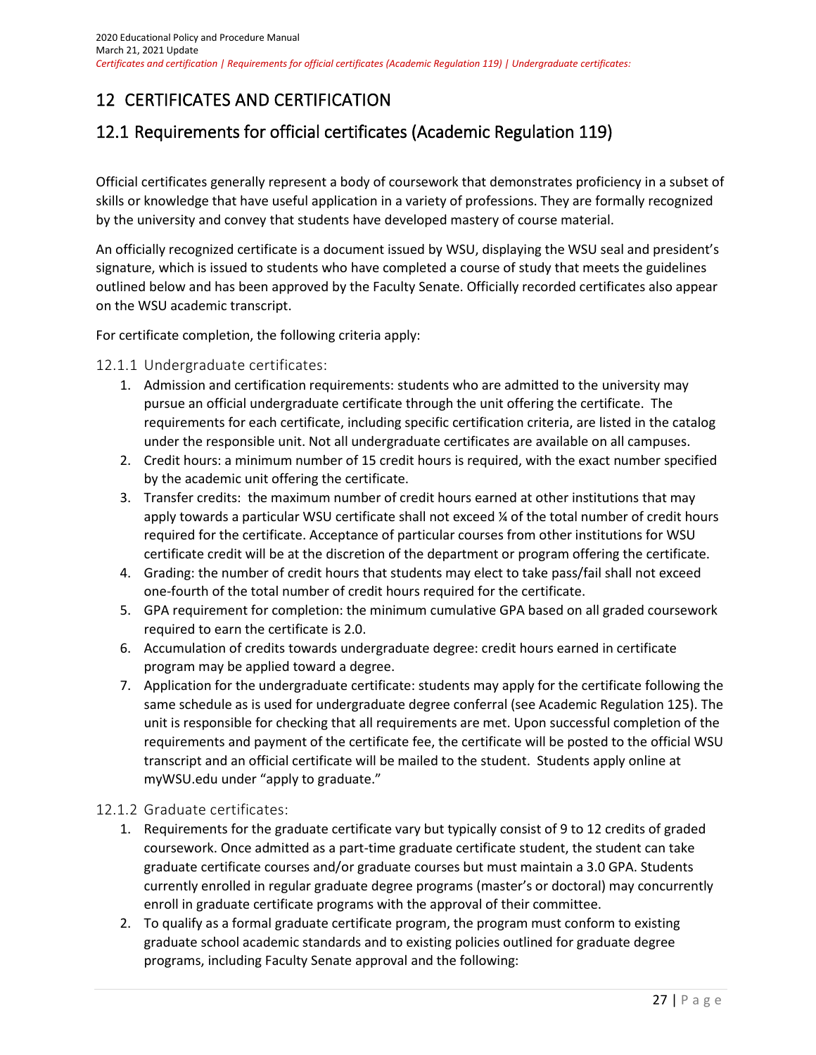# <span id="page-26-0"></span>12 CERTIFICATES AND CERTIFICATION

# <span id="page-26-1"></span>12.1 Requirements for official certificates (Academic Regulation 119)

Official certificates generally represent a body of coursework that demonstrates proficiency in a subset of skills or knowledge that have useful application in a variety of professions. They are formally recognized by the university and convey that students have developed mastery of course material.

An officially recognized certificate is a document issued by WSU, displaying the WSU seal and president's signature, which is issued to students who have completed a course of study that meets the guidelines outlined below and has been approved by the Faculty Senate. Officially recorded certificates also appear on the WSU academic transcript.

For certificate completion, the following criteria apply:

### <span id="page-26-2"></span>12.1.1 Undergraduate certificates:

- 1. Admission and certification requirements: students who are admitted to the university may pursue an official undergraduate certificate through the unit offering the certificate. The requirements for each certificate, including specific certification criteria, are listed in the catalog under the responsible unit. Not all undergraduate certificates are available on all campuses.
- 2. Credit hours: a minimum number of 15 credit hours is required, with the exact number specified by the academic unit offering the certificate.
- 3. Transfer credits: the maximum number of credit hours earned at other institutions that may apply towards a particular WSU certificate shall not exceed ¼ of the total number of credit hours required for the certificate. Acceptance of particular courses from other institutions for WSU certificate credit will be at the discretion of the department or program offering the certificate.
- 4. Grading: the number of credit hours that students may elect to take pass/fail shall not exceed one-fourth of the total number of credit hours required for the certificate.
- 5. GPA requirement for completion: the minimum cumulative GPA based on all graded coursework required to earn the certificate is 2.0.
- 6. Accumulation of credits towards undergraduate degree: credit hours earned in certificate program may be applied toward a degree.
- 7. Application for the undergraduate certificate: students may apply for the certificate following the same schedule as is used for undergraduate degree conferral (see Academic Regulation 125). The unit is responsible for checking that all requirements are met. Upon successful completion of the requirements and payment of the certificate fee, the certificate will be posted to the official WSU transcript and an official certificate will be mailed to the student. Students apply online at myWSU.edu under "apply to graduate."

### <span id="page-26-3"></span>12.1.2 Graduate certificates:

- 1. Requirements for the graduate certificate vary but typically consist of 9 to 12 credits of graded coursework. Once admitted as a part-time graduate certificate student, the student can take graduate certificate courses and/or graduate courses but must maintain a 3.0 GPA. Students currently enrolled in regular graduate degree programs (master's or doctoral) may concurrently enroll in graduate certificate programs with the approval of their committee.
- 2. To qualify as a formal graduate certificate program, the program must conform to existing graduate school academic standards and to existing policies outlined for graduate degree programs, including Faculty Senate approval and the following: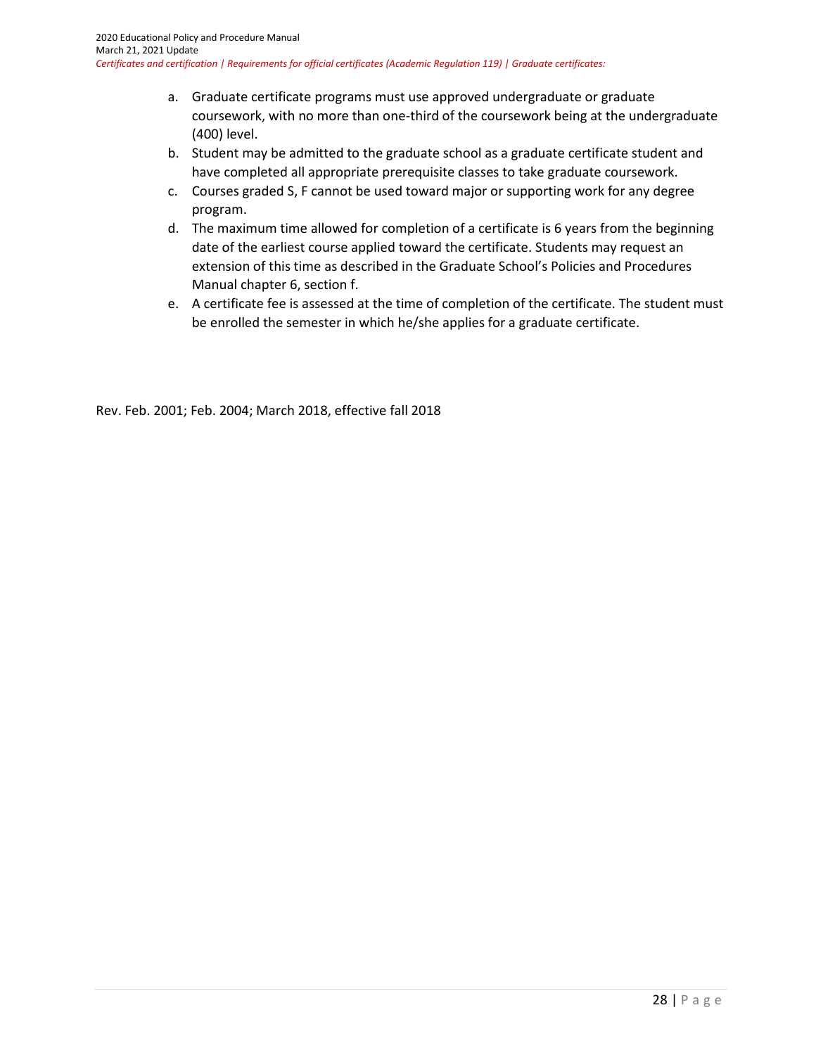- a. Graduate certificate programs must use approved undergraduate or graduate coursework, with no more than one-third of the coursework being at the undergraduate (400) level.
- b. Student may be admitted to the graduate school as a graduate certificate student and have completed all appropriate prerequisite classes to take graduate coursework.
- c. Courses graded S, F cannot be used toward major or supporting work for any degree program.
- d. The maximum time allowed for completion of a certificate is 6 years from the beginning date of the earliest course applied toward the certificate. Students may request an extension of this time as described in the Graduate School's Policies and Procedures Manual chapter 6, section f.
- e. A certificate fee is assessed at the time of completion of the certificate. The student must be enrolled the semester in which he/she applies for a graduate certificate.

Rev. Feb. 2001; Feb. 2004; March 2018, effective fall 2018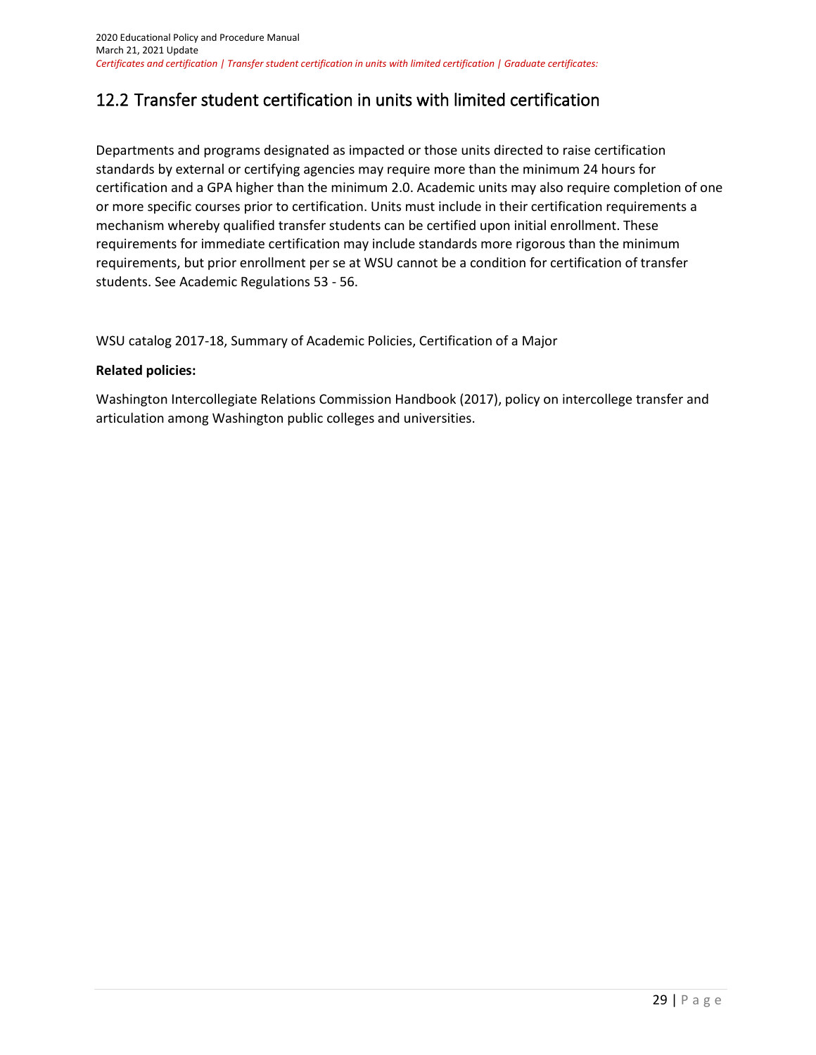# <span id="page-28-0"></span>12.2 Transfer student certification in units with limited certification

Departments and programs designated as impacted or those units directed to raise certification standards by external or certifying agencies may require more than the minimum 24 hours for certification and a GPA higher than the minimum 2.0. Academic units may also require completion of one or more specific courses prior to certification. Units must include in their certification requirements a mechanism whereby qualified transfer students can be certified upon initial enrollment. These requirements for immediate certification may include standards more rigorous than the minimum requirements, but prior enrollment per se at WSU cannot be a condition for certification of transfer students. See Academic Regulations 53 - 56.

WSU catalog 2017-18, Summary of Academic Policies, Certification of a Major

#### **Related policies:**

Washington Intercollegiate Relations Commission Handbook (2017), policy on intercollege transfer and articulation among Washington public colleges and universities.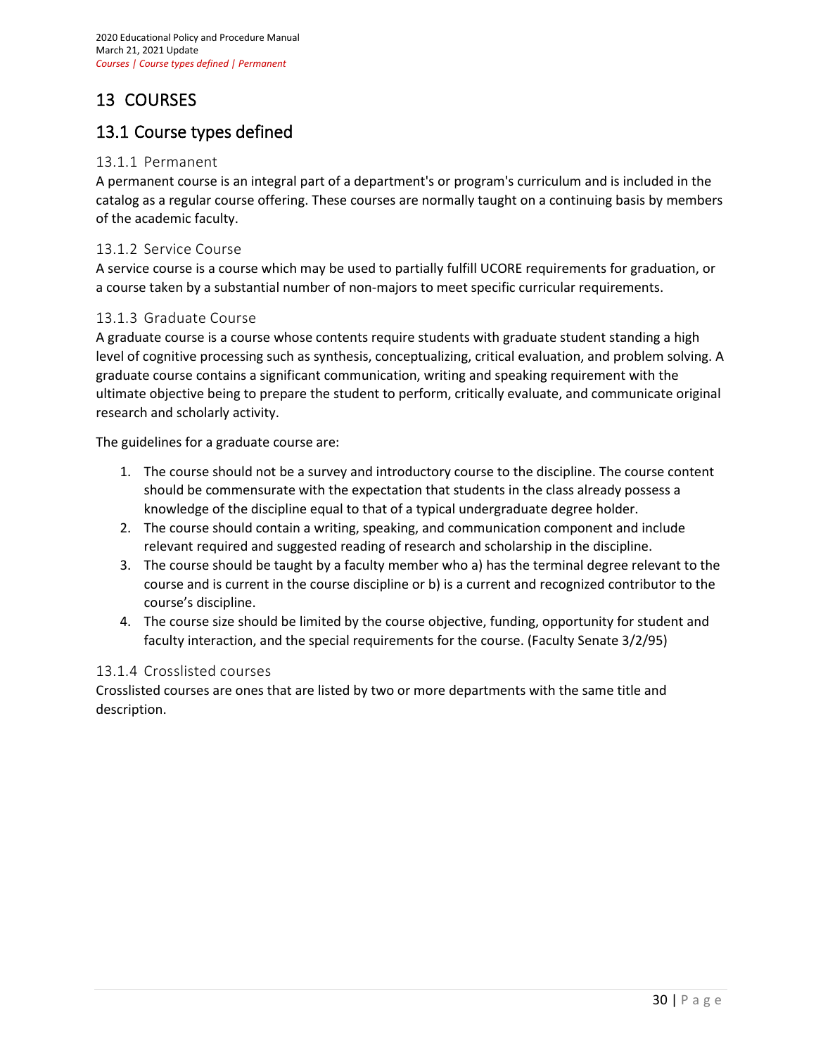# <span id="page-29-0"></span>13 COURSES

# <span id="page-29-1"></span>13.1 Course types defined

### <span id="page-29-2"></span>13.1.1 Permanent

A permanent course is an integral part of a department's or program's curriculum and is included in the catalog as a regular course offering. These courses are normally taught on a continuing basis by members of the academic faculty.

### <span id="page-29-3"></span>13.1.2 Service Course

A service course is a course which may be used to partially fulfill UCORE requirements for graduation, or a course taken by a substantial number of non-majors to meet specific curricular requirements.

## <span id="page-29-4"></span>13.1.3 Graduate Course

A graduate course is a course whose contents require students with graduate student standing a high level of cognitive processing such as synthesis, conceptualizing, critical evaluation, and problem solving. A graduate course contains a significant communication, writing and speaking requirement with the ultimate objective being to prepare the student to perform, critically evaluate, and communicate original research and scholarly activity.

The guidelines for a graduate course are:

- 1. The course should not be a survey and introductory course to the discipline. The course content should be commensurate with the expectation that students in the class already possess a knowledge of the discipline equal to that of a typical undergraduate degree holder.
- 2. The course should contain a writing, speaking, and communication component and include relevant required and suggested reading of research and scholarship in the discipline.
- 3. The course should be taught by a faculty member who a) has the terminal degree relevant to the course and is current in the course discipline or b) is a current and recognized contributor to the course's discipline.
- 4. The course size should be limited by the course objective, funding, opportunity for student and faculty interaction, and the special requirements for the course. (Faculty Senate 3/2/95)

### <span id="page-29-5"></span>13.1.4 Crosslisted courses

Crosslisted courses are ones that are listed by two or more departments with the same title and description.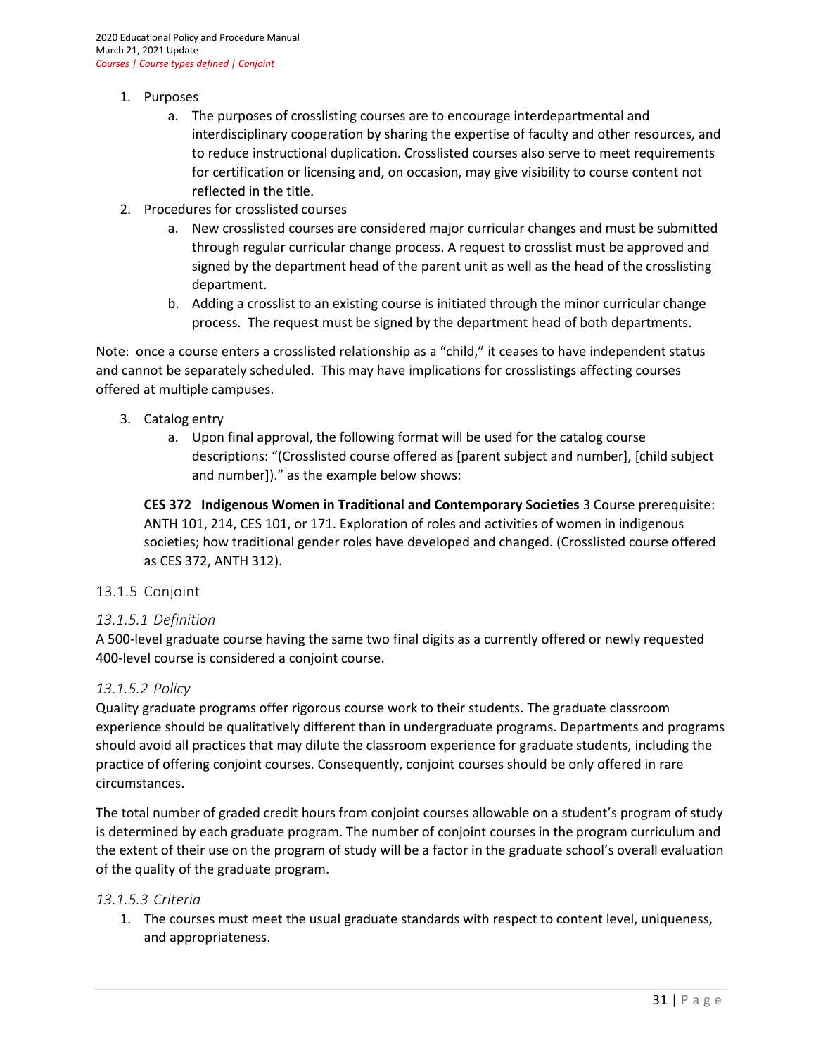#### 1. Purposes

- a. The purposes of crosslisting courses are to encourage interdepartmental and interdisciplinary cooperation by sharing the expertise of faculty and other resources, and to reduce instructional duplication. Crosslisted courses also serve to meet requirements for certification or licensing and, on occasion, may give visibility to course content not reflected in the title.
- 2. Procedures for crosslisted courses
	- a. New crosslisted courses are considered major curricular changes and must be submitted through regular curricular change process. A request to crosslist must be approved and signed by the department head of the parent unit as well as the head of the crosslisting department.
	- b. Adding a crosslist to an existing course is initiated through the minor curricular change process. The request must be signed by the department head of both departments.

Note: once a course enters a crosslisted relationship as a "child," it ceases to have independent status and cannot be separately scheduled. This may have implications for crosslistings affecting courses offered at multiple campuses.

- 3. Catalog entry
	- a. Upon final approval, the following format will be used for the catalog course descriptions: "(Crosslisted course offered as [parent subject and number], [child subject and number])." as the example below shows:

**CES 372 Indigenous Women in Traditional and Contemporary Societies** 3 Course prerequisite: ANTH 101, 214, CES 101, or 171. Exploration of roles and activities of women in indigenous societies; how traditional gender roles have developed and changed. (Crosslisted course offered as CES 372, ANTH 312).

#### <span id="page-30-0"></span>13.1.5 Conjoint

#### *13.1.5.1 Definition*

A 500-level graduate course having the same two final digits as a currently offered or newly requested 400-level course is considered a conjoint course.

#### *13.1.5.2 Policy*

Quality graduate programs offer rigorous course work to their students. The graduate classroom experience should be qualitatively different than in undergraduate programs. Departments and programs should avoid all practices that may dilute the classroom experience for graduate students, including the practice of offering conjoint courses. Consequently, conjoint courses should be only offered in rare circumstances.

The total number of graded credit hours from conjoint courses allowable on a student's program of study is determined by each graduate program. The number of conjoint courses in the program curriculum and the extent of their use on the program of study will be a factor in the graduate school's overall evaluation of the quality of the graduate program.

#### *13.1.5.3 Criteria*

1. The courses must meet the usual graduate standards with respect to content level, uniqueness, and appropriateness.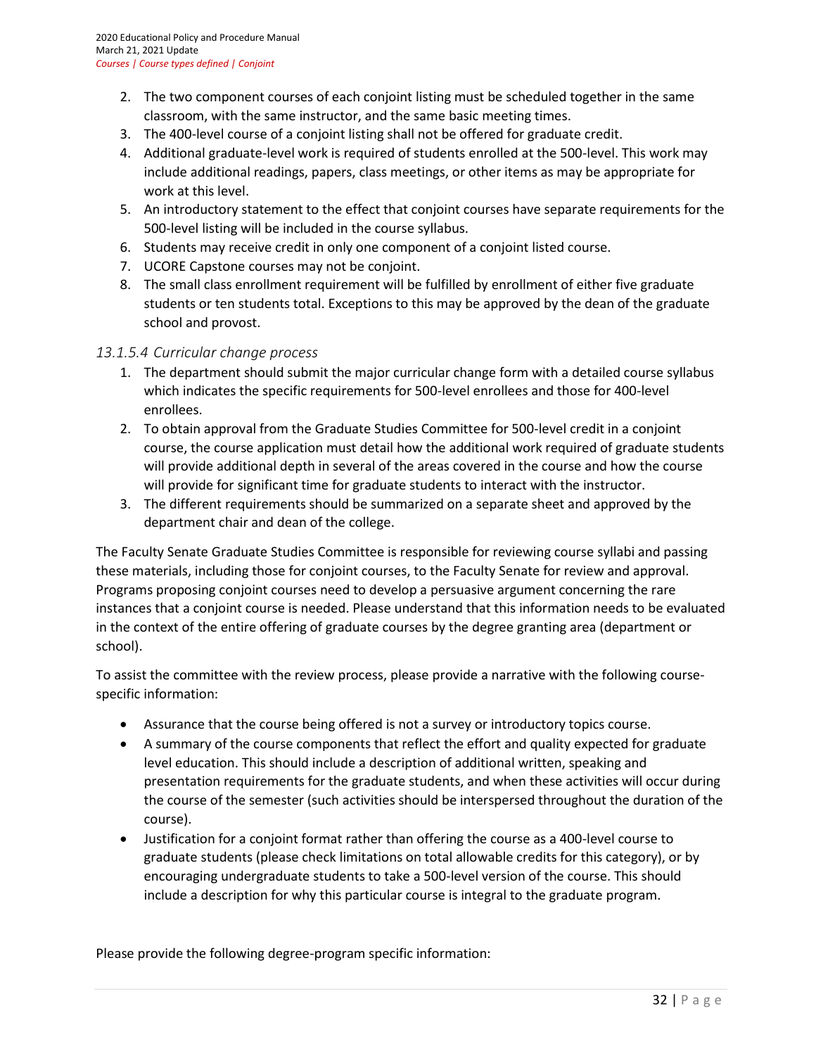- 2. The two component courses of each conjoint listing must be scheduled together in the same classroom, with the same instructor, and the same basic meeting times.
- 3. The 400-level course of a conjoint listing shall not be offered for graduate credit.
- 4. Additional graduate-level work is required of students enrolled at the 500-level. This work may include additional readings, papers, class meetings, or other items as may be appropriate for work at this level.
- 5. An introductory statement to the effect that conjoint courses have separate requirements for the 500-level listing will be included in the course syllabus.
- 6. Students may receive credit in only one component of a conjoint listed course.
- 7. UCORE Capstone courses may not be conjoint.
- 8. The small class enrollment requirement will be fulfilled by enrollment of either five graduate students or ten students total. Exceptions to this may be approved by the dean of the graduate school and provost.

#### *13.1.5.4 Curricular change process*

- 1. The department should submit the major curricular change form with a detailed course syllabus which indicates the specific requirements for 500-level enrollees and those for 400-level enrollees.
- 2. To obtain approval from the Graduate Studies Committee for 500-level credit in a conjoint course, the course application must detail how the additional work required of graduate students will provide additional depth in several of the areas covered in the course and how the course will provide for significant time for graduate students to interact with the instructor.
- 3. The different requirements should be summarized on a separate sheet and approved by the department chair and dean of the college.

The Faculty Senate Graduate Studies Committee is responsible for reviewing course syllabi and passing these materials, including those for conjoint courses, to the Faculty Senate for review and approval. Programs proposing conjoint courses need to develop a persuasive argument concerning the rare instances that a conjoint course is needed. Please understand that this information needs to be evaluated in the context of the entire offering of graduate courses by the degree granting area (department or school).

To assist the committee with the review process, please provide a narrative with the following coursespecific information:

- Assurance that the course being offered is not a survey or introductory topics course.
- A summary of the course components that reflect the effort and quality expected for graduate level education. This should include a description of additional written, speaking and presentation requirements for the graduate students, and when these activities will occur during the course of the semester (such activities should be interspersed throughout the duration of the course).
- Justification for a conjoint format rather than offering the course as a 400-level course to graduate students (please check limitations on total allowable credits for this category), or by encouraging undergraduate students to take a 500-level version of the course. This should include a description for why this particular course is integral to the graduate program.

Please provide the following degree-program specific information: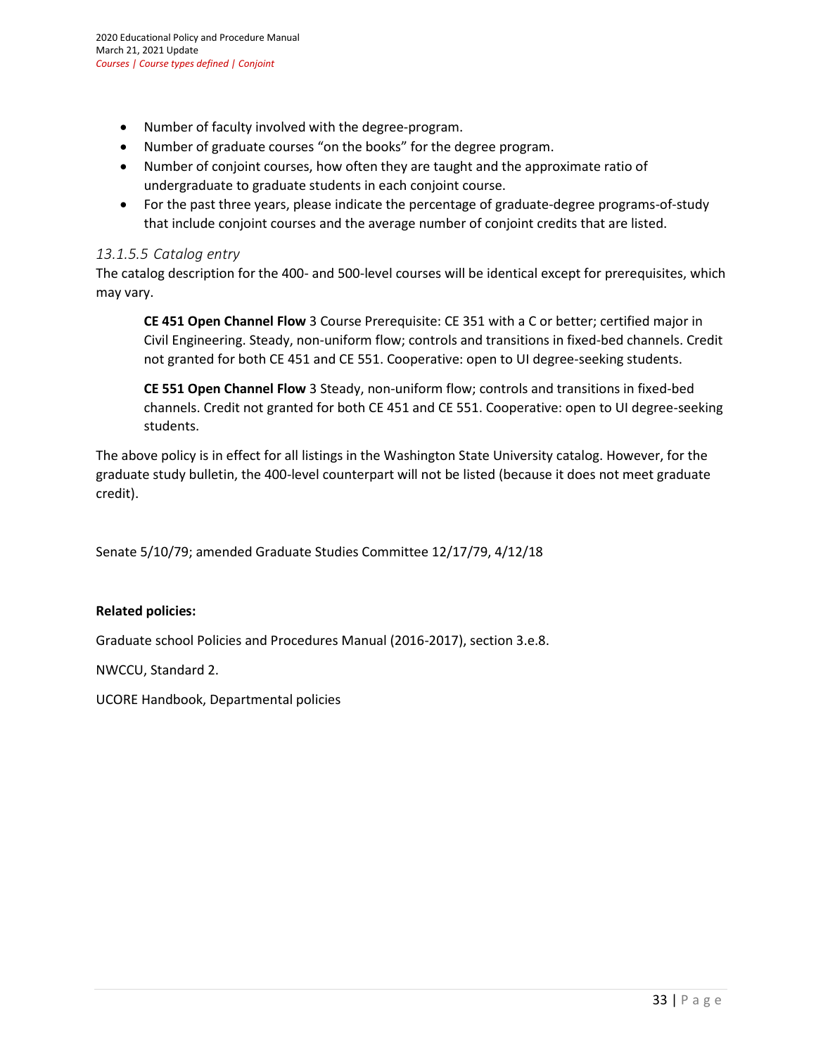- Number of faculty involved with the degree-program.
- Number of graduate courses "on the books" for the degree program.
- Number of conjoint courses, how often they are taught and the approximate ratio of undergraduate to graduate students in each conjoint course.
- For the past three years, please indicate the percentage of graduate-degree programs-of-study that include conjoint courses and the average number of conjoint credits that are listed.

#### *13.1.5.5 Catalog entry*

The catalog description for the 400- and 500-level courses will be identical except for prerequisites, which may vary.

**CE 451 Open Channel Flow** 3 Course Prerequisite: CE 351 with a C or better; certified major in Civil Engineering. Steady, non-uniform flow; controls and transitions in fixed-bed channels. Credit not granted for both CE 451 and CE 551. Cooperative: open to UI degree-seeking students.

**CE 551 Open Channel Flow** 3 Steady, non-uniform flow; controls and transitions in fixed-bed channels. Credit not granted for both CE 451 and CE 551. Cooperative: open to UI degree-seeking students.

The above policy is in effect for all listings in the Washington State University catalog. However, for the graduate study bulletin, the 400-level counterpart will not be listed (because it does not meet graduate credit).

Senate 5/10/79; amended Graduate Studies Committee 12/17/79, 4/12/18

#### **Related policies:**

Graduate school Policies and Procedures Manual (2016-2017), section 3.e.8.

NWCCU, Standard 2.

UCORE Handbook, Departmental policies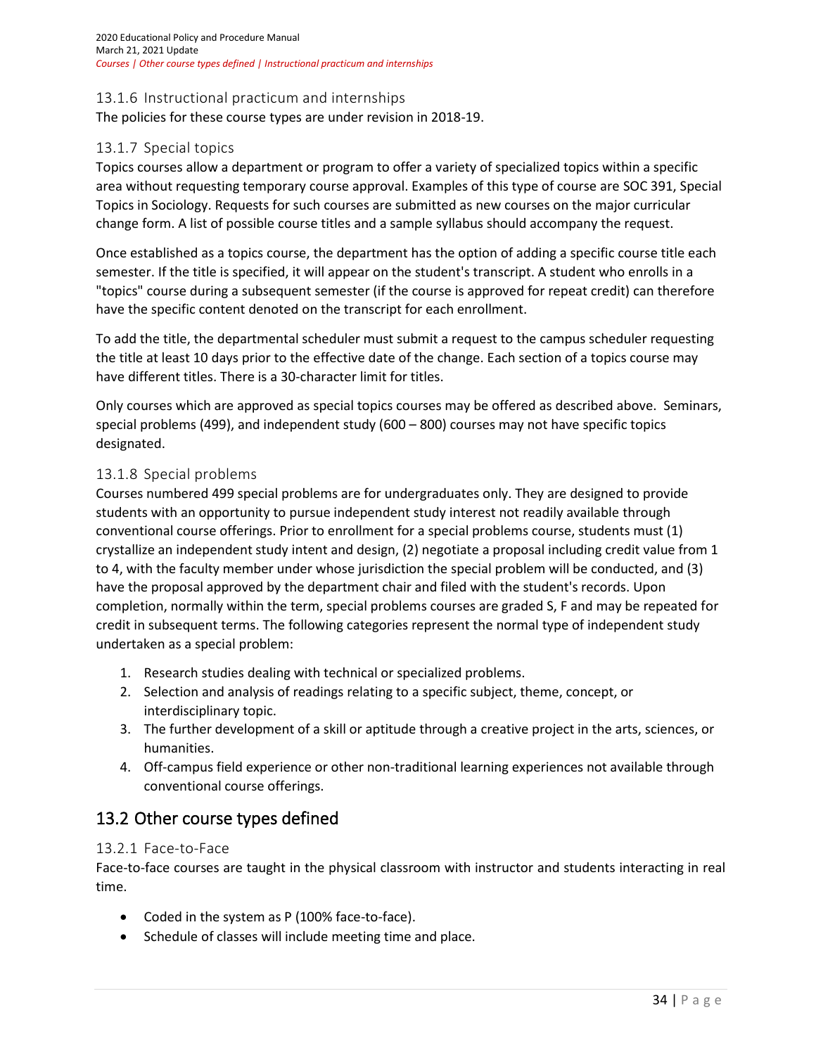### <span id="page-33-0"></span>13.1.6 Instructional practicum and internships

The policies for these course types are under revision in 2018-19.

### <span id="page-33-1"></span>13.1.7 Special topics

Topics courses allow a department or program to offer a variety of specialized topics within a specific area without requesting temporary course approval. Examples of this type of course are SOC 391, Special Topics in Sociology. Requests for such courses are submitted as new courses on the major curricular change form. A list of possible course titles and a sample syllabus should accompany the request.

Once established as a topics course, the department has the option of adding a specific course title each semester. If the title is specified, it will appear on the student's transcript. A student who enrolls in a "topics" course during a subsequent semester (if the course is approved for repeat credit) can therefore have the specific content denoted on the transcript for each enrollment.

To add the title, the departmental scheduler must submit a request to the campus scheduler requesting the title at least 10 days prior to the effective date of the change. Each section of a topics course may have different titles. There is a 30-character limit for titles.

Only courses which are approved as special topics courses may be offered as described above. Seminars, special problems (499), and independent study (600 – 800) courses may not have specific topics designated.

#### <span id="page-33-2"></span>13.1.8 Special problems

Courses numbered 499 special problems are for undergraduates only. They are designed to provide students with an opportunity to pursue independent study interest not readily available through conventional course offerings. Prior to enrollment for a special problems course, students must (1) crystallize an independent study intent and design, (2) negotiate a proposal including credit value from 1 to 4, with the faculty member under whose jurisdiction the special problem will be conducted, and (3) have the proposal approved by the department chair and filed with the student's records. Upon completion, normally within the term, special problems courses are graded S, F and may be repeated for credit in subsequent terms. The following categories represent the normal type of independent study undertaken as a special problem:

- 1. Research studies dealing with technical or specialized problems.
- 2. Selection and analysis of readings relating to a specific subject, theme, concept, or interdisciplinary topic.
- 3. The further development of a skill or aptitude through a creative project in the arts, sciences, or humanities.
- 4. Off-campus field experience or other non-traditional learning experiences not available through conventional course offerings.

## <span id="page-33-3"></span>13.2 Other course types defined

#### <span id="page-33-4"></span>13.2.1 Face-to-Face

Face-to-face courses are taught in the physical classroom with instructor and students interacting in real time.

- Coded in the system as P (100% face-to-face).
- Schedule of classes will include meeting time and place.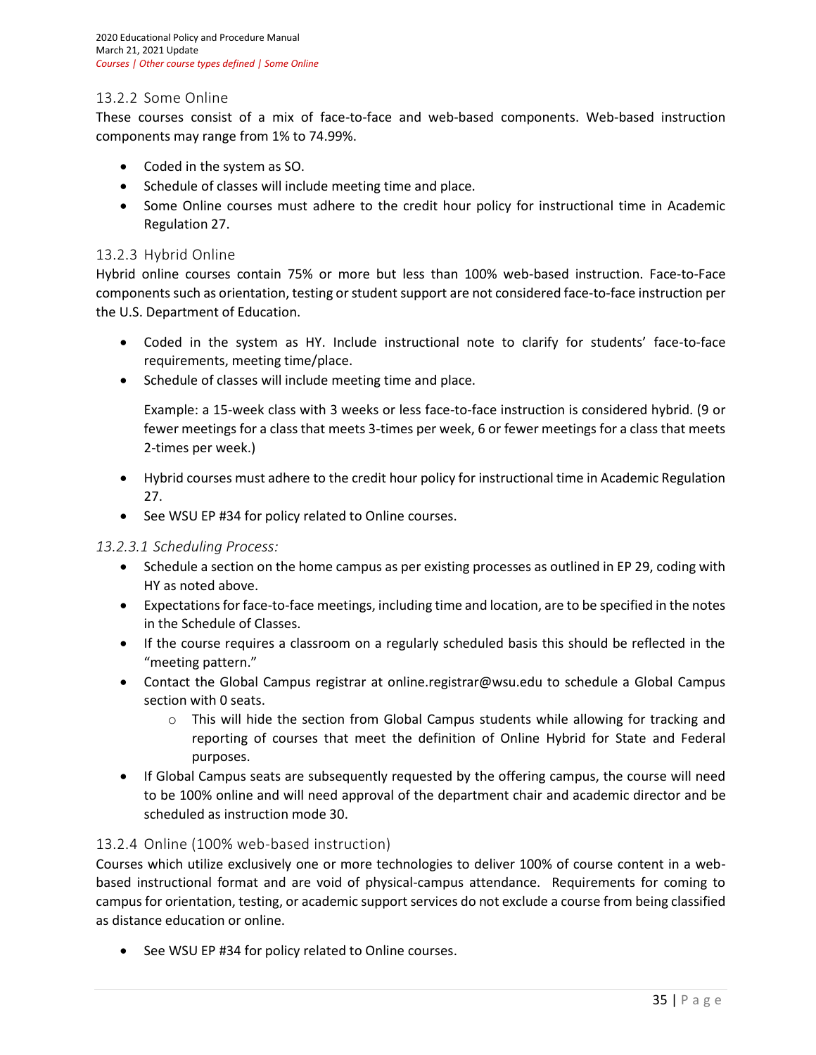### <span id="page-34-0"></span>13.2.2 Some Online

These courses consist of a mix of face-to-face and web-based components. Web-based instruction components may range from 1% to 74.99%.

- Coded in the system as SO.
- Schedule of classes will include meeting time and place.
- Some Online courses must adhere to the credit hour policy for instructional time in Academic Regulation 27.

#### <span id="page-34-1"></span>13.2.3 Hybrid Online

Hybrid online courses contain 75% or more but less than 100% web-based instruction. Face-to-Face components such as orientation, testing or student support are not considered face-to-face instruction per the U.S. Department of Education.

- Coded in the system as HY. Include instructional note to clarify for students' face-to-face requirements, meeting time/place.
- Schedule of classes will include meeting time and place.

Example: a 15-week class with 3 weeks or less face-to-face instruction is considered hybrid. (9 or fewer meetings for a class that meets 3-times per week, 6 or fewer meetings for a class that meets 2-times per week.)

- Hybrid courses must adhere to the credit hour policy for instructional time in Academic Regulation 27.
- See WSU EP #34 for policy related to Online courses.

#### *13.2.3.1 Scheduling Process:*

- Schedule a section on the home campus as per existing processes as outlined in EP 29, coding with HY as noted above.
- Expectations for face-to-face meetings, including time and location, are to be specified in the notes in the Schedule of Classes.
- If the course requires a classroom on a regularly scheduled basis this should be reflected in the "meeting pattern."
- Contact the Global Campus registrar at online.registrar@wsu.edu to schedule a Global Campus section with 0 seats.
	- o This will hide the section from Global Campus students while allowing for tracking and reporting of courses that meet the definition of Online Hybrid for State and Federal purposes.
- If Global Campus seats are subsequently requested by the offering campus, the course will need to be 100% online and will need approval of the department chair and academic director and be scheduled as instruction mode 30.

### <span id="page-34-2"></span>13.2.4 Online (100% web-based instruction)

Courses which utilize exclusively one or more technologies to deliver 100% of course content in a webbased instructional format and are void of physical-campus attendance. Requirements for coming to campus for orientation, testing, or academic support services do not exclude a course from being classified as distance education or online.

• See WSU EP #34 for policy related to Online courses.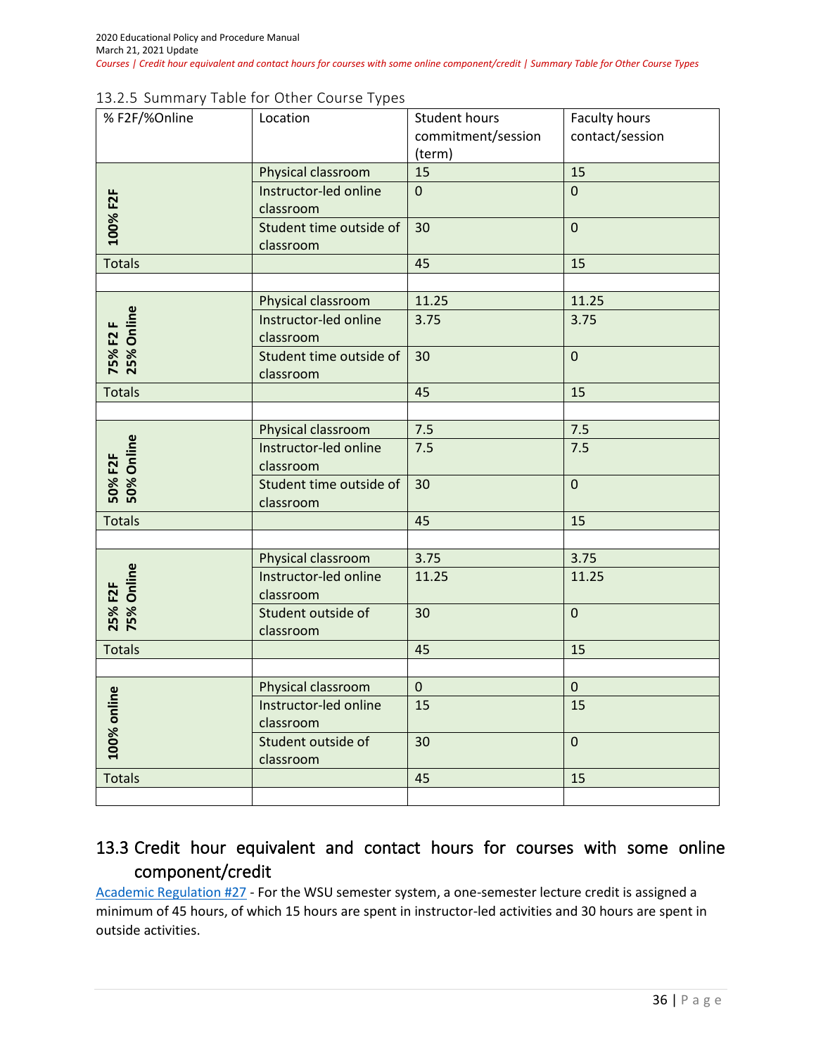<span id="page-35-0"></span>

|  | 13.2.5 Summary Table for Other Course Types |  |  |  |  |
|--|---------------------------------------------|--|--|--|--|
|--|---------------------------------------------|--|--|--|--|

| % F2F/%Online          | Location                | <b>Student hours</b> | Faculty hours   |
|------------------------|-------------------------|----------------------|-----------------|
|                        |                         | commitment/session   | contact/session |
|                        |                         | (term)               |                 |
|                        | Physical classroom      | 15                   | 15              |
|                        | Instructor-led online   | $\mathbf 0$          | $\overline{0}$  |
| 100% F2F               | classroom               |                      |                 |
|                        | Student time outside of | 30                   | $\mathbf 0$     |
|                        | classroom               |                      |                 |
| <b>Totals</b>          |                         | 45                   | 15              |
|                        |                         |                      |                 |
|                        | Physical classroom      | 11.25                | 11.25           |
|                        | Instructor-led online   | 3.75                 | 3.75            |
|                        | classroom               |                      |                 |
| 75% F2 F<br>25% Online | Student time outside of | 30                   | $\mathbf 0$     |
|                        | classroom               |                      |                 |
| <b>Totals</b>          |                         | 45                   | 15              |
|                        |                         |                      |                 |
|                        | Physical classroom      | 7.5                  | 7.5             |
|                        | Instructor-led online   | 7.5                  | 7.5             |
| 50% F2F<br>50% Online  | classroom               |                      |                 |
|                        | Student time outside of | 30                   | $\mathbf 0$     |
|                        | classroom               |                      |                 |
| <b>Totals</b>          |                         | 45                   | 15              |
|                        |                         |                      |                 |
|                        | Physical classroom      | 3.75                 | 3.75            |
|                        | Instructor-led online   | 11.25                | 11.25           |
| 25% F2F<br>75% Online  | classroom               |                      |                 |
|                        | Student outside of      | 30                   | $\mathbf 0$     |
|                        | classroom               |                      |                 |
| <b>Totals</b>          |                         | 45                   | 15              |
|                        |                         |                      |                 |
| eni                    | Physical classroom      | $\pmb{0}$            | $\pmb{0}$       |
|                        | Instructor-led online   | $15$                 | $15$            |
| 100% onl               | classroom               |                      |                 |
|                        | Student outside of      | 30                   | $\mathbf 0$     |
|                        | classroom               |                      |                 |
| <b>Totals</b>          |                         | 45                   | 15              |
|                        |                         |                      |                 |

# <span id="page-35-1"></span>13.3 Credit hour equivalent and contact hours for courses with some online component/credit

[Academic Regulation #27](https://www.catalog.wsu.edu/General/AcademicRegulations/ListBy/27) - For the WSU semester system, a one-semester lecture credit is assigned a minimum of 45 hours, of which 15 hours are spent in instructor-led activities and 30 hours are spent in outside activities.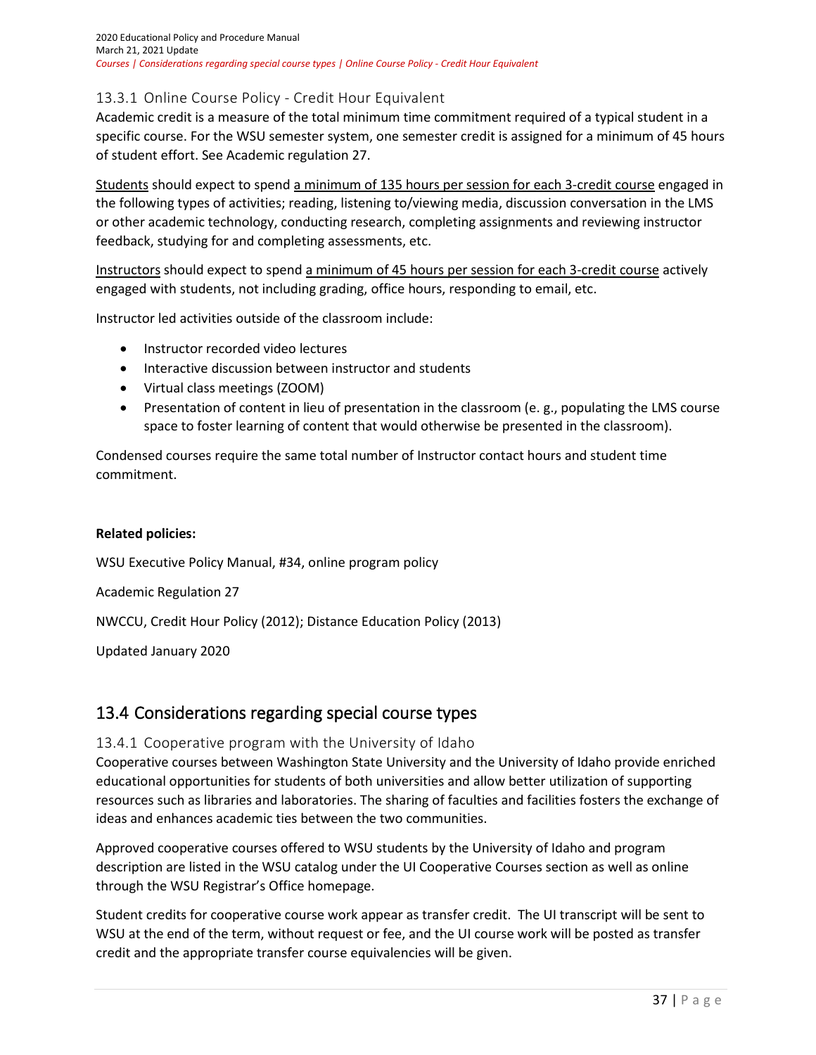2020 Educational Policy and Procedure Manual March 21, 2021 Update *Courses | Considerations regarding special course types | Online Course Policy - Credit Hour Equivalent*

### 13.3.1 Online Course Policy - Credit Hour Equivalent

Academic credit is a measure of the total minimum time commitment required of a typical student in a specific course. For the WSU semester system, one semester credit is assigned for a minimum of 45 hours of student effort. See Academic regulation 27.

Students should expect to spend a minimum of 135 hours per session for each 3-credit course engaged in the following types of activities; reading, listening to/viewing media, discussion conversation in the LMS or other academic technology, conducting research, completing assignments and reviewing instructor feedback, studying for and completing assessments, etc.

Instructors should expect to spend a minimum of 45 hours per session for each 3-credit course actively engaged with students, not including grading, office hours, responding to email, etc.

Instructor led activities outside of the classroom include:

- Instructor recorded video lectures
- Interactive discussion between instructor and students
- Virtual class meetings (ZOOM)
- Presentation of content in lieu of presentation in the classroom (e. g., populating the LMS course space to foster learning of content that would otherwise be presented in the classroom).

Condensed courses require the same total number of Instructor contact hours and student time commitment.

#### **Related policies:**

WSU Executive Policy Manual, #34, online program policy

Academic Regulation 27

NWCCU, Credit Hour Policy (2012); Distance Education Policy (2013)

Updated January 2020

## 13.4 Considerations regarding special course types

#### 13.4.1 Cooperative program with the University of Idaho

Cooperative courses between Washington State University and the University of Idaho provide enriched educational opportunities for students of both universities and allow better utilization of supporting resources such as libraries and laboratories. The sharing of faculties and facilities fosters the exchange of ideas and enhances academic ties between the two communities.

Approved cooperative courses offered to WSU students by the University of Idaho and program description are listed in the WSU catalog under the UI Cooperative Courses section as well as online through the WSU Registrar's Office homepage.

Student credits for cooperative course work appear as transfer credit. The UI transcript will be sent to WSU at the end of the term, without request or fee, and the UI course work will be posted as transfer credit and the appropriate transfer course equivalencies will be given.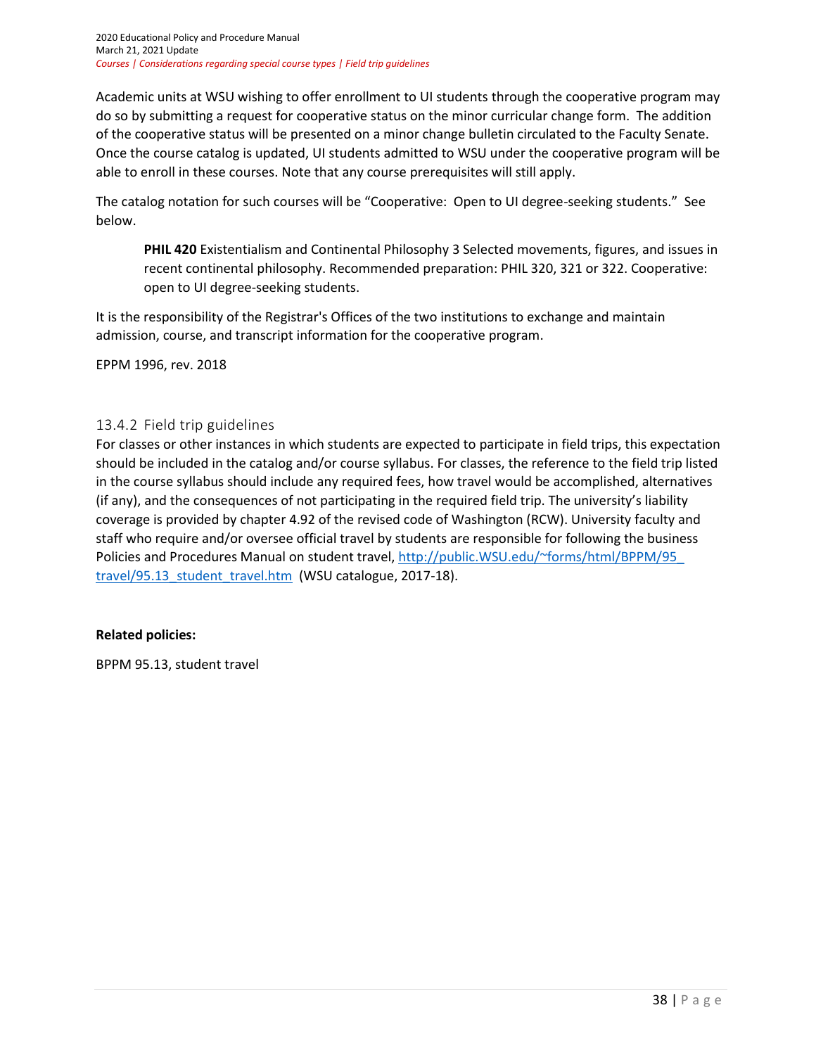Academic units at WSU wishing to offer enrollment to UI students through the cooperative program may do so by submitting a request for cooperative status on the minor curricular change form. The addition of the cooperative status will be presented on a minor change bulletin circulated to the Faculty Senate. Once the course catalog is updated, UI students admitted to WSU under the cooperative program will be able to enroll in these courses. Note that any course prerequisites will still apply.

The catalog notation for such courses will be "Cooperative: Open to UI degree-seeking students." See below.

**PHIL 420** Existentialism and Continental Philosophy 3 Selected movements, figures, and issues in recent continental philosophy. Recommended preparation: PHIL 320, 321 or 322. Cooperative: open to UI degree-seeking students.

It is the responsibility of the Registrar's Offices of the two institutions to exchange and maintain admission, course, and transcript information for the cooperative program.

EPPM 1996, rev. 2018

## 13.4.2 Field trip guidelines

For classes or other instances in which students are expected to participate in field trips, this expectation should be included in the catalog and/or course syllabus. For classes, the reference to the field trip listed in the course syllabus should include any required fees, how travel would be accomplished, alternatives (if any), and the consequences of not participating in the required field trip. The university's liability coverage is provided by chapter 4.92 of the revised code of Washington (RCW). University faculty and staff who require and/or oversee official travel by students are responsible for following the business Policies and Procedures Manual on student travel, [http://public.WSU.edu/~forms/html/BPPM/95\\_](http://public.wsu.edu/~forms/HTML/BPPM/95_%20Travel/95.13_Student_Travel.htm)  [travel/95.13\\_student\\_travel.htm](http://public.wsu.edu/~forms/HTML/BPPM/95_%20Travel/95.13_Student_Travel.htm) (WSU catalogue, 2017-18).

### **Related policies:**

BPPM 95.13, student travel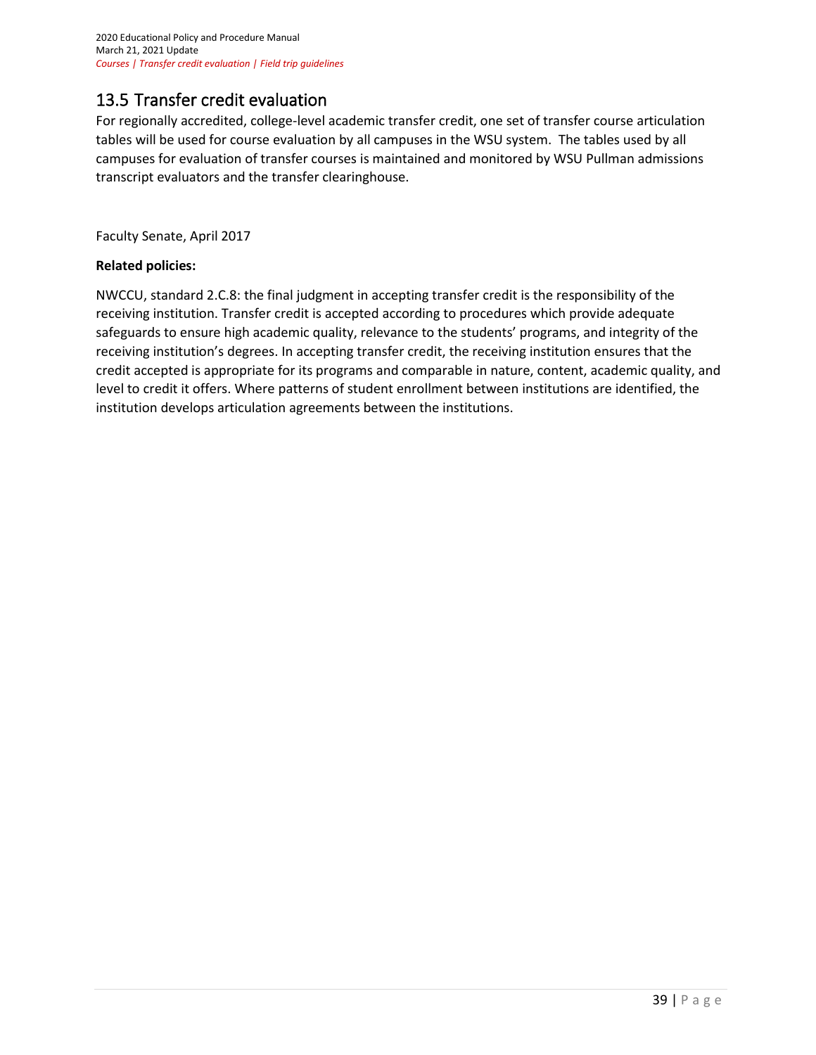# 13.5 Transfer credit evaluation

For regionally accredited, college-level academic transfer credit, one set of transfer course articulation tables will be used for course evaluation by all campuses in the WSU system. The tables used by all campuses for evaluation of transfer courses is maintained and monitored by WSU Pullman admissions transcript evaluators and the transfer clearinghouse.

Faculty Senate, April 2017

#### **Related policies:**

NWCCU, standard 2.C.8: the final judgment in accepting transfer credit is the responsibility of the receiving institution. Transfer credit is accepted according to procedures which provide adequate safeguards to ensure high academic quality, relevance to the students' programs, and integrity of the receiving institution's degrees. In accepting transfer credit, the receiving institution ensures that the credit accepted is appropriate for its programs and comparable in nature, content, academic quality, and level to credit it offers. Where patterns of student enrollment between institutions are identified, the institution develops articulation agreements between the institutions.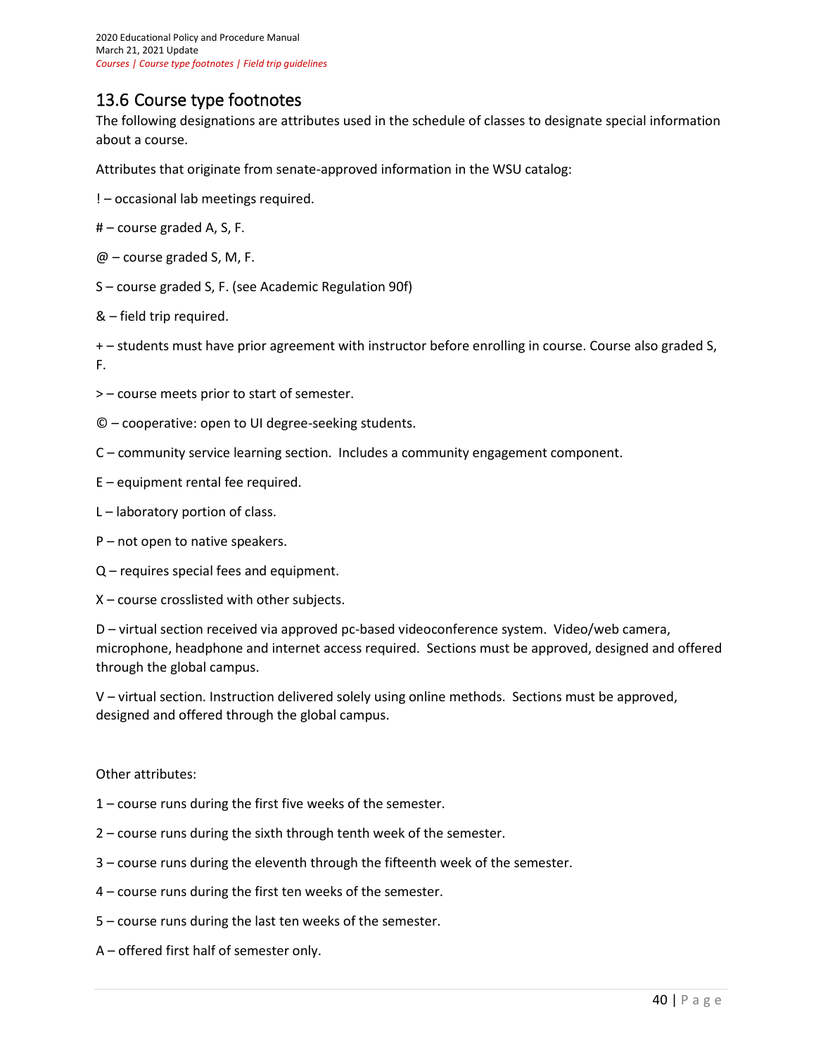# 13.6 Course type footnotes

The following designations are attributes used in the schedule of classes to designate special information about a course.

Attributes that originate from senate-approved information in the WSU catalog:

- ! occasional lab meetings required.
- # course graded A, S, F.
- @ course graded S, M, F.
- S course graded S, F. (see Academic Regulation 90f)
- & field trip required.

+ – students must have prior agreement with instructor before enrolling in course. Course also graded S, F.

- > course meets prior to start of semester.
- © cooperative: open to UI degree-seeking students.
- C community service learning section. Includes a community engagement component.
- E equipment rental fee required.
- L laboratory portion of class.
- P not open to native speakers.
- Q requires special fees and equipment.
- X course crosslisted with other subjects.

D – virtual section received via approved pc-based videoconference system. Video/web camera, microphone, headphone and internet access required. Sections must be approved, designed and offered through the global campus.

V – virtual section. Instruction delivered solely using online methods. Sections must be approved, designed and offered through the global campus.

#### Other attributes:

- 1 course runs during the first five weeks of the semester.
- 2 course runs during the sixth through tenth week of the semester.
- 3 course runs during the eleventh through the fifteenth week of the semester.
- 4 course runs during the first ten weeks of the semester.
- 5 course runs during the last ten weeks of the semester.
- A offered first half of semester only.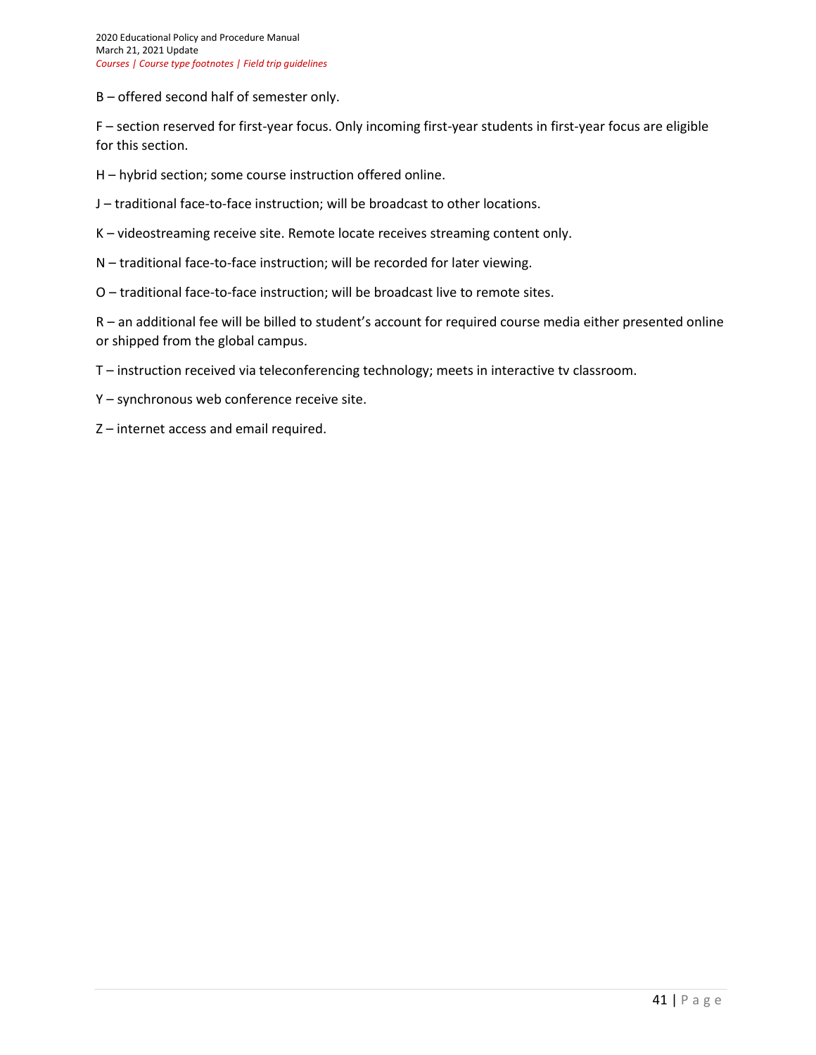B – offered second half of semester only.

F – section reserved for first-year focus. Only incoming first-year students in first-year focus are eligible for this section.

H – hybrid section; some course instruction offered online.

J – traditional face-to-face instruction; will be broadcast to other locations.

K – videostreaming receive site. Remote locate receives streaming content only.

N – traditional face-to-face instruction; will be recorded for later viewing.

O – traditional face-to-face instruction; will be broadcast live to remote sites.

R – an additional fee will be billed to student's account for required course media either presented online or shipped from the global campus.

T – instruction received via teleconferencing technology; meets in interactive tv classroom.

Y – synchronous web conference receive site.

Z – internet access and email required.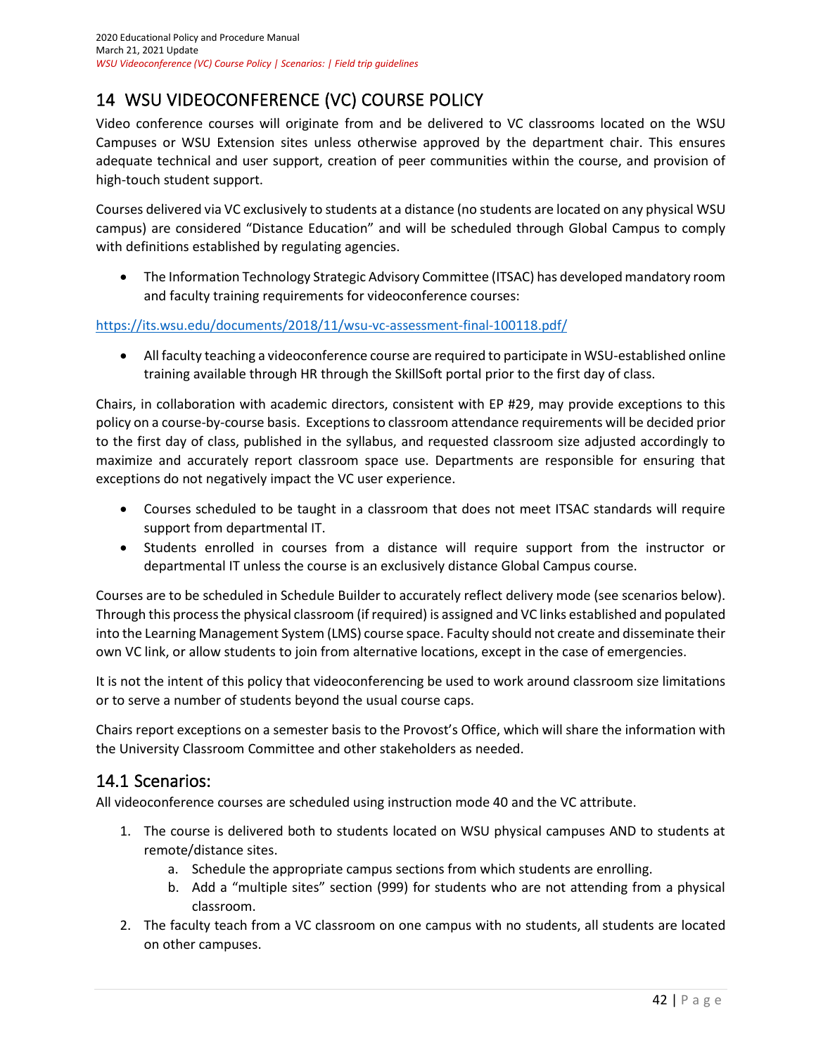# 14 WSU VIDEOCONFERENCE (VC) COURSE POLICY

Video conference courses will originate from and be delivered to VC classrooms located on the WSU Campuses or WSU Extension sites unless otherwise approved by the department chair. This ensures adequate technical and user support, creation of peer communities within the course, and provision of high-touch student support.

Courses delivered via VC exclusively to students at a distance (no students are located on any physical WSU campus) are considered "Distance Education" and will be scheduled through Global Campus to comply with definitions established by regulating agencies.

• The Information Technology Strategic Advisory Committee (ITSAC) has developed mandatory room and faculty training requirements for videoconference courses:

### <https://its.wsu.edu/documents/2018/11/wsu-vc-assessment-final-100118.pdf/>

• All faculty teaching a videoconference course are required to participate in WSU-established online training available through HR through the SkillSoft portal prior to the first day of class.

Chairs, in collaboration with academic directors, consistent with EP #29, may provide exceptions to this policy on a course-by-course basis. Exceptions to classroom attendance requirements will be decided prior to the first day of class, published in the syllabus, and requested classroom size adjusted accordingly to maximize and accurately report classroom space use. Departments are responsible for ensuring that exceptions do not negatively impact the VC user experience.

- Courses scheduled to be taught in a classroom that does not meet ITSAC standards will require support from departmental IT.
- Students enrolled in courses from a distance will require support from the instructor or departmental IT unless the course is an exclusively distance Global Campus course.

Courses are to be scheduled in Schedule Builder to accurately reflect delivery mode (see scenarios below). Through this process the physical classroom (if required) is assigned and VC links established and populated into the Learning Management System (LMS) course space. Faculty should not create and disseminate their own VC link, or allow students to join from alternative locations, except in the case of emergencies.

It is not the intent of this policy that videoconferencing be used to work around classroom size limitations or to serve a number of students beyond the usual course caps.

Chairs report exceptions on a semester basis to the Provost's Office, which will share the information with the University Classroom Committee and other stakeholders as needed.

## 14.1 Scenarios:

All videoconference courses are scheduled using instruction mode 40 and the VC attribute.

- 1. The course is delivered both to students located on WSU physical campuses AND to students at remote/distance sites.
	- a. Schedule the appropriate campus sections from which students are enrolling.
	- b. Add a "multiple sites" section (999) for students who are not attending from a physical classroom.
- 2. The faculty teach from a VC classroom on one campus with no students, all students are located on other campuses.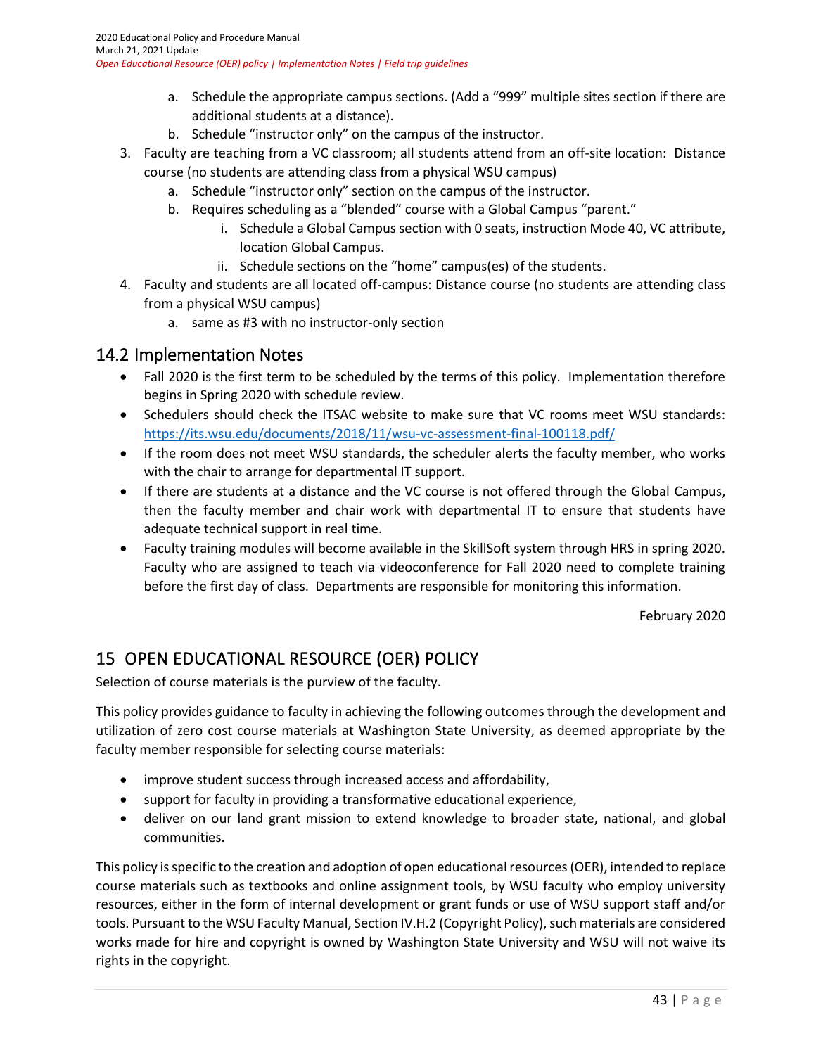- a. Schedule the appropriate campus sections. (Add a "999" multiple sites section if there are additional students at a distance).
- b. Schedule "instructor only" on the campus of the instructor.
- 3. Faculty are teaching from a VC classroom; all students attend from an off-site location: Distance course (no students are attending class from a physical WSU campus)
	- a. Schedule "instructor only" section on the campus of the instructor.
	- b. Requires scheduling as a "blended" course with a Global Campus "parent."
		- i. Schedule a Global Campus section with 0 seats, instruction Mode 40, VC attribute, location Global Campus.
		- ii. Schedule sections on the "home" campus(es) of the students.
- 4. Faculty and students are all located off-campus: Distance course (no students are attending class from a physical WSU campus)
	- a. same as #3 with no instructor-only section

## 14.2 Implementation Notes

- Fall 2020 is the first term to be scheduled by the terms of this policy. Implementation therefore begins in Spring 2020 with schedule review.
- Schedulers should check the ITSAC website to make sure that VC rooms meet WSU standards: <https://its.wsu.edu/documents/2018/11/wsu-vc-assessment-final-100118.pdf/>
- If the room does not meet WSU standards, the scheduler alerts the faculty member, who works with the chair to arrange for departmental IT support.
- If there are students at a distance and the VC course is not offered through the Global Campus, then the faculty member and chair work with departmental IT to ensure that students have adequate technical support in real time.
- Faculty training modules will become available in the SkillSoft system through HRS in spring 2020. Faculty who are assigned to teach via videoconference for Fall 2020 need to complete training before the first day of class. Departments are responsible for monitoring this information.

February 2020

# 15 OPEN EDUCATIONAL RESOURCE (OER) POLICY

Selection of course materials is the purview of the faculty.

This policy provides guidance to faculty in achieving the following outcomes through the development and utilization of zero cost course materials at Washington State University, as deemed appropriate by the faculty member responsible for selecting course materials:

- improve student success through increased access and affordability,
- support for faculty in providing a transformative educational experience,
- deliver on our land grant mission to extend knowledge to broader state, national, and global communities.

This policy is specific to the creation and adoption of open educational resources (OER), intended to replace course materials such as textbooks and online assignment tools, by WSU faculty who employ university resources, either in the form of internal development or grant funds or use of WSU support staff and/or tools. Pursuant to the WSU Faculty Manual, Section IV.H.2 (Copyright Policy), such materials are considered works made for hire and copyright is owned by Washington State University and WSU will not waive its rights in the copyright.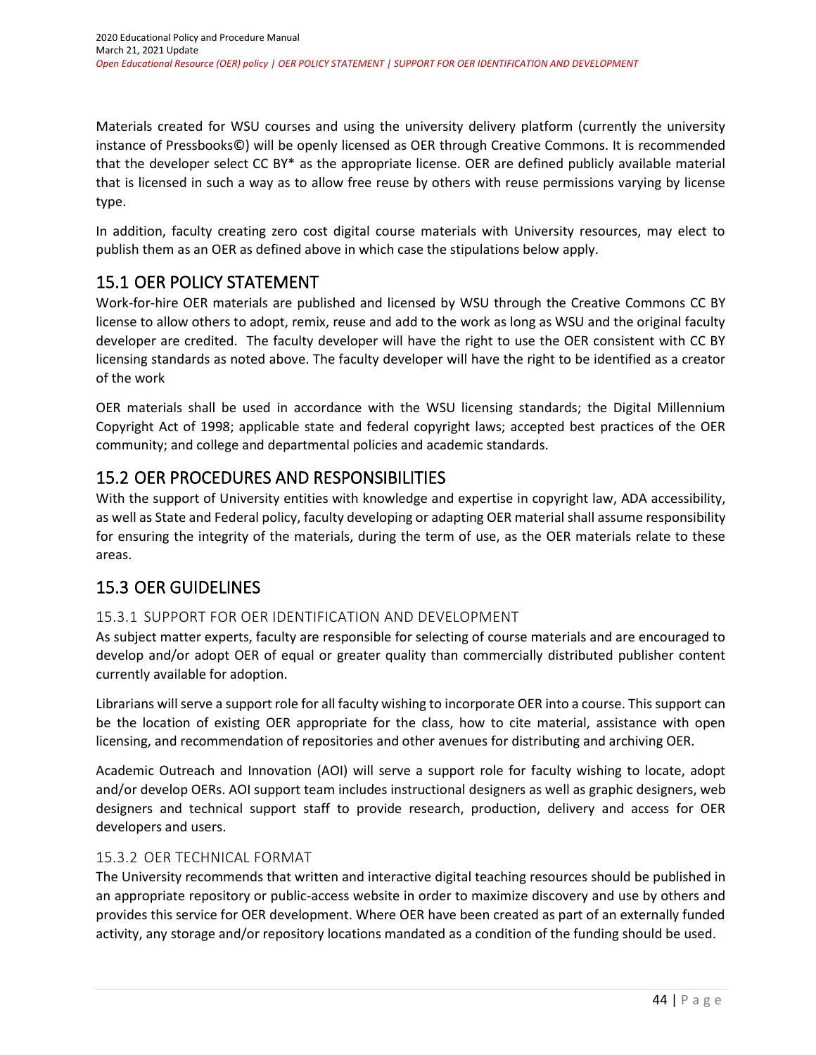Materials created for WSU courses and using the university delivery platform (currently the university instance of Pressbooks©) will be openly licensed as OER through Creative Commons. It is recommended that the developer select CC BY\* as the appropriate license. OER are defined publicly available material that is licensed in such a way as to allow free reuse by others with reuse permissions varying by license type.

In addition, faculty creating zero cost digital course materials with University resources, may elect to publish them as an OER as defined above in which case the stipulations below apply.

## 15.1 OER POLICY STATEMENT

Work-for-hire OER materials are published and licensed by WSU through the Creative Commons CC BY license to allow others to adopt, remix, reuse and add to the work as long as WSU and the original faculty developer are credited. The faculty developer will have the right to use the OER consistent with CC BY licensing standards as noted above. The faculty developer will have the right to be identified as a creator of the work

OER materials shall be used in accordance with the WSU licensing standards; the Digital Millennium Copyright Act of 1998; applicable state and federal copyright laws; accepted best practices of the OER community; and college and departmental policies and academic standards.

## 15.2 OER PROCEDURES AND RESPONSIBILITIES

With the support of University entities with knowledge and expertise in copyright law, ADA accessibility, as well as State and Federal policy, faculty developing or adapting OER material shall assume responsibility for ensuring the integrity of the materials, during the term of use, as the OER materials relate to these areas.

## 15.3 OER GUIDELINES

### 15.3.1 SUPPORT FOR OER IDENTIFICATION AND DEVELOPMENT

As subject matter experts, faculty are responsible for selecting of course materials and are encouraged to develop and/or adopt OER of equal or greater quality than commercially distributed publisher content currently available for adoption.

Librarians will serve a support role for all faculty wishing to incorporate OER into a course. This support can be the location of existing OER appropriate for the class, how to cite material, assistance with open licensing, and recommendation of repositories and other avenues for distributing and archiving OER.

Academic Outreach and Innovation (AOI) will serve a support role for faculty wishing to locate, adopt and/or develop OERs. AOI support team includes instructional designers as well as graphic designers, web designers and technical support staff to provide research, production, delivery and access for OER developers and users.

### 15.3.2 OER TECHNICAL FORMAT

The University recommends that written and interactive digital teaching resources should be published in an appropriate repository or public-access website in order to maximize discovery and use by others and provides this service for OER development. Where OER have been created as part of an externally funded activity, any storage and/or repository locations mandated as a condition of the funding should be used.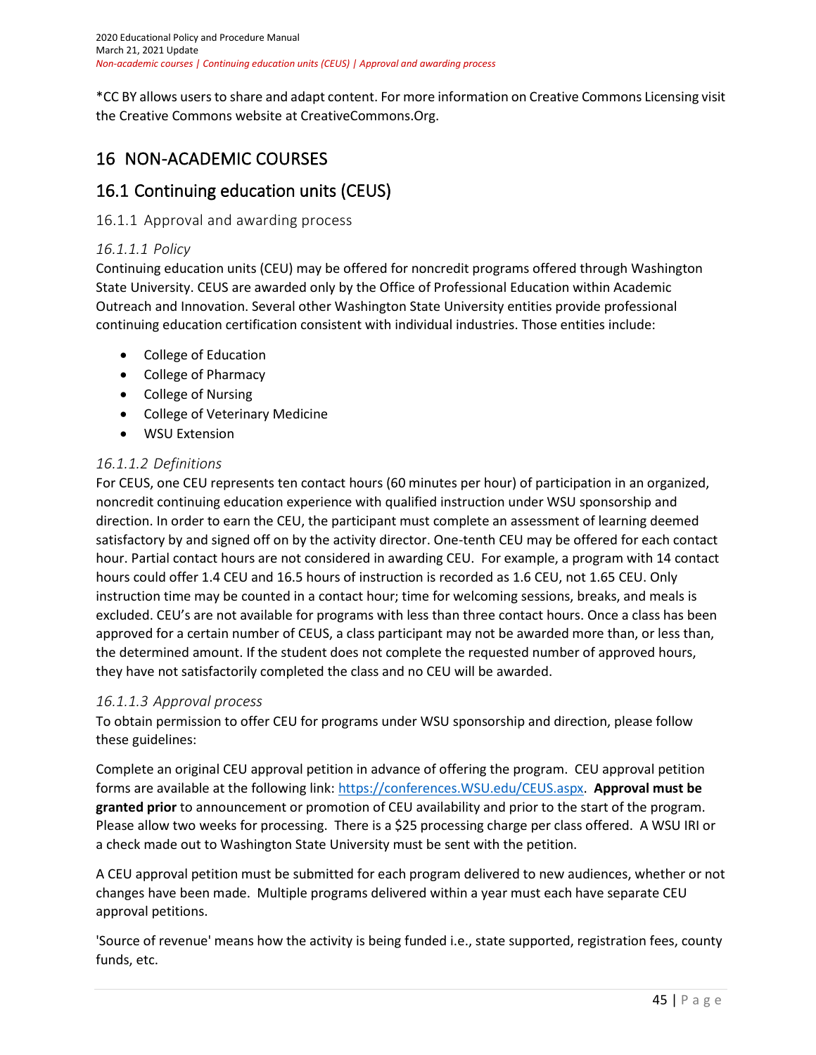\*CC BY allows users to share and adapt content. For more information on Creative Commons Licensing visit the Creative Commons website at CreativeCommons.Org.

# 16 NON-ACADEMIC COURSES

# 16.1 Continuing education units (CEUS)

## 16.1.1 Approval and awarding process

## *16.1.1.1 Policy*

Continuing education units (CEU) may be offered for noncredit programs offered through Washington State University. CEUS are awarded only by the Office of Professional Education within Academic Outreach and Innovation. Several other Washington State University entities provide professional continuing education certification consistent with individual industries. Those entities include:

- College of Education
- College of Pharmacy
- College of Nursing
- College of Veterinary Medicine
- WSU Extension

## *16.1.1.2 Definitions*

For CEUS, one CEU represents ten contact hours (60 minutes per hour) of participation in an organized, noncredit continuing education experience with qualified instruction under WSU sponsorship and direction. In order to earn the CEU, the participant must complete an assessment of learning deemed satisfactory by and signed off on by the activity director. One-tenth CEU may be offered for each contact hour. Partial contact hours are not considered in awarding CEU. For example, a program with 14 contact hours could offer 1.4 CEU and 16.5 hours of instruction is recorded as 1.6 CEU, not 1.65 CEU. Only instruction time may be counted in a contact hour; time for welcoming sessions, breaks, and meals is excluded. CEU's are not available for programs with less than three contact hours. Once a class has been approved for a certain number of CEUS, a class participant may not be awarded more than, or less than, the determined amount. If the student does not complete the requested number of approved hours, they have not satisfactorily completed the class and no CEU will be awarded.

### *16.1.1.3 Approval process*

To obtain permission to offer CEU for programs under WSU sponsorship and direction, please follow these guidelines:

Complete an original CEU approval petition in advance of offering the program. CEU approval petition forms are available at the following link[: https://conferences.WSU.edu/CEUS.aspx.](https://conferences.wsu.edu/ceus.aspx) **Approval must be granted prior** to announcement or promotion of CEU availability and prior to the start of the program. Please allow two weeks for processing. There is a \$25 processing charge per class offered. A WSU IRI or a check made out to Washington State University must be sent with the petition.

A CEU approval petition must be submitted for each program delivered to new audiences, whether or not changes have been made. Multiple programs delivered within a year must each have separate CEU approval petitions.

'Source of revenue' means how the activity is being funded i.e., state supported, registration fees, county funds, etc.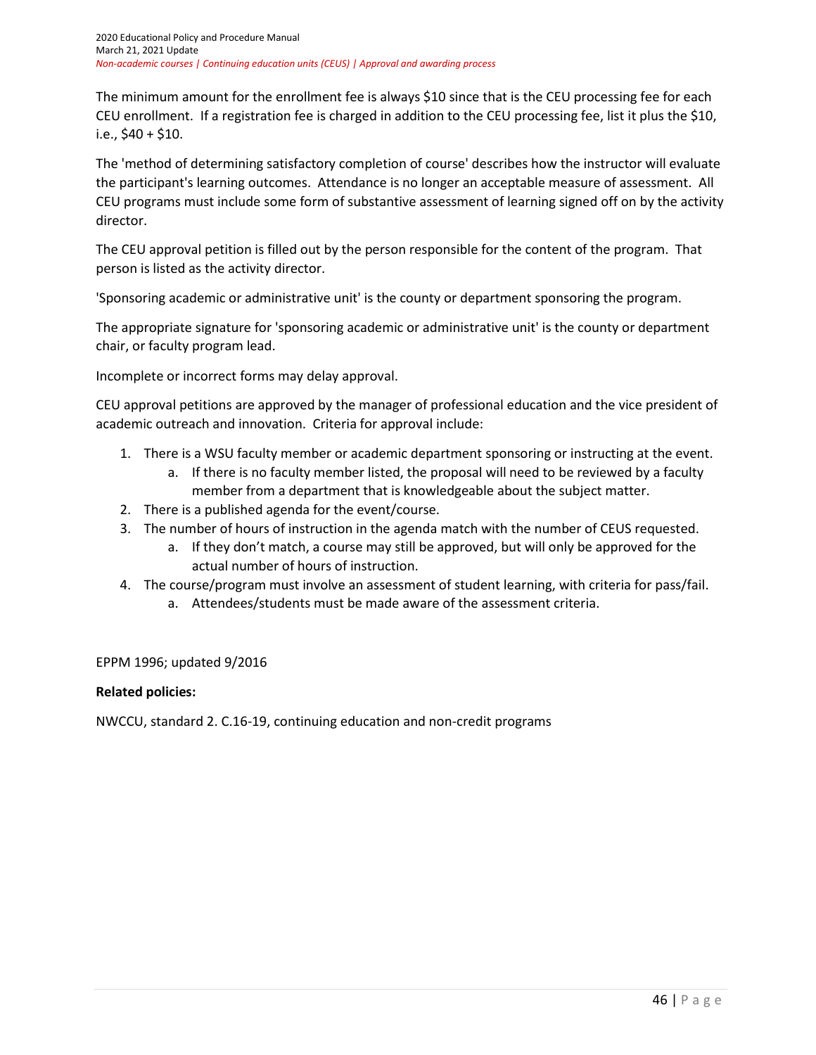The minimum amount for the enrollment fee is always \$10 since that is the CEU processing fee for each CEU enrollment. If a registration fee is charged in addition to the CEU processing fee, list it plus the \$10, i.e., \$40 + \$10.

The 'method of determining satisfactory completion of course' describes how the instructor will evaluate the participant's learning outcomes. Attendance is no longer an acceptable measure of assessment. All CEU programs must include some form of substantive assessment of learning signed off on by the activity director.

The CEU approval petition is filled out by the person responsible for the content of the program. That person is listed as the activity director.

'Sponsoring academic or administrative unit' is the county or department sponsoring the program.

The appropriate signature for 'sponsoring academic or administrative unit' is the county or department chair, or faculty program lead.

Incomplete or incorrect forms may delay approval.

CEU approval petitions are approved by the manager of professional education and the vice president of academic outreach and innovation. Criteria for approval include:

- 1. There is a WSU faculty member or academic department sponsoring or instructing at the event.
	- a. If there is no faculty member listed, the proposal will need to be reviewed by a faculty member from a department that is knowledgeable about the subject matter.
- 2. There is a published agenda for the event/course.
- 3. The number of hours of instruction in the agenda match with the number of CEUS requested.
	- a. If they don't match, a course may still be approved, but will only be approved for the actual number of hours of instruction.
- 4. The course/program must involve an assessment of student learning, with criteria for pass/fail.
	- a. Attendees/students must be made aware of the assessment criteria.

#### EPPM 1996; updated 9/2016

#### **Related policies:**

NWCCU, standard 2. C.16-19, continuing education and non-credit programs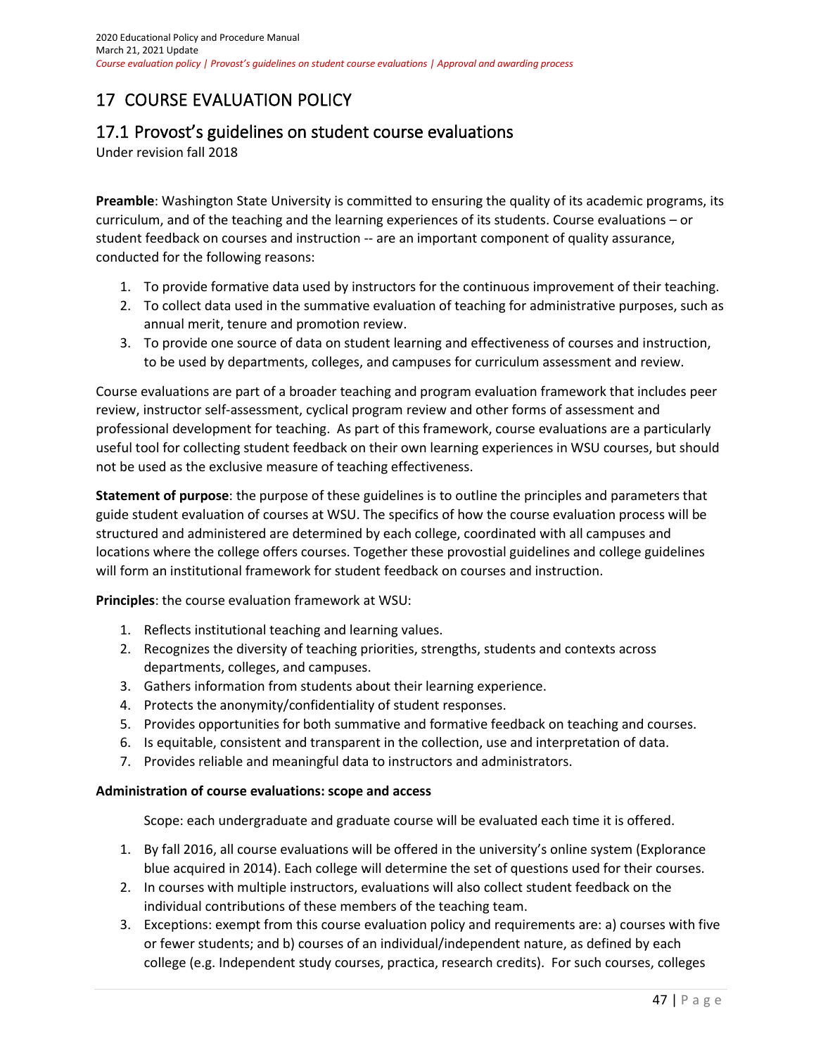# 17 COURSE EVALUATION POLICY

## 17.1 Provost's guidelines on student course evaluations

Under revision fall 2018

**Preamble**: Washington State University is committed to ensuring the quality of its academic programs, its curriculum, and of the teaching and the learning experiences of its students. Course evaluations – or student feedback on courses and instruction -- are an important component of quality assurance, conducted for the following reasons:

- 1. To provide formative data used by instructors for the continuous improvement of their teaching.
- 2. To collect data used in the summative evaluation of teaching for administrative purposes, such as annual merit, tenure and promotion review.
- 3. To provide one source of data on student learning and effectiveness of courses and instruction, to be used by departments, colleges, and campuses for curriculum assessment and review.

Course evaluations are part of a broader teaching and program evaluation framework that includes peer review, instructor self-assessment, cyclical program review and other forms of assessment and professional development for teaching. As part of this framework, course evaluations are a particularly useful tool for collecting student feedback on their own learning experiences in WSU courses, but should not be used as the exclusive measure of teaching effectiveness.

**Statement of purpose**: the purpose of these guidelines is to outline the principles and parameters that guide student evaluation of courses at WSU. The specifics of how the course evaluation process will be structured and administered are determined by each college, coordinated with all campuses and locations where the college offers courses. Together these provostial guidelines and college guidelines will form an institutional framework for student feedback on courses and instruction.

**Principles**: the course evaluation framework at WSU:

- 1. Reflects institutional teaching and learning values.
- 2. Recognizes the diversity of teaching priorities, strengths, students and contexts across departments, colleges, and campuses.
- 3. Gathers information from students about their learning experience.
- 4. Protects the anonymity/confidentiality of student responses.
- 5. Provides opportunities for both summative and formative feedback on teaching and courses.
- 6. Is equitable, consistent and transparent in the collection, use and interpretation of data.
- 7. Provides reliable and meaningful data to instructors and administrators.

### **Administration of course evaluations: scope and access**

Scope: each undergraduate and graduate course will be evaluated each time it is offered.

- 1. By fall 2016, all course evaluations will be offered in the university's online system (Explorance blue acquired in 2014). Each college will determine the set of questions used for their courses.
- 2. In courses with multiple instructors, evaluations will also collect student feedback on the individual contributions of these members of the teaching team.
- 3. Exceptions: exempt from this course evaluation policy and requirements are: a) courses with five or fewer students; and b) courses of an individual/independent nature, as defined by each college (e.g. Independent study courses, practica, research credits). For such courses, colleges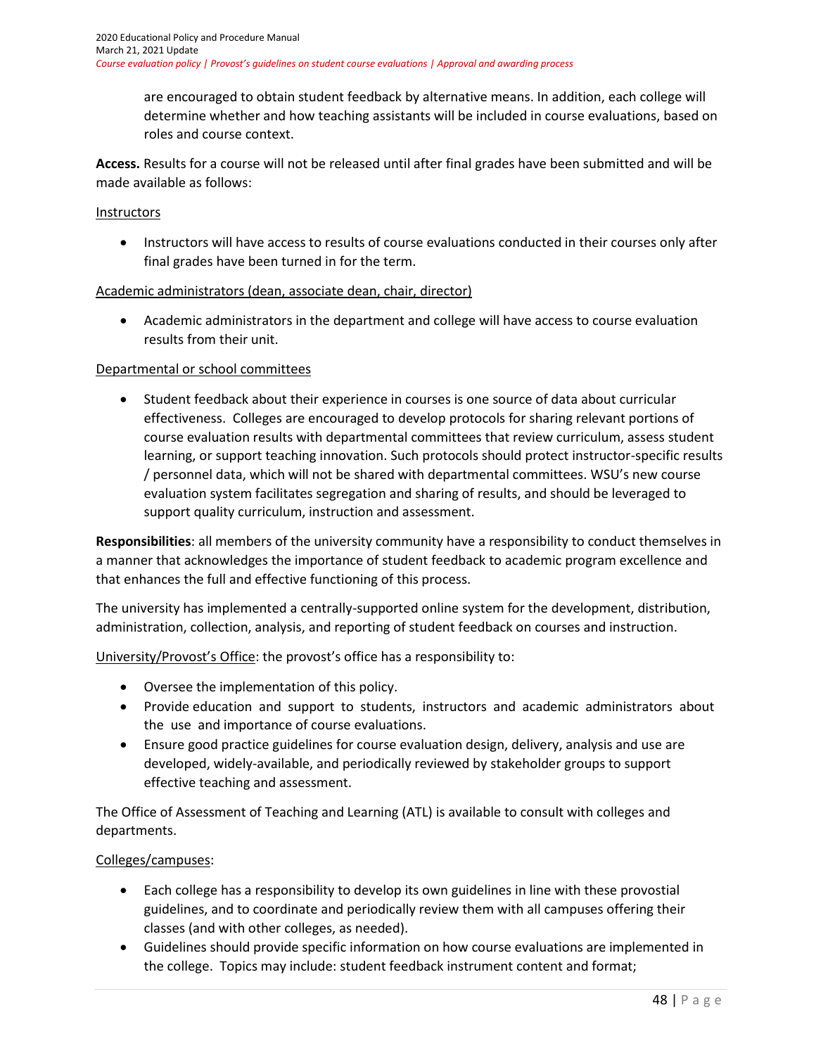are encouraged to obtain student feedback by alternative means. In addition, each college will determine whether and how teaching assistants will be included in course evaluations, based on roles and course context.

**Access.** Results for a course will not be released until after final grades have been submitted and will be made available as follows:

#### **Instructors**

• Instructors will have access to results of course evaluations conducted in their courses only after final grades have been turned in for the term.

#### Academic administrators (dean, associate dean, chair, director)

• Academic administrators in the department and college will have access to course evaluation results from their unit.

#### Departmental or school committees

• Student feedback about their experience in courses is one source of data about curricular effectiveness. Colleges are encouraged to develop protocols for sharing relevant portions of course evaluation results with departmental committees that review curriculum, assess student learning, or support teaching innovation. Such protocols should protect instructor-specific results / personnel data, which will not be shared with departmental committees. WSU's new course evaluation system facilitates segregation and sharing of results, and should be leveraged to support quality curriculum, instruction and assessment.

**Responsibilities**: all members of the university community have a responsibility to conduct themselves in a manner that acknowledges the importance of student feedback to academic program excellence and that enhances the full and effective functioning of this process.

The university has implemented a centrally-supported online system for the development, distribution, administration, collection, analysis, and reporting of student feedback on courses and instruction.

University/Provost's Office: the provost's office has a responsibility to:

- Oversee the implementation of this policy.
- Provide education and support to students, instructors and academic administrators about the use and importance of course evaluations.
- Ensure good practice guidelines for course evaluation design, delivery, analysis and use are developed, widely-available, and periodically reviewed by stakeholder groups to support effective teaching and assessment.

The Office of Assessment of Teaching and Learning (ATL) is available to consult with colleges and departments.

#### Colleges/campuses:

- Each college has a responsibility to develop its own guidelines in line with these provostial guidelines, and to coordinate and periodically review them with all campuses offering their classes (and with other colleges, as needed).
- Guidelines should provide specific information on how course evaluations are implemented in the college. Topics may include: student feedback instrument content and format;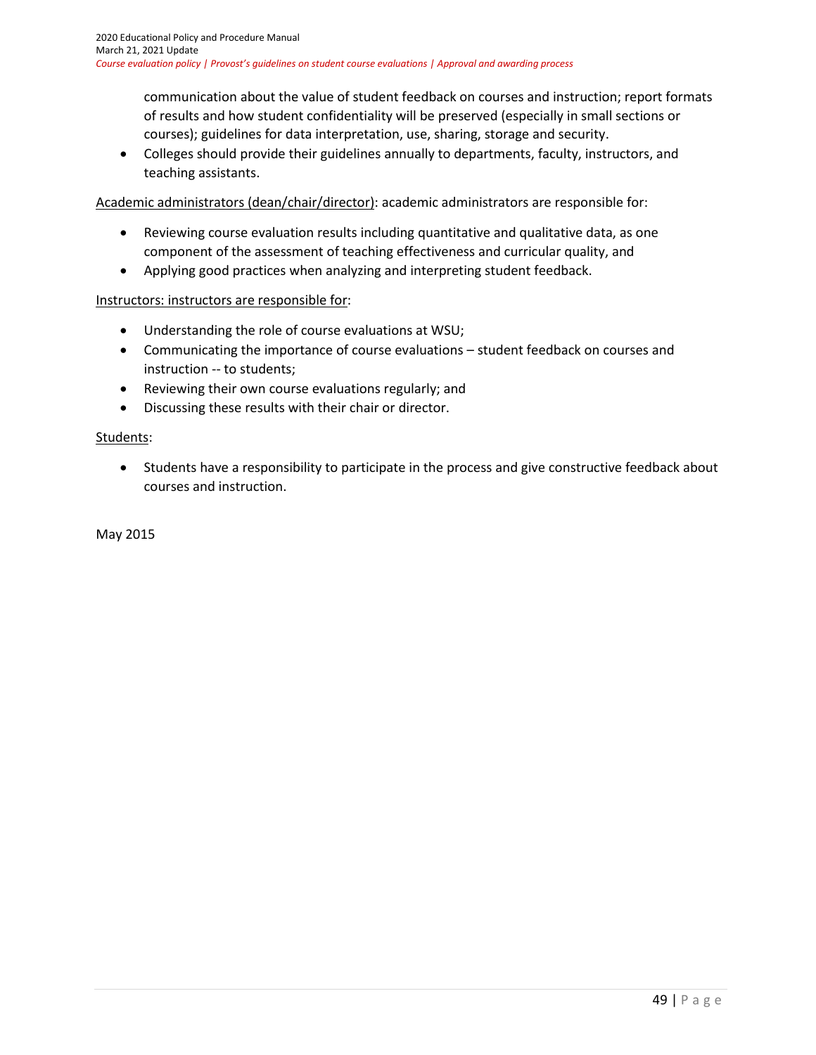communication about the value of student feedback on courses and instruction; report formats of results and how student confidentiality will be preserved (especially in small sections or courses); guidelines for data interpretation, use, sharing, storage and security.

• Colleges should provide their guidelines annually to departments, faculty, instructors, and teaching assistants.

Academic administrators (dean/chair/director): academic administrators are responsible for:

- Reviewing course evaluation results including quantitative and qualitative data, as one component of the assessment of teaching effectiveness and curricular quality, and
- Applying good practices when analyzing and interpreting student feedback.

#### Instructors: instructors are responsible for:

- Understanding the role of course evaluations at WSU;
- Communicating the importance of course evaluations student feedback on courses and instruction -- to students;
- Reviewing their own course evaluations regularly; and
- Discussing these results with their chair or director.

#### Students:

• Students have a responsibility to participate in the process and give constructive feedback about courses and instruction.

May 2015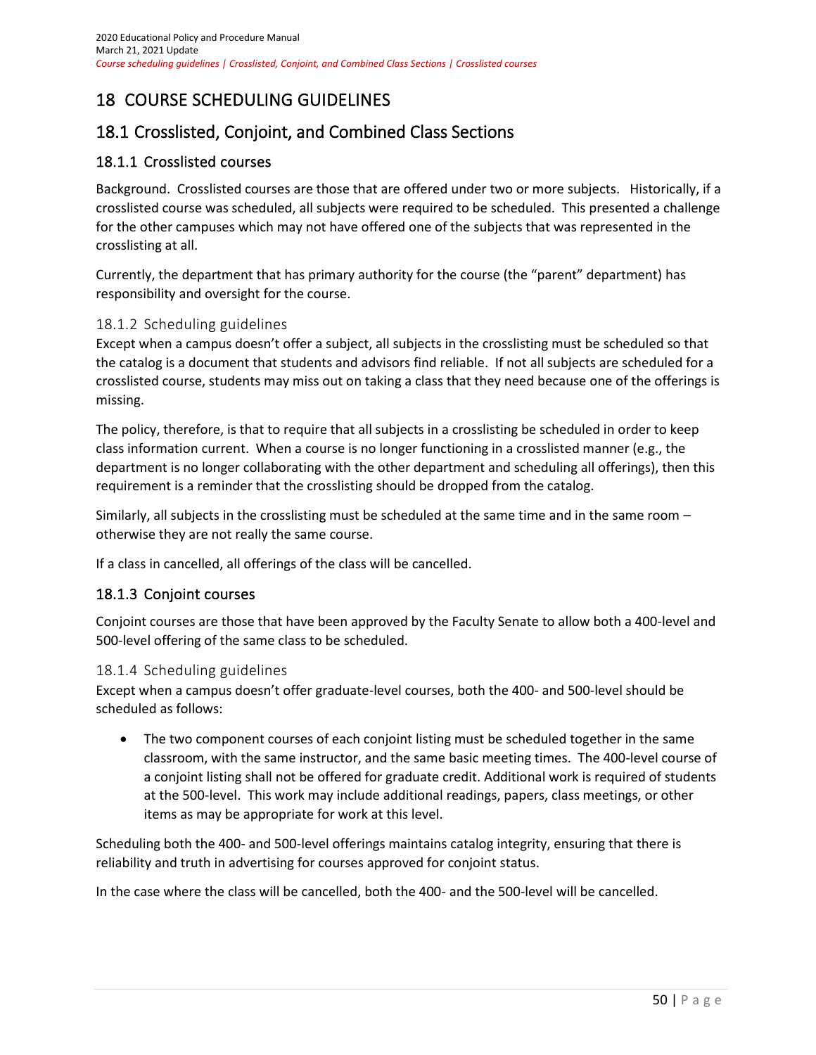# 18 COURSE SCHEDULING GUIDELINES

# 18.1 Crosslisted, Conjoint, and Combined Class Sections

## 18.1.1 Crosslisted courses

Background. Crosslisted courses are those that are offered under two or more subjects. Historically, if a crosslisted course was scheduled, all subjects were required to be scheduled. This presented a challenge for the other campuses which may not have offered one of the subjects that was represented in the crosslisting at all.

Currently, the department that has primary authority for the course (the "parent" department) has responsibility and oversight for the course.

## 18.1.2 Scheduling guidelines

Except when a campus doesn't offer a subject, all subjects in the crosslisting must be scheduled so that the catalog is a document that students and advisors find reliable. If not all subjects are scheduled for a crosslisted course, students may miss out on taking a class that they need because one of the offerings is missing.

The policy, therefore, is that to require that all subjects in a crosslisting be scheduled in order to keep class information current. When a course is no longer functioning in a crosslisted manner (e.g., the department is no longer collaborating with the other department and scheduling all offerings), then this requirement is a reminder that the crosslisting should be dropped from the catalog.

Similarly, all subjects in the crosslisting must be scheduled at the same time and in the same room – otherwise they are not really the same course.

If a class in cancelled, all offerings of the class will be cancelled.

## 18.1.3 Conjoint courses

Conjoint courses are those that have been approved by the Faculty Senate to allow both a 400-level and 500-level offering of the same class to be scheduled.

### 18.1.4 Scheduling guidelines

Except when a campus doesn't offer graduate-level courses, both the 400- and 500-level should be scheduled as follows:

• The two component courses of each conjoint listing must be scheduled together in the same classroom, with the same instructor, and the same basic meeting times. The 400-level course of a conjoint listing shall not be offered for graduate credit. Additional work is required of students at the 500-level. This work may include additional readings, papers, class meetings, or other items as may be appropriate for work at this level.

Scheduling both the 400- and 500-level offerings maintains catalog integrity, ensuring that there is reliability and truth in advertising for courses approved for conjoint status.

In the case where the class will be cancelled, both the 400- and the 500-level will be cancelled.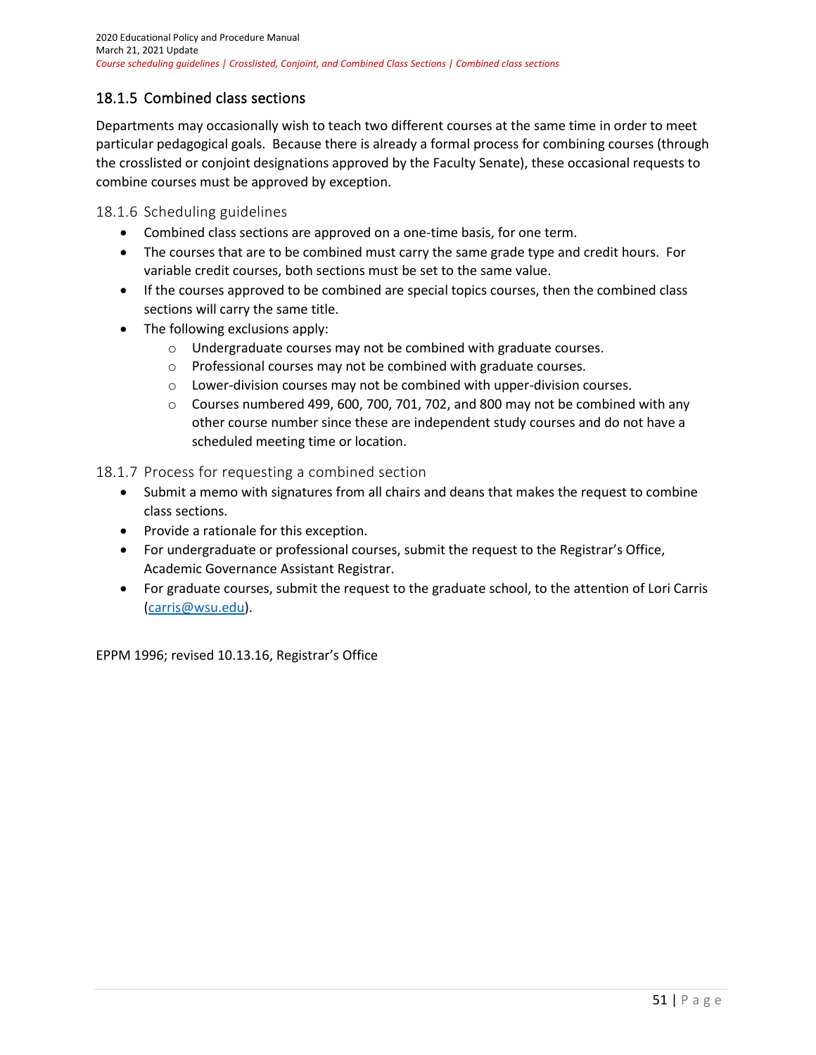## 18.1.5 Combined class sections

Departments may occasionally wish to teach two different courses at the same time in order to meet particular pedagogical goals. Because there is already a formal process for combining courses (through the crosslisted or conjoint designations approved by the Faculty Senate), these occasional requests to combine courses must be approved by exception.

18.1.6 Scheduling guidelines

- Combined class sections are approved on a one-time basis, for one term.
- The courses that are to be combined must carry the same grade type and credit hours. For variable credit courses, both sections must be set to the same value.
- If the courses approved to be combined are special topics courses, then the combined class sections will carry the same title.
- The following exclusions apply:
	- o Undergraduate courses may not be combined with graduate courses.
	- o Professional courses may not be combined with graduate courses.
	- $\circ$  Lower-division courses may not be combined with upper-division courses.
	- $\circ$  Courses numbered 499, 600, 700, 701, 702, and 800 may not be combined with any other course number since these are independent study courses and do not have a scheduled meeting time or location.

18.1.7 Process for requesting a combined section

- Submit a memo with signatures from all chairs and deans that makes the request to combine class sections.
- Provide a rationale for this exception.
- For undergraduate or professional courses, submit the request to the Registrar's Office, Academic Governance Assistant Registrar.
- For graduate courses, submit the request to the graduate school, to the attention of Lori Carris [\(carris@wsu.edu\)](mailto:carris@wsu.edu).

EPPM 1996; revised 10.13.16, Registrar's Office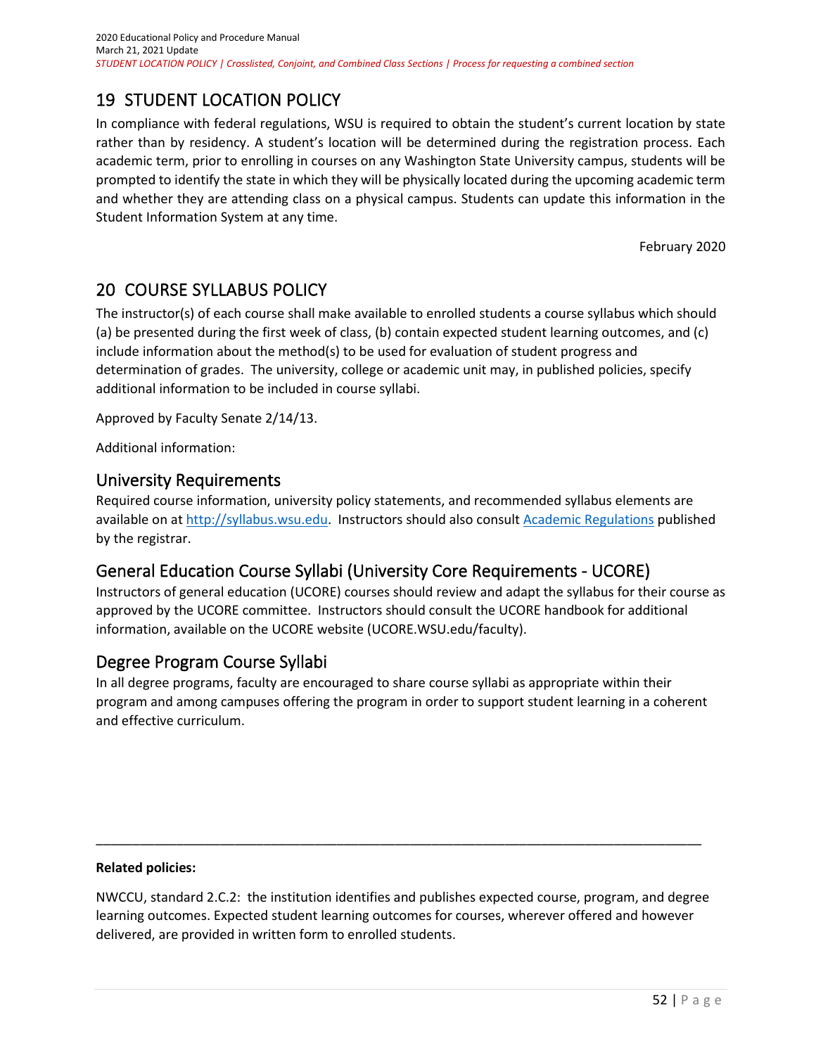# 19 STUDENT LOCATION POLICY

In compliance with federal regulations, WSU is required to obtain the student's current location by state rather than by residency. A student's location will be determined during the registration process. Each academic term, prior to enrolling in courses on any Washington State University campus, students will be prompted to identify the state in which they will be physically located during the upcoming academic term and whether they are attending class on a physical campus. Students can update this information in the Student Information System at any time.

February 2020

# 20 COURSE SYLLABUS POLICY

The instructor(s) of each course shall make available to enrolled students a course syllabus which should (a) be presented during the first week of class, (b) contain expected student learning outcomes, and (c) include information about the method(s) to be used for evaluation of student progress and determination of grades. The university, college or academic unit may, in published policies, specify additional information to be included in course syllabi.

Approved by Faculty Senate 2/14/13.

Additional information:

## University Requirements

Required course information, university policy statements, and recommended syllabus elements are available on a[t http://syllabus.wsu.edu.](http://syllabus.wsu.edu/) Instructors should also consul[t Academic Regulations](http://registrar.wsu.edu/academic-regulations/) published by the registrar.

## General Education Course Syllabi (University Core Requirements - UCORE)

Instructors of general education (UCORE) courses should review and adapt the syllabus for their course as approved by the UCORE committee. Instructors should consult the UCORE handbook for additional information, available on the UCORE website (UCORE.WSU.edu/faculty).

## Degree Program Course Syllabi

In all degree programs, faculty are encouraged to share course syllabi as appropriate within their program and among campuses offering the program in order to support student learning in a coherent and effective curriculum.

#### **Related policies:**

NWCCU, standard 2.C.2: the institution identifies and publishes expected course, program, and degree learning outcomes. Expected student learning outcomes for courses, wherever offered and however delivered, are provided in written form to enrolled students.

\_\_\_\_\_\_\_\_\_\_\_\_\_\_\_\_\_\_\_\_\_\_\_\_\_\_\_\_\_\_\_\_\_\_\_\_\_\_\_\_\_\_\_\_\_\_\_\_\_\_\_\_\_\_\_\_\_\_\_\_\_\_\_\_\_\_\_\_\_\_\_\_\_\_\_\_\_\_\_\_\_\_\_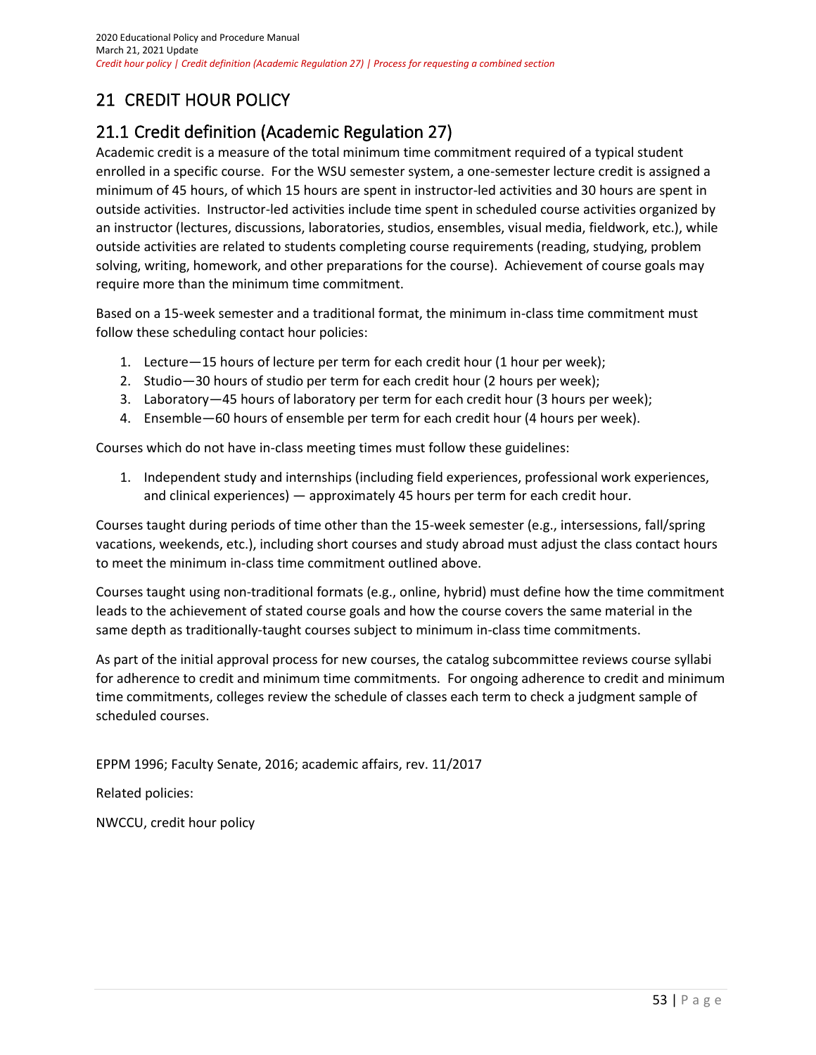# 21 CREDIT HOUR POLICY

# 21.1 Credit definition (Academic Regulation 27)

Academic credit is a measure of the total minimum time commitment required of a typical student enrolled in a specific course. For the WSU semester system, a one-semester lecture credit is assigned a minimum of 45 hours, of which 15 hours are spent in instructor-led activities and 30 hours are spent in outside activities. Instructor-led activities include time spent in scheduled course activities organized by an instructor (lectures, discussions, laboratories, studios, ensembles, visual media, fieldwork, etc.), while outside activities are related to students completing course requirements (reading, studying, problem solving, writing, homework, and other preparations for the course). Achievement of course goals may require more than the minimum time commitment.

Based on a 15-week semester and a traditional format, the minimum in-class time commitment must follow these scheduling contact hour policies:

- 1. Lecture—15 hours of lecture per term for each credit hour (1 hour per week);
- 2. Studio—30 hours of studio per term for each credit hour (2 hours per week);
- 3. Laboratory—45 hours of laboratory per term for each credit hour (3 hours per week);
- 4. Ensemble—60 hours of ensemble per term for each credit hour (4 hours per week).

Courses which do not have in-class meeting times must follow these guidelines:

1. Independent study and internships (including field experiences, professional work experiences, and clinical experiences) — approximately 45 hours per term for each credit hour.

Courses taught during periods of time other than the 15-week semester (e.g., intersessions, fall/spring vacations, weekends, etc.), including short courses and study abroad must adjust the class contact hours to meet the minimum in-class time commitment outlined above.

Courses taught using non-traditional formats (e.g., online, hybrid) must define how the time commitment leads to the achievement of stated course goals and how the course covers the same material in the same depth as traditionally-taught courses subject to minimum in-class time commitments.

As part of the initial approval process for new courses, the catalog subcommittee reviews course syllabi for adherence to credit and minimum time commitments. For ongoing adherence to credit and minimum time commitments, colleges review the schedule of classes each term to check a judgment sample of scheduled courses.

EPPM 1996; Faculty Senate, 2016; academic affairs, rev. 11/2017

Related policies:

NWCCU, credit hour policy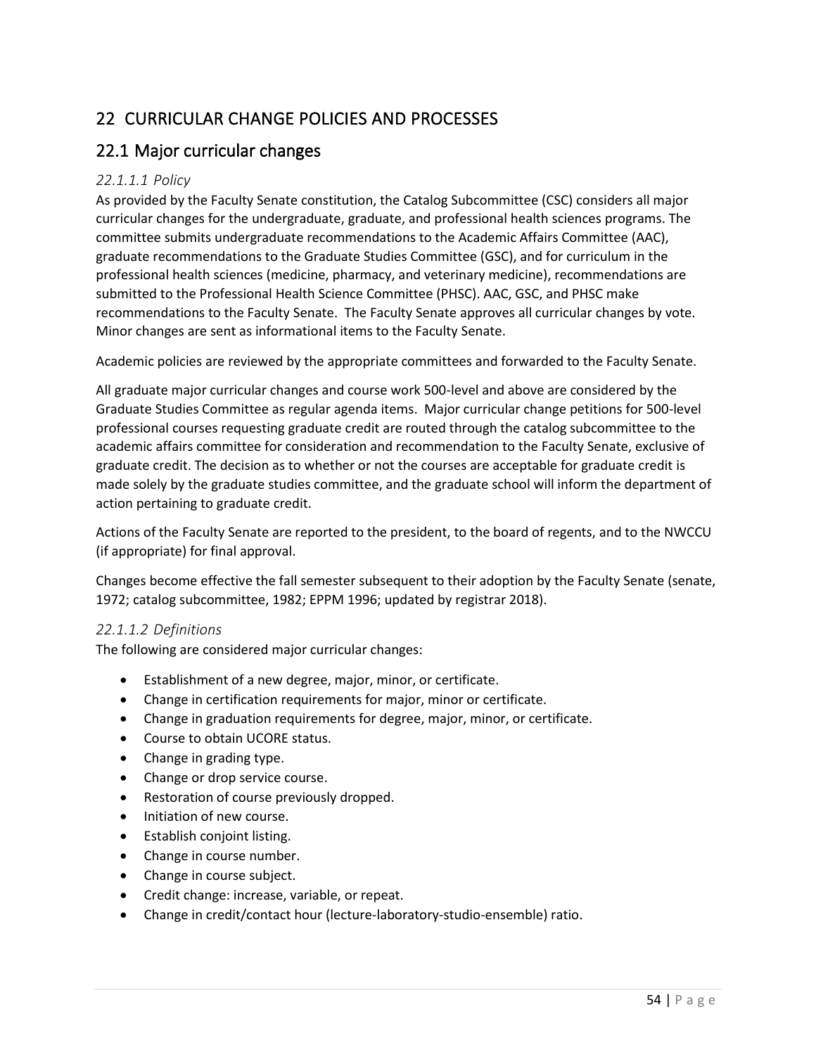# 22 CURRICULAR CHANGE POLICIES AND PROCESSES

# 22.1 Major curricular changes

### *22.1.1.1 Policy*

As provided by the Faculty Senate constitution, the Catalog Subcommittee (CSC) considers all major curricular changes for the undergraduate, graduate, and professional health sciences programs. The committee submits undergraduate recommendations to the Academic Affairs Committee (AAC), graduate recommendations to the Graduate Studies Committee (GSC), and for curriculum in the professional health sciences (medicine, pharmacy, and veterinary medicine), recommendations are submitted to the Professional Health Science Committee (PHSC). AAC, GSC, and PHSC make recommendations to the Faculty Senate. The Faculty Senate approves all curricular changes by vote. Minor changes are sent as informational items to the Faculty Senate.

Academic policies are reviewed by the appropriate committees and forwarded to the Faculty Senate.

All graduate major curricular changes and course work 500-level and above are considered by the Graduate Studies Committee as regular agenda items. Major curricular change petitions for 500-level professional courses requesting graduate credit are routed through the catalog subcommittee to the academic affairs committee for consideration and recommendation to the Faculty Senate, exclusive of graduate credit. The decision as to whether or not the courses are acceptable for graduate credit is made solely by the graduate studies committee, and the graduate school will inform the department of action pertaining to graduate credit.

Actions of the Faculty Senate are reported to the president, to the board of regents, and to the NWCCU (if appropriate) for final approval.

Changes become effective the fall semester subsequent to their adoption by the Faculty Senate (senate, 1972; catalog subcommittee, 1982; EPPM 1996; updated by registrar 2018).

### *22.1.1.2 Definitions*

The following are considered major curricular changes:

- Establishment of a new degree, major, minor, or certificate.
- Change in certification requirements for major, minor or certificate.
- Change in graduation requirements for degree, major, minor, or certificate.
- Course to obtain UCORE status.
- Change in grading type.
- Change or drop service course.
- Restoration of course previously dropped.
- Initiation of new course.
- Establish conjoint listing.
- Change in course number.
- Change in course subject.
- Credit change: increase, variable, or repeat.
- Change in credit/contact hour (lecture-laboratory-studio-ensemble) ratio.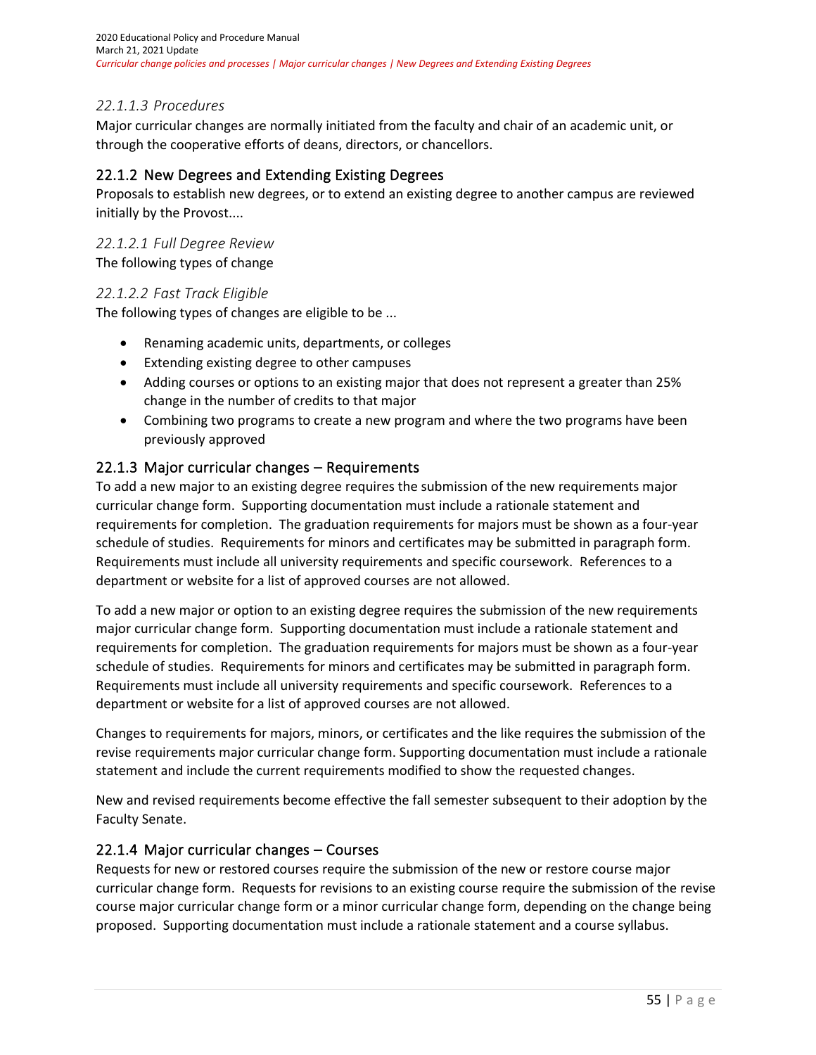## *22.1.1.3 Procedures*

Major curricular changes are normally initiated from the faculty and chair of an academic unit, or through the cooperative efforts of deans, directors, or chancellors.

### 22.1.2 New Degrees and Extending Existing Degrees

Proposals to establish new degrees, or to extend an existing degree to another campus are reviewed initially by the Provost....

#### *22.1.2.1 Full Degree Review*

The following types of change

### *22.1.2.2 Fast Track Eligible*

The following types of changes are eligible to be ...

- Renaming academic units, departments, or colleges
- Extending existing degree to other campuses
- Adding courses or options to an existing major that does not represent a greater than 25% change in the number of credits to that major
- Combining two programs to create a new program and where the two programs have been previously approved

### 22.1.3 Major curricular changes – Requirements

To add a new major to an existing degree requires the submission of the new requirements major curricular change form. Supporting documentation must include a rationale statement and requirements for completion. The graduation requirements for majors must be shown as a four-year schedule of studies. Requirements for minors and certificates may be submitted in paragraph form. Requirements must include all university requirements and specific coursework. References to a department or website for a list of approved courses are not allowed.

To add a new major or option to an existing degree requires the submission of the new requirements major curricular change form. Supporting documentation must include a rationale statement and requirements for completion. The graduation requirements for majors must be shown as a four-year schedule of studies. Requirements for minors and certificates may be submitted in paragraph form. Requirements must include all university requirements and specific coursework. References to a department or website for a list of approved courses are not allowed.

Changes to requirements for majors, minors, or certificates and the like requires the submission of the revise requirements major curricular change form. Supporting documentation must include a rationale statement and include the current requirements modified to show the requested changes.

New and revised requirements become effective the fall semester subsequent to their adoption by the Faculty Senate.

### 22.1.4 Major curricular changes – Courses

Requests for new or restored courses require the submission of the new or restore course major curricular change form. Requests for revisions to an existing course require the submission of the revise course major curricular change form or a minor curricular change form, depending on the change being proposed. Supporting documentation must include a rationale statement and a course syllabus.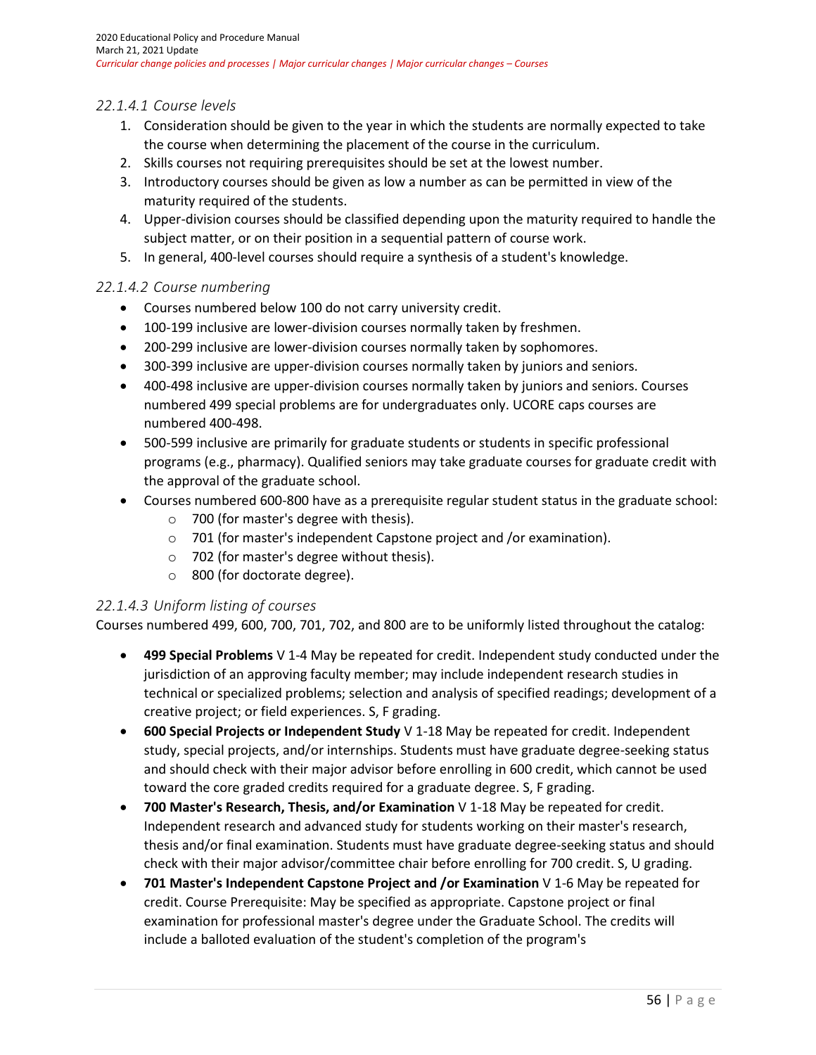### *22.1.4.1 Course levels*

- 1. Consideration should be given to the year in which the students are normally expected to take the course when determining the placement of the course in the curriculum.
- 2. Skills courses not requiring prerequisites should be set at the lowest number.
- 3. Introductory courses should be given as low a number as can be permitted in view of the maturity required of the students.
- 4. Upper-division courses should be classified depending upon the maturity required to handle the subject matter, or on their position in a sequential pattern of course work.
- 5. In general, 400-level courses should require a synthesis of a student's knowledge.

#### *22.1.4.2 Course numbering*

- Courses numbered below 100 do not carry university credit.
- 100-199 inclusive are lower-division courses normally taken by freshmen.
- 200-299 inclusive are lower-division courses normally taken by sophomores.
- 300-399 inclusive are upper-division courses normally taken by juniors and seniors.
- 400-498 inclusive are upper-division courses normally taken by juniors and seniors. Courses numbered 499 special problems are for undergraduates only. UCORE caps courses are numbered 400-498.
- 500-599 inclusive are primarily for graduate students or students in specific professional programs (e.g., pharmacy). Qualified seniors may take graduate courses for graduate credit with the approval of the graduate school.
- Courses numbered 600-800 have as a prerequisite regular student status in the graduate school:
	- o 700 (for master's degree with thesis).
	- o 701 (for master's independent Capstone project and /or examination).
	- o 702 (for master's degree without thesis).
	- o 800 (for doctorate degree).

### *22.1.4.3 Uniform listing of courses*

Courses numbered 499, 600, 700, 701, 702, and 800 are to be uniformly listed throughout the catalog:

- **499 Special Problems** V 1-4 May be repeated for credit. Independent study conducted under the jurisdiction of an approving faculty member; may include independent research studies in technical or specialized problems; selection and analysis of specified readings; development of a creative project; or field experiences. S, F grading.
- **600 Special Projects or Independent Study** V 1-18 May be repeated for credit. Independent study, special projects, and/or internships. Students must have graduate degree-seeking status and should check with their major advisor before enrolling in 600 credit, which cannot be used toward the core graded credits required for a graduate degree. S, F grading.
- **700 Master's Research, Thesis, and/or Examination** V 1-18 May be repeated for credit. Independent research and advanced study for students working on their master's research, thesis and/or final examination. Students must have graduate degree-seeking status and should check with their major advisor/committee chair before enrolling for 700 credit. S, U grading.
- **701 Master's Independent Capstone Project and /or Examination** V 1-6 May be repeated for credit. Course Prerequisite: May be specified as appropriate. Capstone project or final examination for professional master's degree under the Graduate School. The credits will include a balloted evaluation of the student's completion of the program's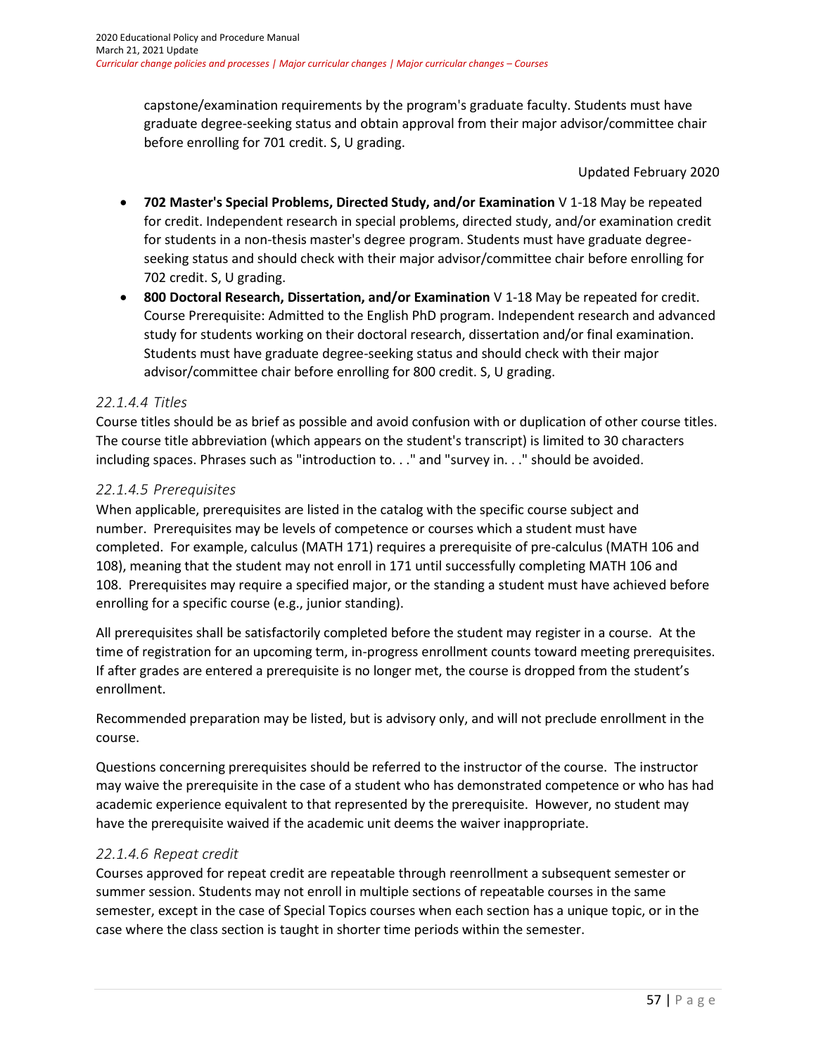capstone/examination requirements by the program's graduate faculty. Students must have graduate degree-seeking status and obtain approval from their major advisor/committee chair before enrolling for 701 credit. S, U grading.

Updated February 2020

- **702 Master's Special Problems, Directed Study, and/or Examination** V 1-18 May be repeated for credit. Independent research in special problems, directed study, and/or examination credit for students in a non-thesis master's degree program. Students must have graduate degreeseeking status and should check with their major advisor/committee chair before enrolling for 702 credit. S, U grading.
- **800 Doctoral Research, Dissertation, and/or Examination** V 1-18 May be repeated for credit. Course Prerequisite: Admitted to the English PhD program. Independent research and advanced study for students working on their doctoral research, dissertation and/or final examination. Students must have graduate degree-seeking status and should check with their major advisor/committee chair before enrolling for 800 credit. S, U grading.

#### *22.1.4.4 Titles*

Course titles should be as brief as possible and avoid confusion with or duplication of other course titles. The course title abbreviation (which appears on the student's transcript) is limited to 30 characters including spaces. Phrases such as "introduction to. . ." and "survey in. . ." should be avoided.

#### *22.1.4.5 Prerequisites*

When applicable, prerequisites are listed in the catalog with the specific course subject and number. Prerequisites may be levels of competence or courses which a student must have completed. For example, calculus (MATH 171) requires a prerequisite of pre-calculus (MATH 106 and 108), meaning that the student may not enroll in 171 until successfully completing MATH 106 and 108. Prerequisites may require a specified major, or the standing a student must have achieved before enrolling for a specific course (e.g., junior standing).

All prerequisites shall be satisfactorily completed before the student may register in a course. At the time of registration for an upcoming term, in-progress enrollment counts toward meeting prerequisites. If after grades are entered a prerequisite is no longer met, the course is dropped from the student's enrollment.

Recommended preparation may be listed, but is advisory only, and will not preclude enrollment in the course.

Questions concerning prerequisites should be referred to the instructor of the course. The instructor may waive the prerequisite in the case of a student who has demonstrated competence or who has had academic experience equivalent to that represented by the prerequisite. However, no student may have the prerequisite waived if the academic unit deems the waiver inappropriate.

#### *22.1.4.6 Repeat credit*

Courses approved for repeat credit are repeatable through reenrollment a subsequent semester or summer session. Students may not enroll in multiple sections of repeatable courses in the same semester, except in the case of Special Topics courses when each section has a unique topic, or in the case where the class section is taught in shorter time periods within the semester.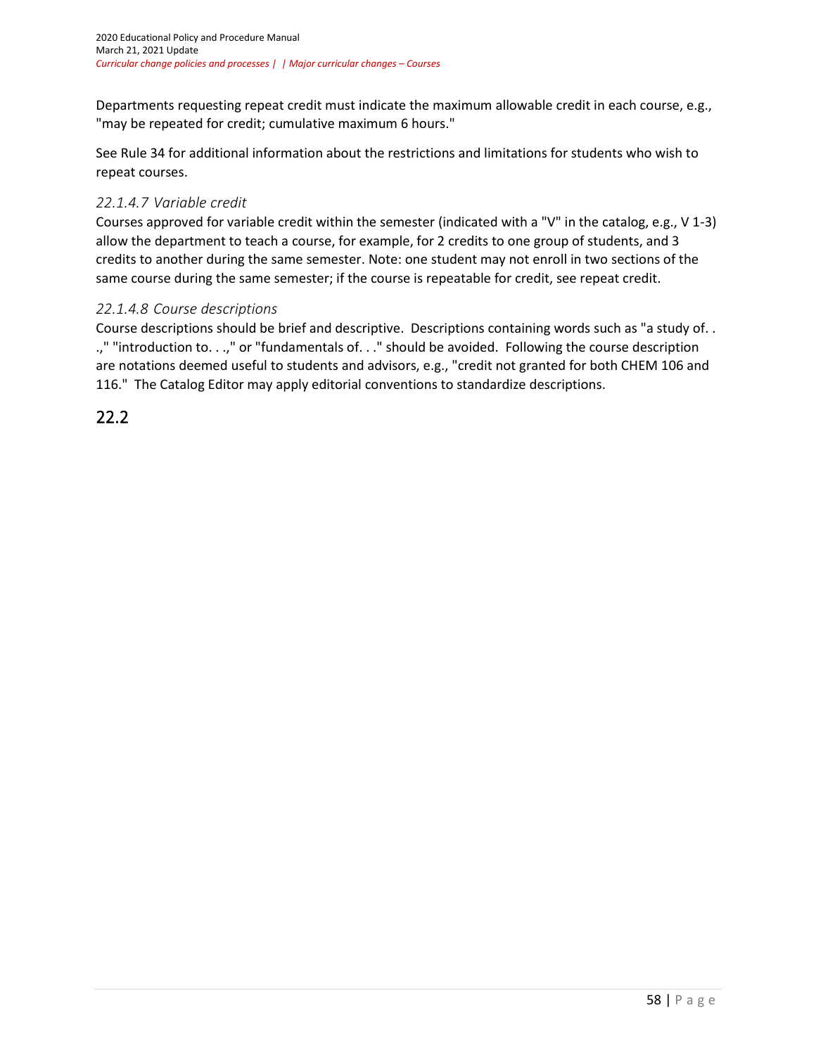Departments requesting repeat credit must indicate the maximum allowable credit in each course, e.g., "may be repeated for credit; cumulative maximum 6 hours."

See Rule 34 for additional information about the restrictions and limitations for students who wish to repeat courses.

#### *22.1.4.7 Variable credit*

Courses approved for variable credit within the semester (indicated with a "V" in the catalog, e.g., V 1-3) allow the department to teach a course, for example, for 2 credits to one group of students, and 3 credits to another during the same semester. Note: one student may not enroll in two sections of the same course during the same semester; if the course is repeatable for credit, see repeat credit.

#### *22.1.4.8 Course descriptions*

Course descriptions should be brief and descriptive. Descriptions containing words such as "a study of. . .," "introduction to. . .," or "fundamentals of. . ." should be avoided. Following the course description are notations deemed useful to students and advisors, e.g., "credit not granted for both CHEM 106 and 116." The Catalog Editor may apply editorial conventions to standardize descriptions.

22.2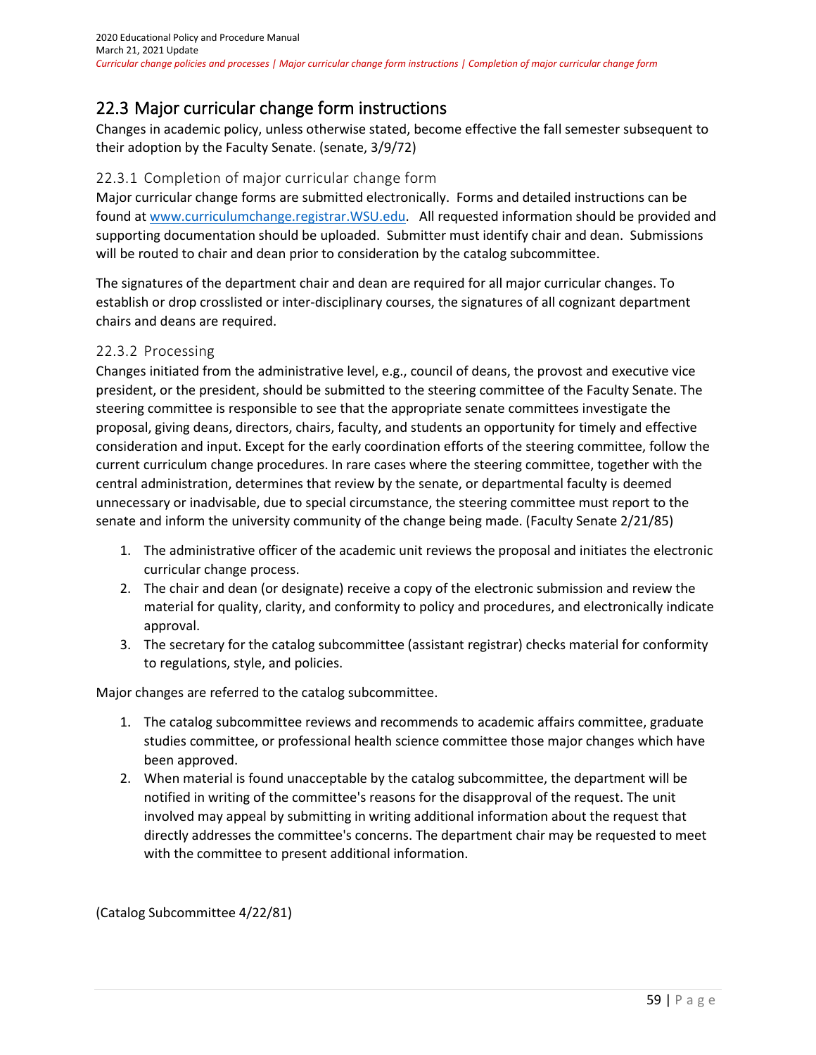## 22.3 Major curricular change form instructions

Changes in academic policy, unless otherwise stated, become effective the fall semester subsequent to their adoption by the Faculty Senate. (senate, 3/9/72)

### 22.3.1 Completion of major curricular change form

Major curricular change forms are submitted electronically. Forms and detailed instructions can be found a[t www.curriculumchange.registrar.WSU.edu.](http://www.curriculumchange.registrar.wsu.edu/) All requested information should be provided and supporting documentation should be uploaded. Submitter must identify chair and dean. Submissions will be routed to chair and dean prior to consideration by the catalog subcommittee.

The signatures of the department chair and dean are required for all major curricular changes. To establish or drop crosslisted or inter-disciplinary courses, the signatures of all cognizant department chairs and deans are required.

### 22.3.2 Processing

Changes initiated from the administrative level, e.g., council of deans, the provost and executive vice president, or the president, should be submitted to the steering committee of the Faculty Senate. The steering committee is responsible to see that the appropriate senate committees investigate the proposal, giving deans, directors, chairs, faculty, and students an opportunity for timely and effective consideration and input. Except for the early coordination efforts of the steering committee, follow the current curriculum change procedures. In rare cases where the steering committee, together with the central administration, determines that review by the senate, or departmental faculty is deemed unnecessary or inadvisable, due to special circumstance, the steering committee must report to the senate and inform the university community of the change being made. (Faculty Senate 2/21/85)

- 1. The administrative officer of the academic unit reviews the proposal and initiates the electronic curricular change process.
- 2. The chair and dean (or designate) receive a copy of the electronic submission and review the material for quality, clarity, and conformity to policy and procedures, and electronically indicate approval.
- 3. The secretary for the catalog subcommittee (assistant registrar) checks material for conformity to regulations, style, and policies.

Major changes are referred to the catalog subcommittee.

- 1. The catalog subcommittee reviews and recommends to academic affairs committee, graduate studies committee, or professional health science committee those major changes which have been approved.
- 2. When material is found unacceptable by the catalog subcommittee, the department will be notified in writing of the committee's reasons for the disapproval of the request. The unit involved may appeal by submitting in writing additional information about the request that directly addresses the committee's concerns. The department chair may be requested to meet with the committee to present additional information.

(Catalog Subcommittee 4/22/81)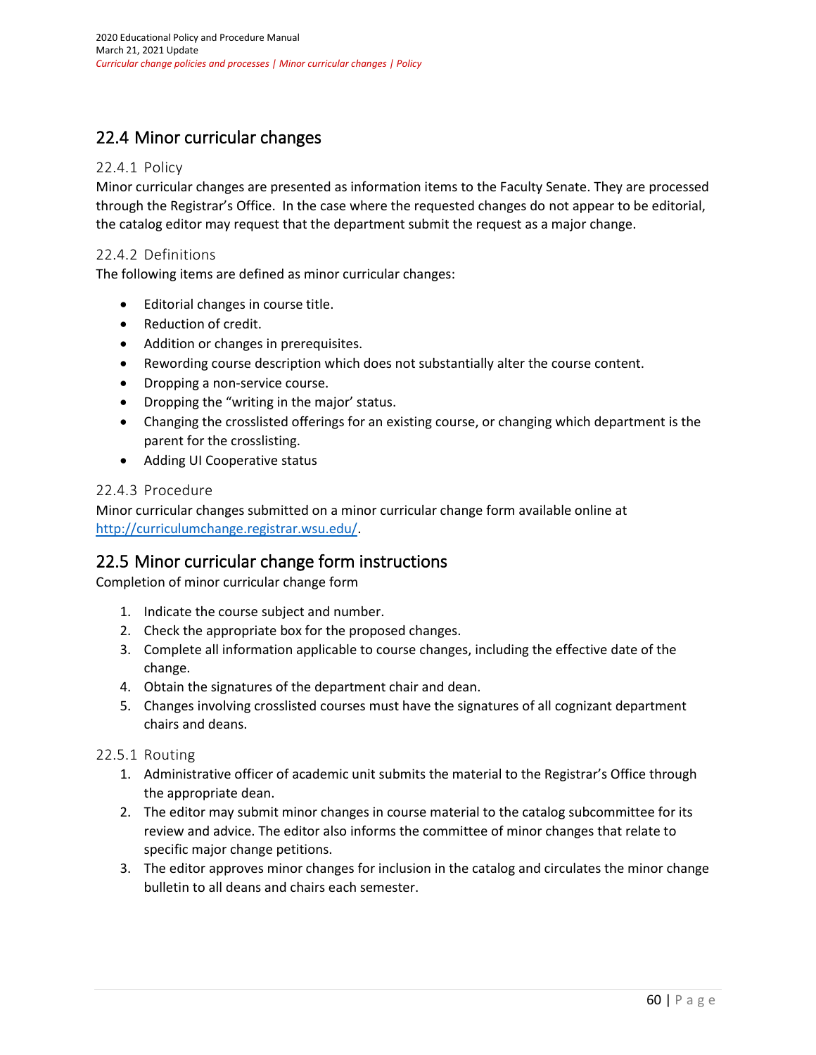# 22.4 Minor curricular changes

#### 22.4.1 Policy

Minor curricular changes are presented as information items to the Faculty Senate. They are processed through the Registrar's Office. In the case where the requested changes do not appear to be editorial, the catalog editor may request that the department submit the request as a major change.

#### 22.4.2 Definitions

The following items are defined as minor curricular changes:

- Editorial changes in course title.
- Reduction of credit.
- Addition or changes in prerequisites.
- Rewording course description which does not substantially alter the course content.
- Dropping a non-service course.
- Dropping the "writing in the major' status.
- Changing the crosslisted offerings for an existing course, or changing which department is the parent for the crosslisting.
- Adding UI Cooperative status

#### 22.4.3 Procedure

Minor curricular changes submitted on a minor curricular change form available online at [http://curriculumchange.registrar.wsu.edu/.](http://curriculumchange.registrar.wsu.edu/)

## 22.5 Minor curricular change form instructions

Completion of minor curricular change form

- 1. Indicate the course subject and number.
- 2. Check the appropriate box for the proposed changes.
- 3. Complete all information applicable to course changes, including the effective date of the change.
- 4. Obtain the signatures of the department chair and dean.
- 5. Changes involving crosslisted courses must have the signatures of all cognizant department chairs and deans.

#### 22.5.1 Routing

- 1. Administrative officer of academic unit submits the material to the Registrar's Office through the appropriate dean.
- 2. The editor may submit minor changes in course material to the catalog subcommittee for its review and advice. The editor also informs the committee of minor changes that relate to specific major change petitions.
- 3. The editor approves minor changes for inclusion in the catalog and circulates the minor change bulletin to all deans and chairs each semester.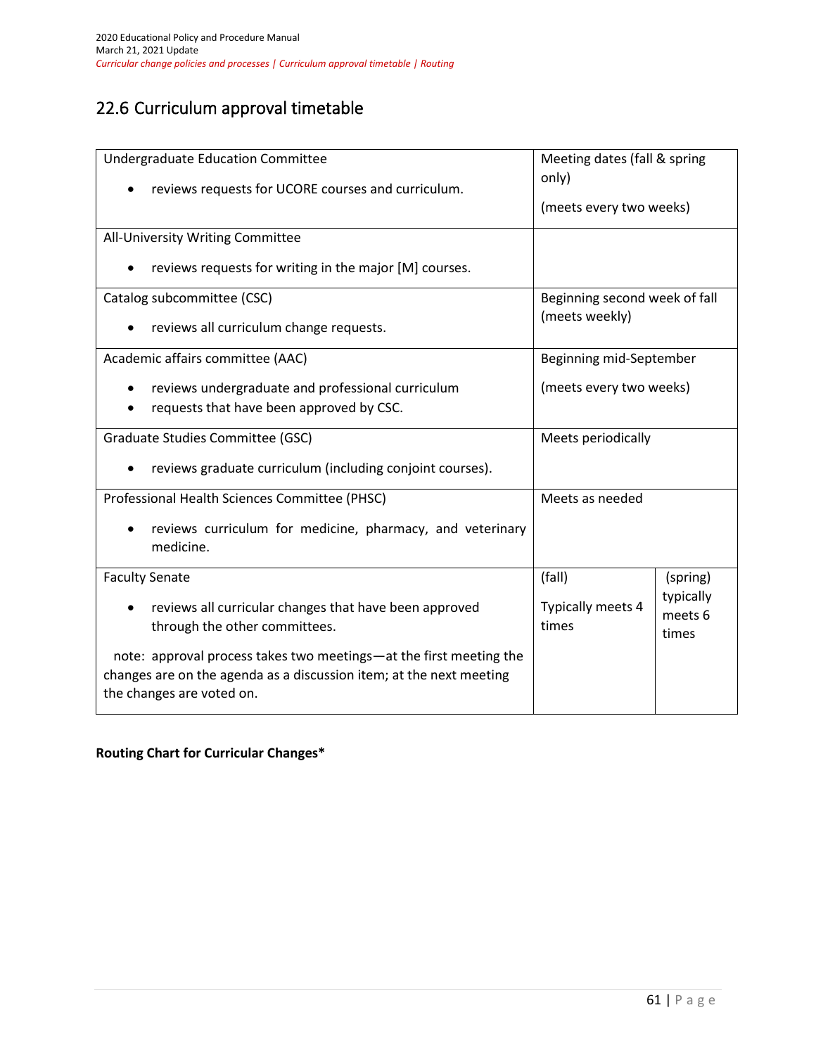# 22.6 Curriculum approval timetable

| <b>Undergraduate Education Committee</b><br>reviews requests for UCORE courses and curriculum.                                                                         | Meeting dates (fall & spring<br>only)<br>(meets every two weeks) |                               |
|------------------------------------------------------------------------------------------------------------------------------------------------------------------------|------------------------------------------------------------------|-------------------------------|
| All-University Writing Committee                                                                                                                                       |                                                                  |                               |
| reviews requests for writing in the major [M] courses.                                                                                                                 |                                                                  |                               |
| Catalog subcommittee (CSC)                                                                                                                                             | Beginning second week of fall                                    |                               |
| reviews all curriculum change requests.                                                                                                                                | (meets weekly)                                                   |                               |
| Academic affairs committee (AAC)                                                                                                                                       | Beginning mid-September                                          |                               |
| reviews undergraduate and professional curriculum<br>requests that have been approved by CSC.                                                                          | (meets every two weeks)                                          |                               |
| Graduate Studies Committee (GSC)                                                                                                                                       | Meets periodically                                               |                               |
| reviews graduate curriculum (including conjoint courses).                                                                                                              |                                                                  |                               |
| Professional Health Sciences Committee (PHSC)                                                                                                                          | Meets as needed                                                  |                               |
| reviews curriculum for medicine, pharmacy, and veterinary<br>medicine.                                                                                                 |                                                                  |                               |
| <b>Faculty Senate</b>                                                                                                                                                  | (fall)                                                           | (spring)                      |
| reviews all curricular changes that have been approved<br>through the other committees.                                                                                | Typically meets 4<br>times                                       | typically<br>meets 6<br>times |
| note: approval process takes two meetings-at the first meeting the<br>changes are on the agenda as a discussion item; at the next meeting<br>the changes are voted on. |                                                                  |                               |

**Routing Chart for Curricular Changes\***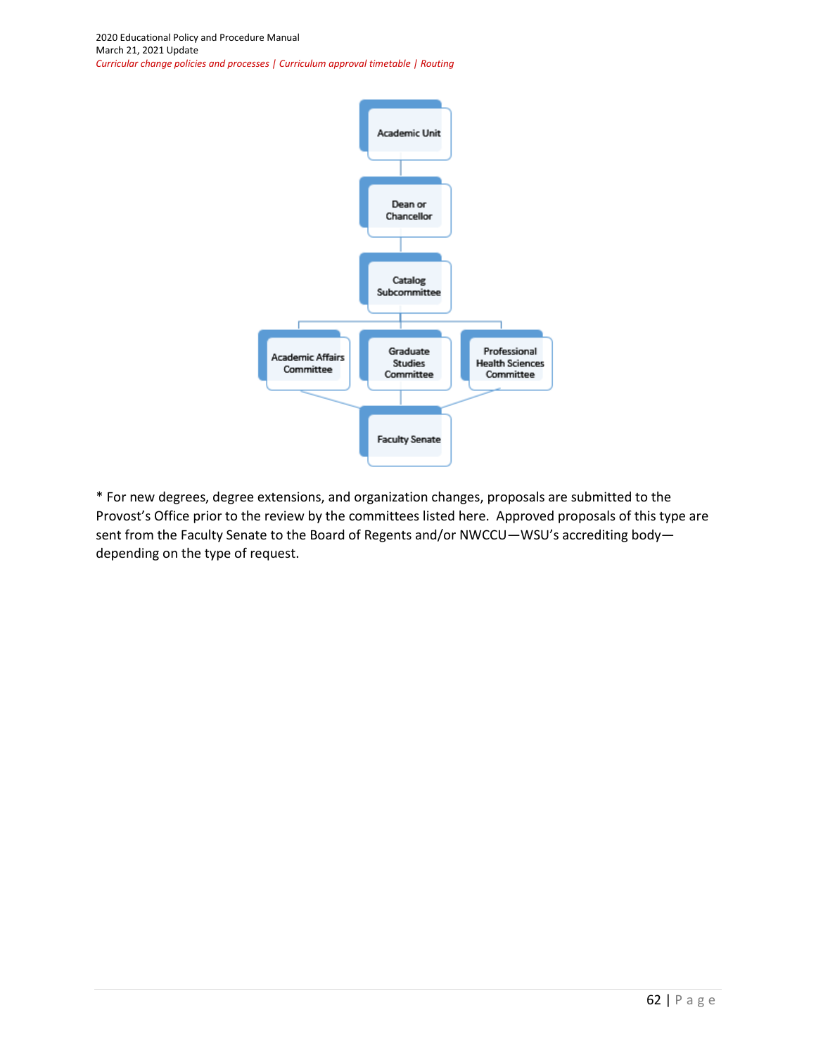

\* For new degrees, degree extensions, and organization changes, proposals are submitted to the Provost's Office prior to the review by the committees listed here. Approved proposals of this type are sent from the Faculty Senate to the Board of Regents and/or NWCCU—WSU's accrediting body depending on the type of request.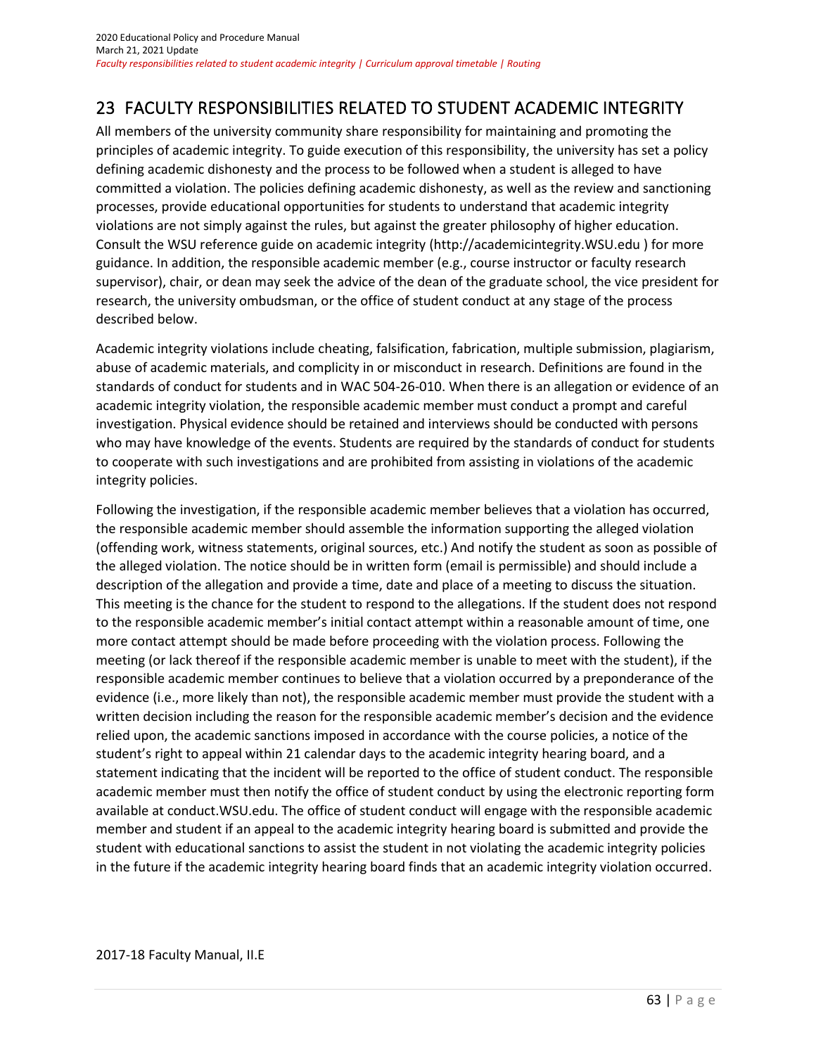# 23 FACULTY RESPONSIBILITIES RELATED TO STUDENT ACADEMIC INTEGRITY

All members of the university community share responsibility for maintaining and promoting the principles of academic integrity. To guide execution of this responsibility, the university has set a policy defining academic dishonesty and the process to be followed when a student is alleged to have committed a violation. The policies defining academic dishonesty, as well as the review and sanctioning processes, provide educational opportunities for students to understand that academic integrity violations are not simply against the rules, but against the greater philosophy of higher education. Consult the WSU reference guide on academic integrity (http://academicintegrity.WSU.edu ) for more guidance. In addition, the responsible academic member (e.g., course instructor or faculty research supervisor), chair, or dean may seek the advice of the dean of the graduate school, the vice president for research, the university ombudsman, or the office of student conduct at any stage of the process described below.

Academic integrity violations include cheating, falsification, fabrication, multiple submission, plagiarism, abuse of academic materials, and complicity in or misconduct in research. Definitions are found in the standards of conduct for students and in WAC 504-26-010. When there is an allegation or evidence of an academic integrity violation, the responsible academic member must conduct a prompt and careful investigation. Physical evidence should be retained and interviews should be conducted with persons who may have knowledge of the events. Students are required by the standards of conduct for students to cooperate with such investigations and are prohibited from assisting in violations of the academic integrity policies.

Following the investigation, if the responsible academic member believes that a violation has occurred, the responsible academic member should assemble the information supporting the alleged violation (offending work, witness statements, original sources, etc.) And notify the student as soon as possible of the alleged violation. The notice should be in written form (email is permissible) and should include a description of the allegation and provide a time, date and place of a meeting to discuss the situation. This meeting is the chance for the student to respond to the allegations. If the student does not respond to the responsible academic member's initial contact attempt within a reasonable amount of time, one more contact attempt should be made before proceeding with the violation process. Following the meeting (or lack thereof if the responsible academic member is unable to meet with the student), if the responsible academic member continues to believe that a violation occurred by a preponderance of the evidence (i.e., more likely than not), the responsible academic member must provide the student with a written decision including the reason for the responsible academic member's decision and the evidence relied upon, the academic sanctions imposed in accordance with the course policies, a notice of the student's right to appeal within 21 calendar days to the academic integrity hearing board, and a statement indicating that the incident will be reported to the office of student conduct. The responsible academic member must then notify the office of student conduct by using the electronic reporting form available at conduct.WSU.edu. The office of student conduct will engage with the responsible academic member and student if an appeal to the academic integrity hearing board is submitted and provide the student with educational sanctions to assist the student in not violating the academic integrity policies in the future if the academic integrity hearing board finds that an academic integrity violation occurred.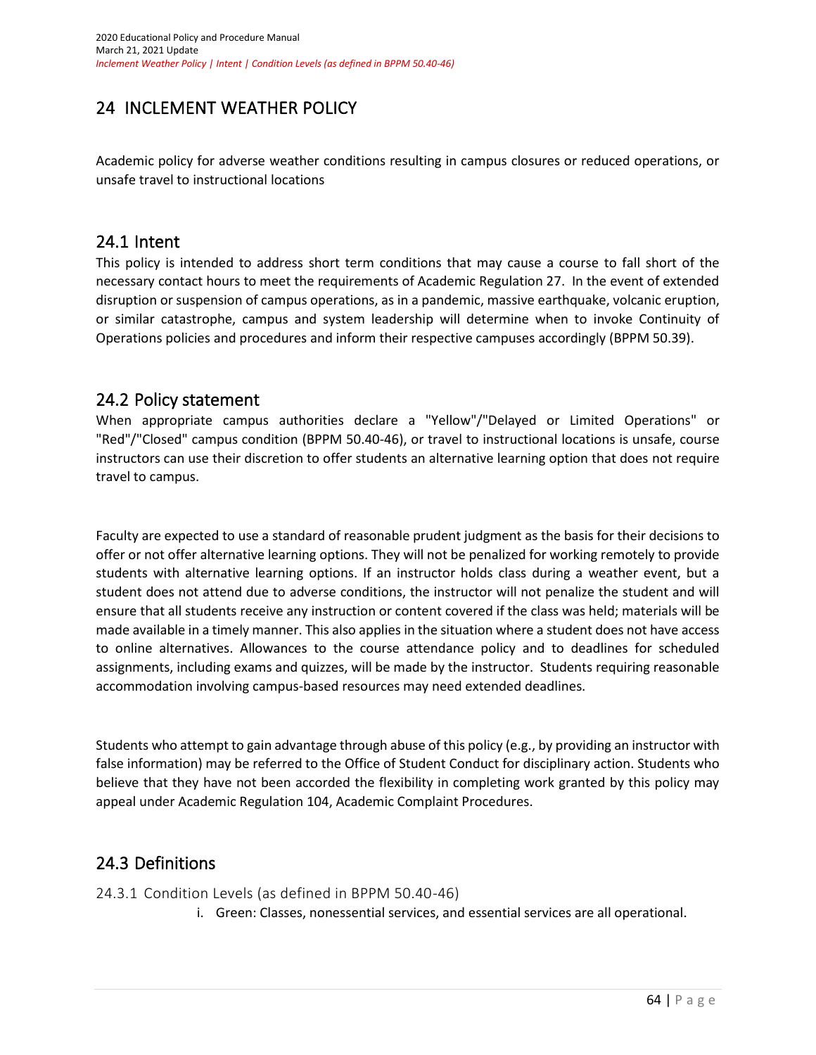# 24 INCLEMENT WEATHER POLICY

Academic policy for adverse weather conditions resulting in campus closures or reduced operations, or unsafe travel to instructional locations

## 24.1 Intent

This policy is intended to address short term conditions that may cause a course to fall short of the necessary contact hours to meet the requirements of Academic Regulation 27. In the event of extended disruption or suspension of campus operations, as in a pandemic, massive earthquake, volcanic eruption, or similar catastrophe, campus and system leadership will determine when to invoke Continuity of Operations policies and procedures and inform their respective campuses accordingly (BPPM 50.39).

## 24.2 Policy statement

When appropriate campus authorities declare a "Yellow"/"Delayed or Limited Operations" or "Red"/"Closed" campus condition (BPPM 50.40-46), or travel to instructional locations is unsafe, course instructors can use their discretion to offer students an alternative learning option that does not require travel to campus.

Faculty are expected to use a standard of reasonable prudent judgment as the basis for their decisions to offer or not offer alternative learning options. They will not be penalized for working remotely to provide students with alternative learning options. If an instructor holds class during a weather event, but a student does not attend due to adverse conditions, the instructor will not penalize the student and will ensure that all students receive any instruction or content covered if the class was held; materials will be made available in a timely manner. This also applies in the situation where a student does not have access to online alternatives. Allowances to the course attendance policy and to deadlines for scheduled assignments, including exams and quizzes, will be made by the instructor. Students requiring reasonable accommodation involving campus-based resources may need extended deadlines.

Students who attempt to gain advantage through abuse of this policy (e.g., by providing an instructor with false information) may be referred to the Office of Student Conduct for disciplinary action. Students who believe that they have not been accorded the flexibility in completing work granted by this policy may appeal under Academic Regulation 104, Academic Complaint Procedures.

# 24.3 Definitions

24.3.1 Condition Levels (as defined in BPPM 50.40-46)

i. Green: Classes, nonessential services, and essential services are all operational.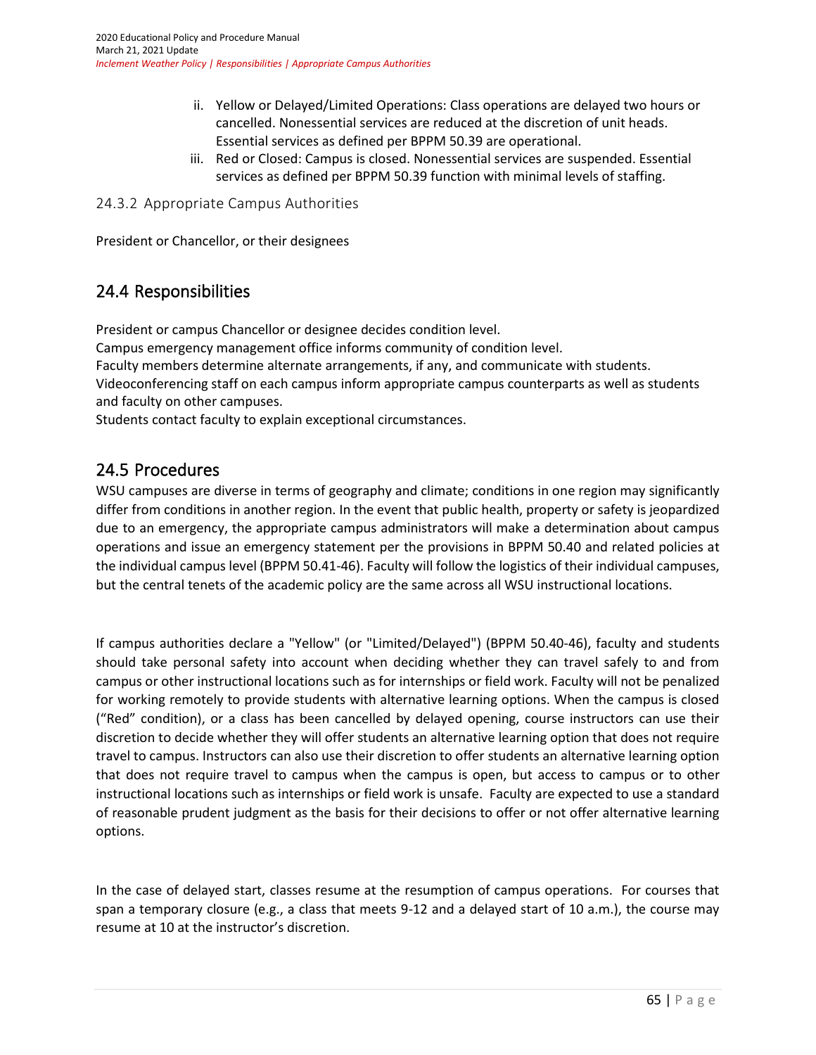- ii. Yellow or Delayed/Limited Operations: Class operations are delayed two hours or cancelled. Nonessential services are reduced at the discretion of unit heads. Essential services as defined per BPPM 50.39 are operational.
- iii. Red or Closed: Campus is closed. Nonessential services are suspended. Essential services as defined per BPPM 50.39 function with minimal levels of staffing.

### 24.3.2 Appropriate Campus Authorities

President or Chancellor, or their designees

# 24.4 Responsibilities

President or campus Chancellor or designee decides condition level.

Campus emergency management office informs community of condition level.

Faculty members determine alternate arrangements, if any, and communicate with students.

Videoconferencing staff on each campus inform appropriate campus counterparts as well as students and faculty on other campuses.

Students contact faculty to explain exceptional circumstances.

# 24.5 Procedures

WSU campuses are diverse in terms of geography and climate; conditions in one region may significantly differ from conditions in another region. In the event that public health, property or safety is jeopardized due to an emergency, the appropriate campus administrators will make a determination about campus operations and issue an emergency statement per the provisions in BPPM 50.40 and related policies at the individual campus level (BPPM 50.41-46). Faculty will follow the logistics of their individual campuses, but the central tenets of the academic policy are the same across all WSU instructional locations.

If campus authorities declare a "Yellow" (or "Limited/Delayed") (BPPM 50.40-46), faculty and students should take personal safety into account when deciding whether they can travel safely to and from campus or other instructional locations such as for internships or field work. Faculty will not be penalized for working remotely to provide students with alternative learning options. When the campus is closed ("Red" condition), or a class has been cancelled by delayed opening, course instructors can use their discretion to decide whether they will offer students an alternative learning option that does not require travel to campus. Instructors can also use their discretion to offer students an alternative learning option that does not require travel to campus when the campus is open, but access to campus or to other instructional locations such as internships or field work is unsafe. Faculty are expected to use a standard of reasonable prudent judgment as the basis for their decisions to offer or not offer alternative learning options.

In the case of delayed start, classes resume at the resumption of campus operations. For courses that span a temporary closure (e.g., a class that meets 9-12 and a delayed start of 10 a.m.), the course may resume at 10 at the instructor's discretion.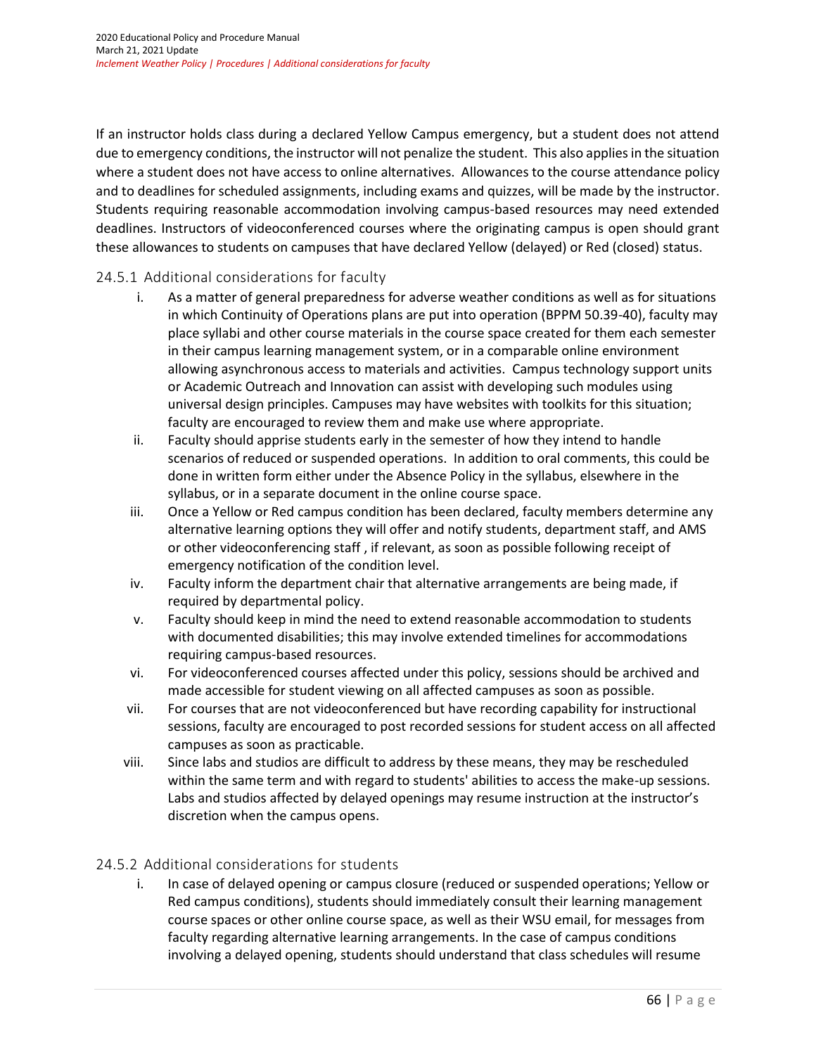If an instructor holds class during a declared Yellow Campus emergency, but a student does not attend due to emergency conditions, the instructor will not penalize the student. This also applies in the situation where a student does not have access to online alternatives. Allowances to the course attendance policy and to deadlines for scheduled assignments, including exams and quizzes, will be made by the instructor. Students requiring reasonable accommodation involving campus-based resources may need extended deadlines. Instructors of videoconferenced courses where the originating campus is open should grant these allowances to students on campuses that have declared Yellow (delayed) or Red (closed) status.

## 24.5.1 Additional considerations for faculty

- i. As a matter of general preparedness for adverse weather conditions as well as for situations in which Continuity of Operations plans are put into operation (BPPM 50.39-40), faculty may place syllabi and other course materials in the course space created for them each semester in their campus learning management system, or in a comparable online environment allowing asynchronous access to materials and activities. Campus technology support units or Academic Outreach and Innovation can assist with developing such modules using universal design principles. Campuses may have websites with toolkits for this situation; faculty are encouraged to review them and make use where appropriate.
- ii. Faculty should apprise students early in the semester of how they intend to handle scenarios of reduced or suspended operations. In addition to oral comments, this could be done in written form either under the Absence Policy in the syllabus, elsewhere in the syllabus, or in a separate document in the online course space.
- iii. Once a Yellow or Red campus condition has been declared, faculty members determine any alternative learning options they will offer and notify students, department staff, and AMS or other videoconferencing staff , if relevant, as soon as possible following receipt of emergency notification of the condition level.
- iv. Faculty inform the department chair that alternative arrangements are being made, if required by departmental policy.
- v. Faculty should keep in mind the need to extend reasonable accommodation to students with documented disabilities; this may involve extended timelines for accommodations requiring campus-based resources.
- vi. For videoconferenced courses affected under this policy, sessions should be archived and made accessible for student viewing on all affected campuses as soon as possible.
- vii. For courses that are not videoconferenced but have recording capability for instructional sessions, faculty are encouraged to post recorded sessions for student access on all affected campuses as soon as practicable.
- viii. Since labs and studios are difficult to address by these means, they may be rescheduled within the same term and with regard to students' abilities to access the make-up sessions. Labs and studios affected by delayed openings may resume instruction at the instructor's discretion when the campus opens.

### 24.5.2 Additional considerations for students

i. In case of delayed opening or campus closure (reduced or suspended operations; Yellow or Red campus conditions), students should immediately consult their learning management course spaces or other online course space, as well as their WSU email, for messages from faculty regarding alternative learning arrangements. In the case of campus conditions involving a delayed opening, students should understand that class schedules will resume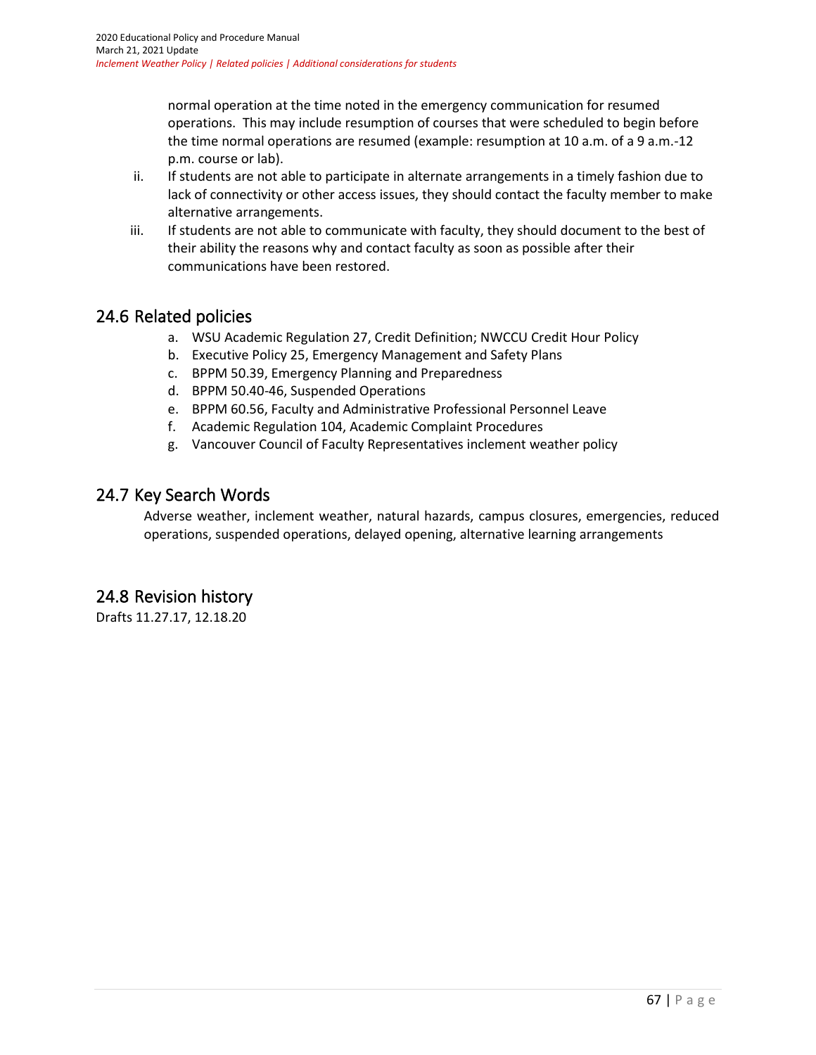normal operation at the time noted in the emergency communication for resumed operations. This may include resumption of courses that were scheduled to begin before the time normal operations are resumed (example: resumption at 10 a.m. of a 9 a.m.-12 p.m. course or lab).

- ii. If students are not able to participate in alternate arrangements in a timely fashion due to lack of connectivity or other access issues, they should contact the faculty member to make alternative arrangements.
- iii. If students are not able to communicate with faculty, they should document to the best of their ability the reasons why and contact faculty as soon as possible after their communications have been restored.

# 24.6 Related policies

- a. WSU Academic Regulation 27, Credit Definition; NWCCU Credit Hour Policy
- b. Executive Policy 25, Emergency Management and Safety Plans
- c. BPPM 50.39, Emergency Planning and Preparedness
- d. BPPM 50.40-46, Suspended Operations
- e. BPPM 60.56, Faculty and Administrative Professional Personnel Leave
- f. Academic Regulation 104, Academic Complaint Procedures
- g. Vancouver Council of Faculty Representatives inclement weather policy

# 24.7 Key Search Words

Adverse weather, inclement weather, natural hazards, campus closures, emergencies, reduced operations, suspended operations, delayed opening, alternative learning arrangements

# 24.8 Revision history

Drafts 11.27.17, 12.18.20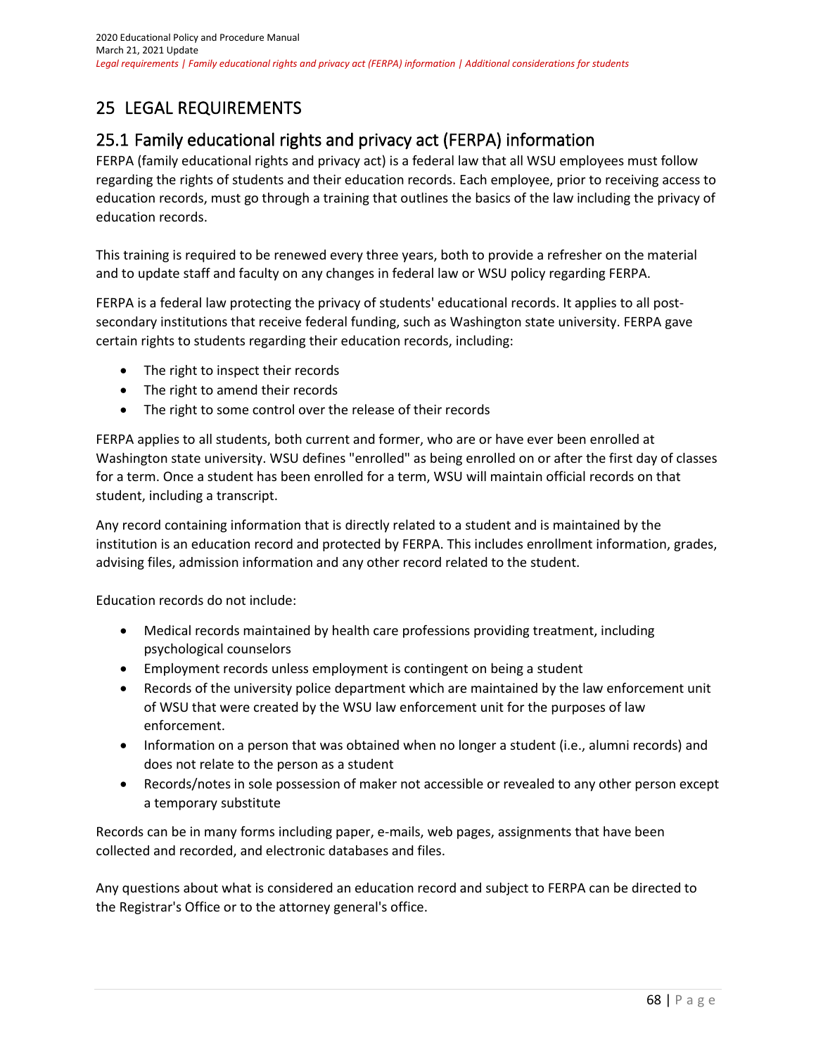# 25 LEGAL REQUIREMENTS

# 25.1 Family educational rights and privacy act (FERPA) information

FERPA (family educational rights and privacy act) is a federal law that all WSU employees must follow regarding the rights of students and their education records. Each employee, prior to receiving access to education records, must go through a training that outlines the basics of the law including the privacy of education records.

This training is required to be renewed every three years, both to provide a refresher on the material and to update staff and faculty on any changes in federal law or WSU policy regarding FERPA.

FERPA is a federal law protecting the privacy of students' educational records. It applies to all postsecondary institutions that receive federal funding, such as Washington state university. FERPA gave certain rights to students regarding their education records, including:

- The right to inspect their records
- The right to amend their records
- The right to some control over the release of their records

FERPA applies to all students, both current and former, who are or have ever been enrolled at Washington state university. WSU defines "enrolled" as being enrolled on or after the first day of classes for a term. Once a student has been enrolled for a term, WSU will maintain official records on that student, including a transcript.

Any record containing information that is directly related to a student and is maintained by the institution is an education record and protected by FERPA. This includes enrollment information, grades, advising files, admission information and any other record related to the student.

Education records do not include:

- Medical records maintained by health care professions providing treatment, including psychological counselors
- Employment records unless employment is contingent on being a student
- Records of the university police department which are maintained by the law enforcement unit of WSU that were created by the WSU law enforcement unit for the purposes of law enforcement.
- Information on a person that was obtained when no longer a student (i.e., alumni records) and does not relate to the person as a student
- Records/notes in sole possession of maker not accessible or revealed to any other person except a temporary substitute

Records can be in many forms including paper, e-mails, web pages, assignments that have been collected and recorded, and electronic databases and files.

Any questions about what is considered an education record and subject to FERPA can be directed to the Registrar's Office or to the attorney general's office.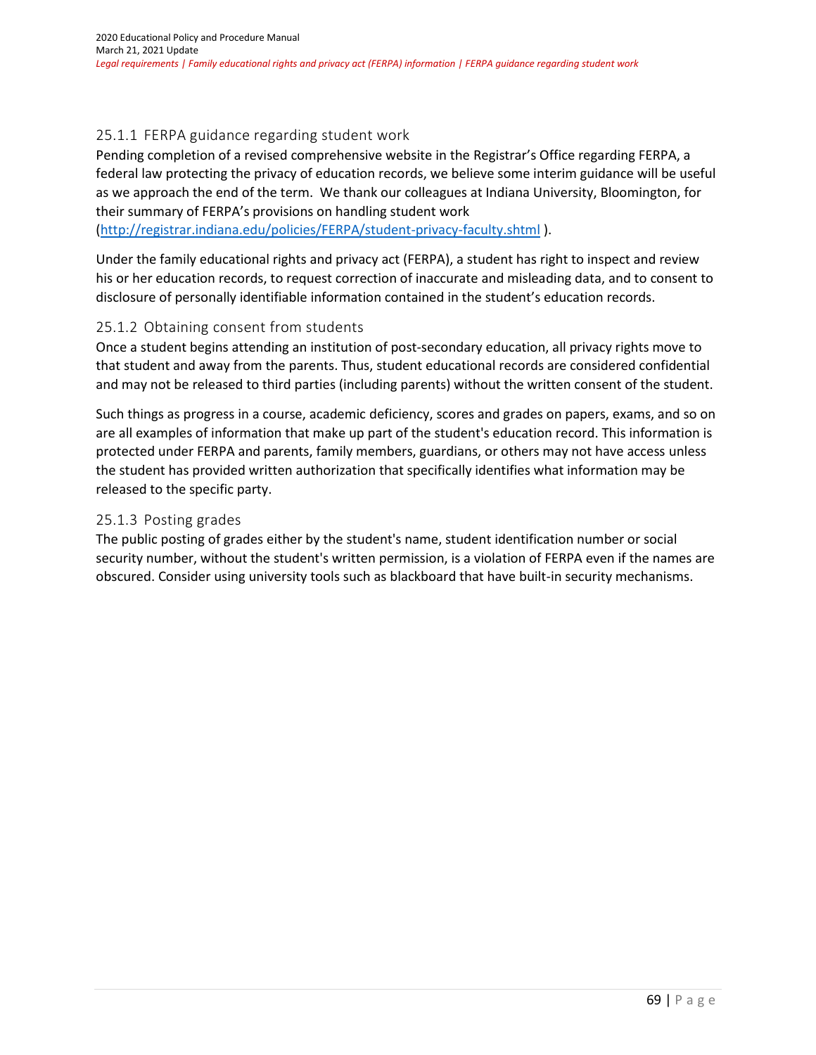## 25.1.1 FERPA guidance regarding student work

Pending completion of a revised comprehensive website in the Registrar's Office regarding FERPA, a federal law protecting the privacy of education records, we believe some interim guidance will be useful as we approach the end of the term. We thank our colleagues at Indiana University, Bloomington, for their summary of FERPA's provisions on handling student work

[\(http://registrar.indiana.edu/policies/FERPA/student-privacy-faculty.shtml](http://registrar.indiana.edu/policies/ferpa/student-privacy-faculty.shtml) ).

Under the family educational rights and privacy act (FERPA), a student has right to inspect and review his or her education records, to request correction of inaccurate and misleading data, and to consent to disclosure of personally identifiable information contained in the student's education records.

#### 25.1.2 Obtaining consent from students

Once a student begins attending an institution of post-secondary education, all privacy rights move to that student and away from the parents. Thus, student educational records are considered confidential and may not be released to third parties (including parents) without the written consent of the student.

Such things as progress in a course, academic deficiency, scores and grades on papers, exams, and so on are all examples of information that make up part of the student's education record. This information is protected under FERPA and parents, family members, guardians, or others may not have access unless the student has provided written authorization that specifically identifies what information may be released to the specific party.

#### 25.1.3 Posting grades

The public posting of grades either by the student's name, student identification number or social security number, without the student's written permission, is a violation of FERPA even if the names are obscured. Consider using university tools such as blackboard that have built-in security mechanisms.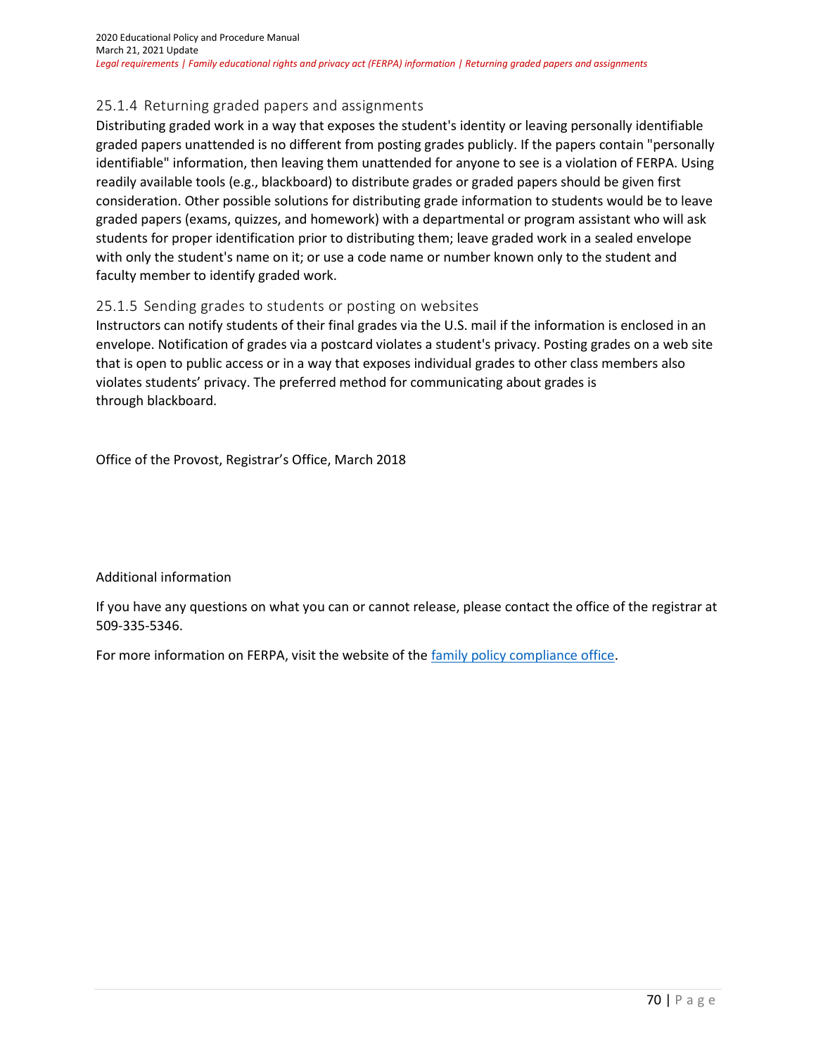### 25.1.4 Returning graded papers and assignments

Distributing graded work in a way that exposes the student's identity or leaving personally identifiable graded papers unattended is no different from posting grades publicly. If the papers contain "personally identifiable" information, then leaving them unattended for anyone to see is a violation of FERPA. Using readily available tools (e.g., blackboard) to distribute grades or graded papers should be given first consideration. Other possible solutions for distributing grade information to students would be to leave graded papers (exams, quizzes, and homework) with a departmental or program assistant who will ask students for proper identification prior to distributing them; leave graded work in a sealed envelope with only the student's name on it; or use a code name or number known only to the student and faculty member to identify graded work.

### 25.1.5 Sending grades to students or posting on websites

Instructors can notify students of their final grades via the U.S. mail if the information is enclosed in an envelope. Notification of grades via a postcard violates a student's privacy. Posting grades on a web site that is open to public access or in a way that exposes individual grades to other class members also violates students' privacy. The preferred method for communicating about grades is through blackboard.

Office of the Provost, Registrar's Office, March 2018

#### Additional information

If you have any questions on what you can or cannot release, please contact the office of the registrar at 509-335-5346.

For more information on FERPA, visit the website of the [family policy compliance office.](http://www.ed.gov/offices/OM/fpco/index.html)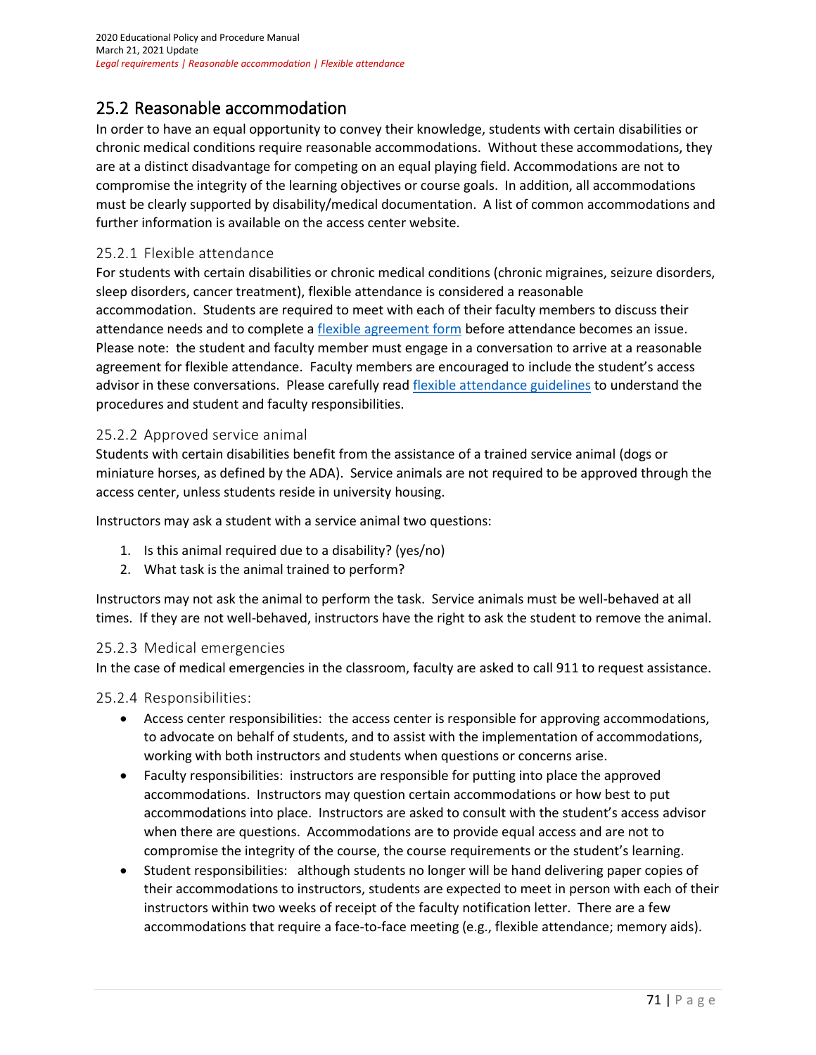# 25.2 Reasonable accommodation

In order to have an equal opportunity to convey their knowledge, students with certain disabilities or chronic medical conditions require reasonable accommodations. Without these accommodations, they are at a distinct disadvantage for competing on an equal playing field. Accommodations are not to compromise the integrity of the learning objectives or course goals. In addition, all accommodations must be clearly supported by disability/medical documentation. A list of common accommodations and further information is available on the access center website.

## 25.2.1 Flexible attendance

For students with certain disabilities or chronic medical conditions (chronic migraines, seizure disorders, sleep disorders, cancer treatment), flexible attendance is considered a reasonable accommodation. Students are required to meet with each of their faculty members to discuss their attendance needs and to complete a [flexible agreement form](http://accesscenter.wsu.edu/media/119835/flexible-attendance-form-final.pdf) before attendance becomes an issue. Please note: the student and faculty member must engage in a conversation to arrive at a reasonable agreement for flexible attendance. Faculty members are encouraged to include the student's access advisor in these conversations. Please carefully read [flexible attendance guidelines](http://accesscenter.wsu.edu/media/119834/flexibleattendanceguidelinesaccesscenter.pdf) to understand the procedures and student and faculty responsibilities.

### 25.2.2 Approved service animal

Students with certain disabilities benefit from the assistance of a trained service animal (dogs or miniature horses, as defined by the ADA). Service animals are not required to be approved through the access center, unless students reside in university housing.

Instructors may ask a student with a service animal two questions:

- 1. Is this animal required due to a disability? (yes/no)
- 2. What task is the animal trained to perform?

Instructors may not ask the animal to perform the task. Service animals must be well-behaved at all times. If they are not well-behaved, instructors have the right to ask the student to remove the animal.

#### 25.2.3 Medical emergencies

In the case of medical emergencies in the classroom, faculty are asked to call 911 to request assistance.

25.2.4 Responsibilities:

- Access center responsibilities: the access center is responsible for approving accommodations, to advocate on behalf of students, and to assist with the implementation of accommodations, working with both instructors and students when questions or concerns arise.
- Faculty responsibilities: instructors are responsible for putting into place the approved accommodations. Instructors may question certain accommodations or how best to put accommodations into place. Instructors are asked to consult with the student's access advisor when there are questions. Accommodations are to provide equal access and are not to compromise the integrity of the course, the course requirements or the student's learning.
- Student responsibilities: although students no longer will be hand delivering paper copies of their accommodations to instructors, students are expected to meet in person with each of their instructors within two weeks of receipt of the faculty notification letter. There are a few accommodations that require a face-to-face meeting (e.g., flexible attendance; memory aids).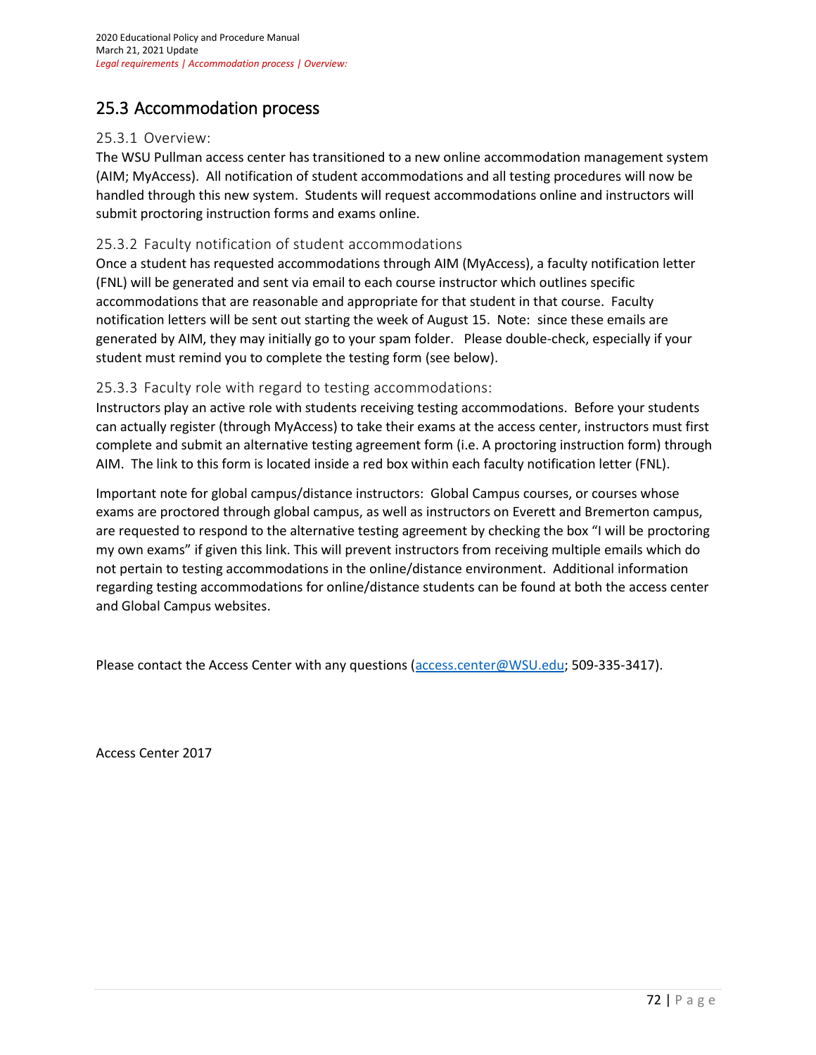# 25.3 Accommodation process

#### 25.3.1 Overview:

The WSU Pullman access center has transitioned to a new online accommodation management system (AIM; MyAccess). All notification of student accommodations and all testing procedures will now be handled through this new system. Students will request accommodations online and instructors will submit proctoring instruction forms and exams online.

### 25.3.2 Faculty notification of student accommodations

Once a student has requested accommodations through AIM (MyAccess), a faculty notification letter (FNL) will be generated and sent via email to each course instructor which outlines specific accommodations that are reasonable and appropriate for that student in that course. Faculty notification letters will be sent out starting the week of August 15. Note: since these emails are generated by AIM, they may initially go to your spam folder. Please double-check, especially if your student must remind you to complete the testing form (see below).

### 25.3.3 Faculty role with regard to testing accommodations:

Instructors play an active role with students receiving testing accommodations. Before your students can actually register (through MyAccess) to take their exams at the access center, instructors must first complete and submit an alternative testing agreement form (i.e. A proctoring instruction form) through AIM. The link to this form is located inside a red box within each faculty notification letter (FNL).

Important note for global campus/distance instructors: Global Campus courses, or courses whose exams are proctored through global campus, as well as instructors on Everett and Bremerton campus, are requested to respond to the alternative testing agreement by checking the box "I will be proctoring my own exams" if given this link. This will prevent instructors from receiving multiple emails which do not pertain to testing accommodations in the online/distance environment. Additional information regarding testing accommodations for online/distance students can be found at both the access center and Global Campus websites.

Please contact the Access Center with any questions [\(access.center@WSU.edu;](mailto:access.center@wsu.edu) 509-335-3417).

Access Center 2017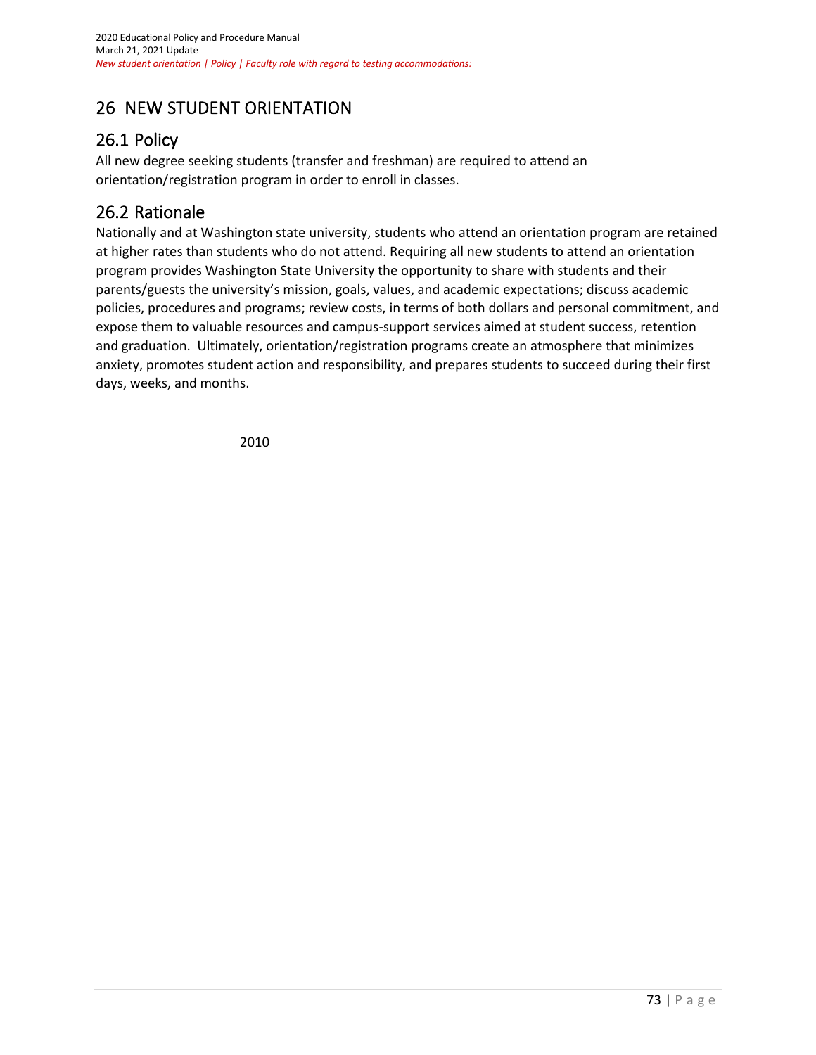# 26 NEW STUDENT ORIENTATION

# 26.1 Policy

All new degree seeking students (transfer and freshman) are required to attend an orientation/registration program in order to enroll in classes.

### 26.2 Rationale

Nationally and at Washington state university, students who attend an orientation program are retained at higher rates than students who do not attend. Requiring all new students to attend an orientation program provides Washington State University the opportunity to share with students and their parents/guests the university's mission, goals, values, and academic expectations; discuss academic policies, procedures and programs; review costs, in terms of both dollars and personal commitment, and expose them to valuable resources and campus-support services aimed at student success, retention and graduation. Ultimately, orientation/registration programs create an atmosphere that minimizes anxiety, promotes student action and responsibility, and prepares students to succeed during their first days, weeks, and months.

2010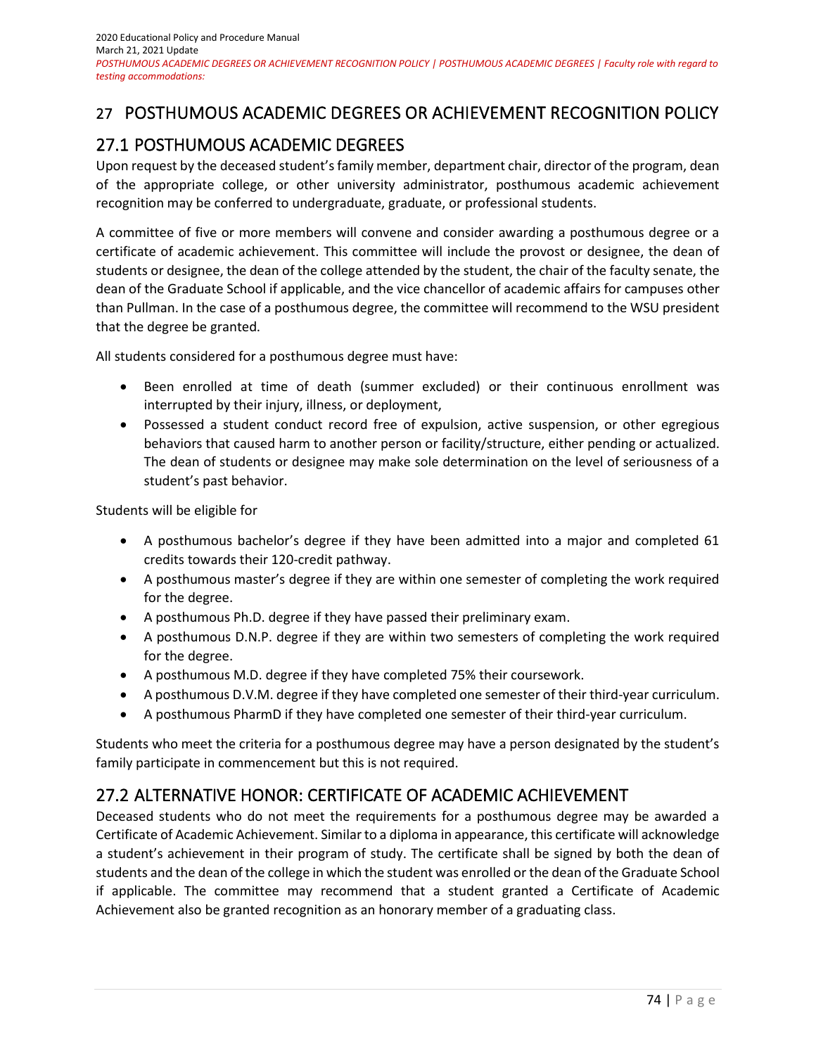### 27 POSTHUMOUS ACADEMIC DEGREES OR ACHIEVEMENT RECOGNITION POLICY

## 27.1 POSTHUMOUS ACADEMIC DEGREES

Upon request by the deceased student's family member, department chair, director of the program, dean of the appropriate college, or other university administrator, posthumous academic achievement recognition may be conferred to undergraduate, graduate, or professional students.

A committee of five or more members will convene and consider awarding a posthumous degree or a certificate of academic achievement. This committee will include the provost or designee, the dean of students or designee, the dean of the college attended by the student, the chair of the faculty senate, the dean of the Graduate School if applicable, and the vice chancellor of academic affairs for campuses other than Pullman. In the case of a posthumous degree, the committee will recommend to the WSU president that the degree be granted.

All students considered for a posthumous degree must have:

- Been enrolled at time of death (summer excluded) or their continuous enrollment was interrupted by their injury, illness, or deployment,
- Possessed a student conduct record free of expulsion, active suspension, or other egregious behaviors that caused harm to another person or facility/structure, either pending or actualized. The dean of students or designee may make sole determination on the level of seriousness of a student's past behavior.

Students will be eligible for

- A posthumous bachelor's degree if they have been admitted into a major and completed 61 credits towards their 120-credit pathway.
- A posthumous master's degree if they are within one semester of completing the work required for the degree.
- A posthumous Ph.D. degree if they have passed their preliminary exam.
- A posthumous D.N.P. degree if they are within two semesters of completing the work required for the degree.
- A posthumous M.D. degree if they have completed 75% their coursework.
- A posthumous D.V.M. degree if they have completed one semester of their third-year curriculum.
- A posthumous PharmD if they have completed one semester of their third-year curriculum.

Students who meet the criteria for a posthumous degree may have a person designated by the student's family participate in commencement but this is not required.

### 27.2 ALTERNATIVE HONOR: CERTIFICATE OF ACADEMIC ACHIEVEMENT

Deceased students who do not meet the requirements for a posthumous degree may be awarded a Certificate of Academic Achievement. Similar to a diploma in appearance, this certificate will acknowledge a student's achievement in their program of study. The certificate shall be signed by both the dean of students and the dean of the college in which the student was enrolled or the dean of the Graduate School if applicable. The committee may recommend that a student granted a Certificate of Academic Achievement also be granted recognition as an honorary member of a graduating class.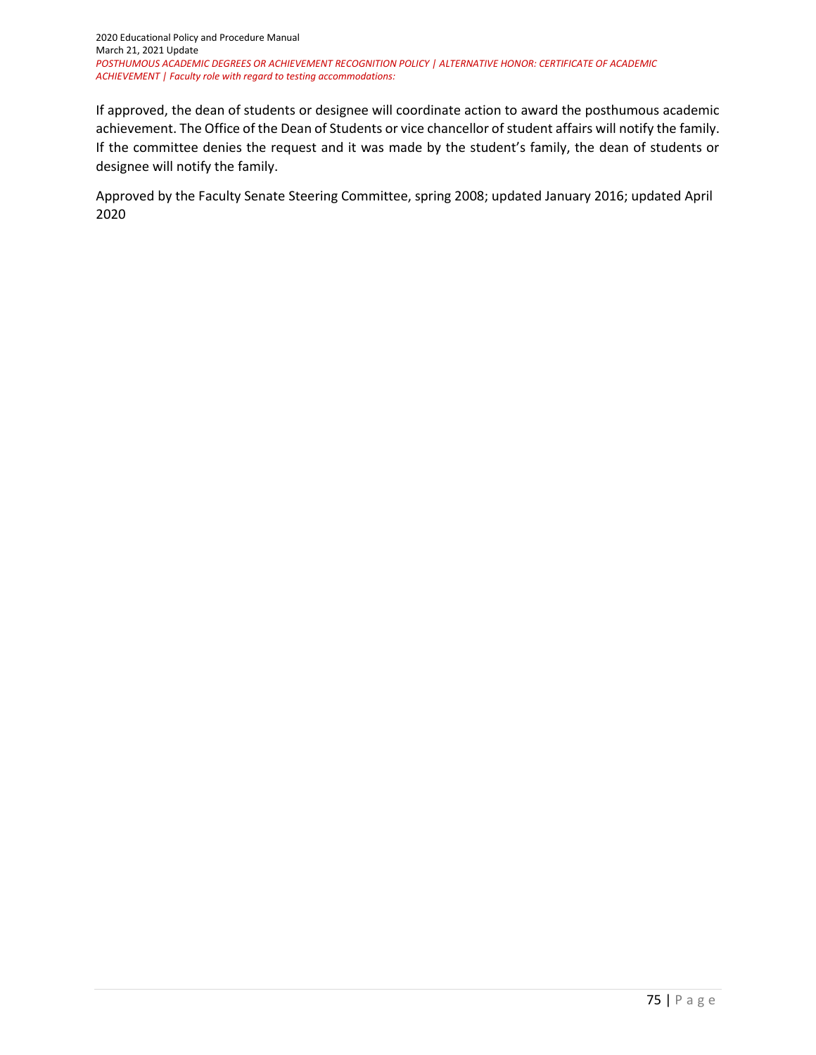If approved, the dean of students or designee will coordinate action to award the posthumous academic achievement. The Office of the Dean of Students or vice chancellor of student affairs will notify the family. If the committee denies the request and it was made by the student's family, the dean of students or designee will notify the family.

Approved by the Faculty Senate Steering Committee, spring 2008; updated January 2016; updated April 2020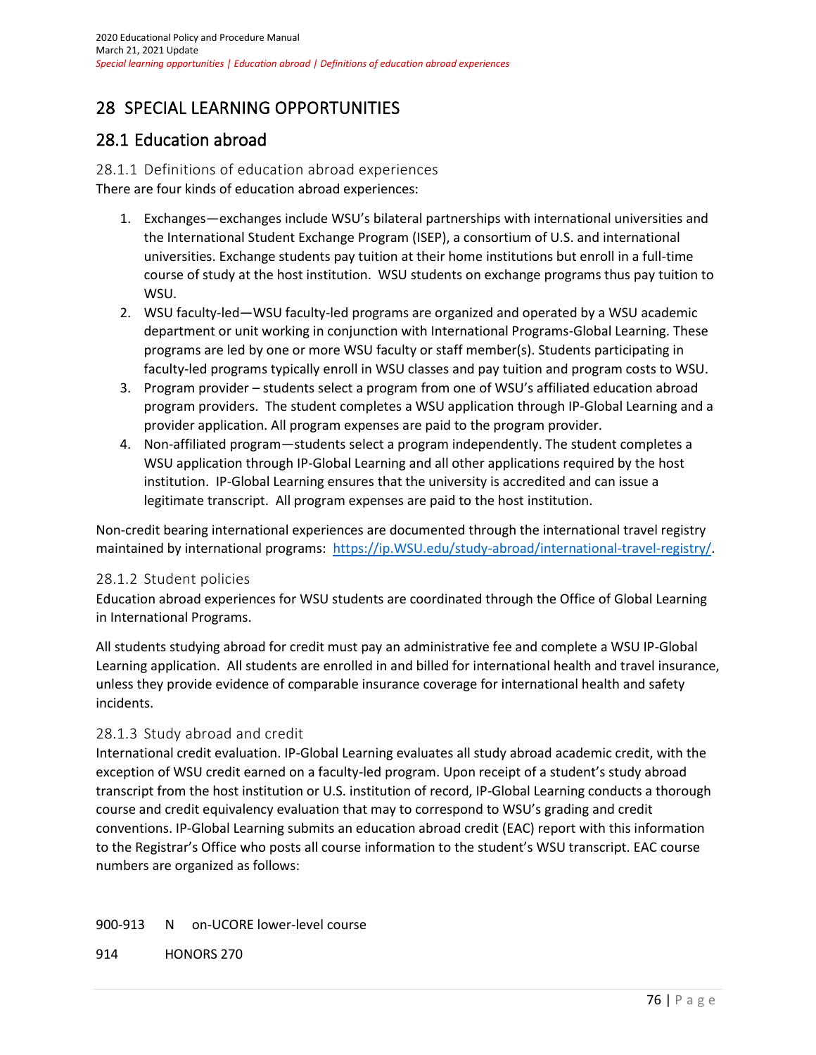# 28 SPECIAL LEARNING OPPORTUNITIES

### 28.1 Education abroad

28.1.1 Definitions of education abroad experiences There are four kinds of education abroad experiences:

- 1. Exchanges—exchanges include WSU's bilateral partnerships with international universities and the International Student Exchange Program (ISEP), a consortium of U.S. and international universities. Exchange students pay tuition at their home institutions but enroll in a full-time course of study at the host institution. WSU students on exchange programs thus pay tuition to WSU.
- 2. WSU faculty-led—WSU faculty-led programs are organized and operated by a WSU academic department or unit working in conjunction with International Programs-Global Learning. These programs are led by one or more WSU faculty or staff member(s). Students participating in faculty-led programs typically enroll in WSU classes and pay tuition and program costs to WSU.
- 3. Program provider students select a program from one of WSU's affiliated education abroad program providers. The student completes a WSU application through IP-Global Learning and a provider application. All program expenses are paid to the program provider.
- 4. Non-affiliated program—students select a program independently. The student completes a WSU application through IP-Global Learning and all other applications required by the host institution. IP-Global Learning ensures that the university is accredited and can issue a legitimate transcript. All program expenses are paid to the host institution.

Non-credit bearing international experiences are documented through the international travel registry maintained by international programs: https://ip.WSU.edu/study-abroad/international-travel-registry/

#### 28.1.2 Student policies

Education abroad experiences for WSU students are coordinated through the Office of Global Learning in International Programs.

All students studying abroad for credit must pay an administrative fee and complete a WSU IP-Global Learning application. All students are enrolled in and billed for international health and travel insurance, unless they provide evidence of comparable insurance coverage for international health and safety incidents.

#### 28.1.3 Study abroad and credit

International credit evaluation. IP-Global Learning evaluates all study abroad academic credit, with the exception of WSU credit earned on a faculty-led program. Upon receipt of a student's study abroad transcript from the host institution or U.S. institution of record, IP-Global Learning conducts a thorough course and credit equivalency evaluation that may to correspond to WSU's grading and credit conventions. IP-Global Learning submits an education abroad credit (EAC) report with this information to the Registrar's Office who posts all course information to the student's WSU transcript. EAC course numbers are organized as follows:

900-913 N on-UCORE lower-level course

914 HONORS 270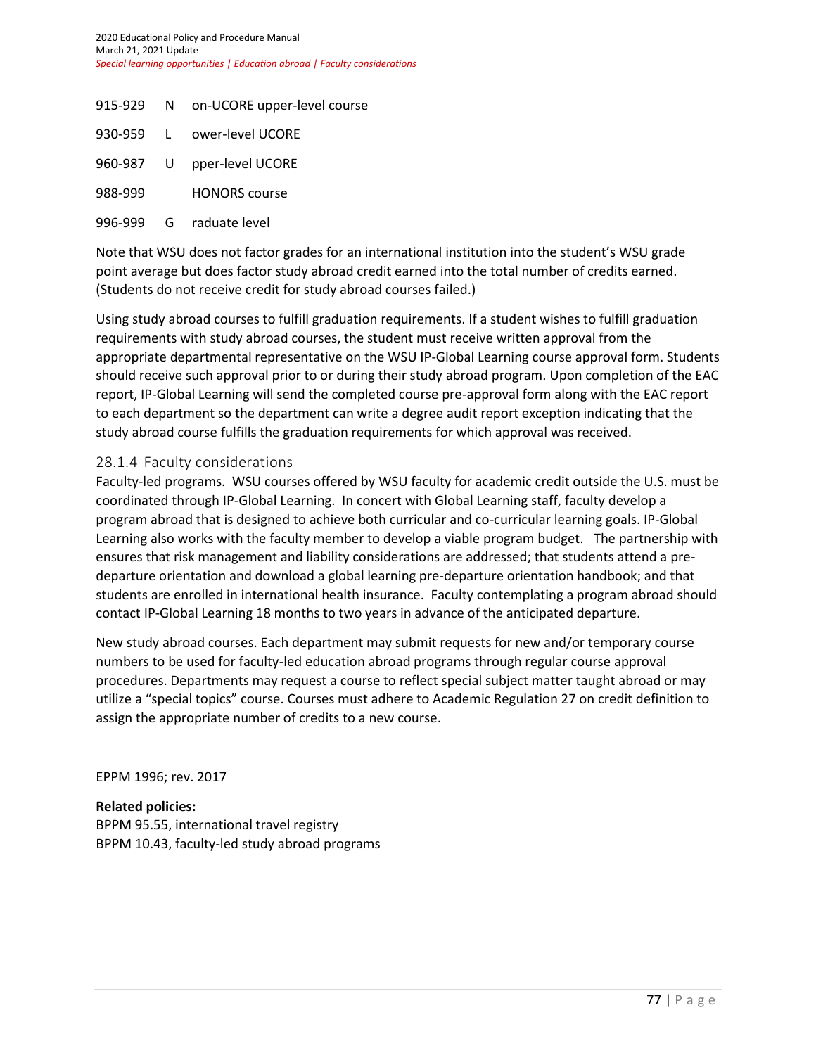2020 Educational Policy and Procedure Manual March 21, 2021 Update *Special learning opportunities | Education abroad | Faculty considerations*

|         | 915-929 N on-UCORE upper-level course |
|---------|---------------------------------------|
|         | 930-959 L ower-level UCORE            |
|         | 960-987 U pper-level UCORE            |
| 988-999 | <b>HONORS</b> course                  |
|         | 996-999 G raduate level               |

Note that WSU does not factor grades for an international institution into the student's WSU grade point average but does factor study abroad credit earned into the total number of credits earned. (Students do not receive credit for study abroad courses failed.)

Using study abroad courses to fulfill graduation requirements. If a student wishes to fulfill graduation requirements with study abroad courses, the student must receive written approval from the appropriate departmental representative on the WSU IP-Global Learning course approval form. Students should receive such approval prior to or during their study abroad program. Upon completion of the EAC report, IP-Global Learning will send the completed course pre-approval form along with the EAC report to each department so the department can write a degree audit report exception indicating that the study abroad course fulfills the graduation requirements for which approval was received.

#### 28.1.4 Faculty considerations

Faculty-led programs. WSU courses offered by WSU faculty for academic credit outside the U.S. must be coordinated through IP-Global Learning. In concert with Global Learning staff, faculty develop a program abroad that is designed to achieve both curricular and co-curricular learning goals. IP-Global Learning also works with the faculty member to develop a viable program budget. The partnership with ensures that risk management and liability considerations are addressed; that students attend a predeparture orientation and download a global learning pre-departure orientation handbook; and that students are enrolled in international health insurance. Faculty contemplating a program abroad should contact IP-Global Learning 18 months to two years in advance of the anticipated departure.

New study abroad courses. Each department may submit requests for new and/or temporary course numbers to be used for faculty-led education abroad programs through regular course approval procedures. Departments may request a course to reflect special subject matter taught abroad or may utilize a "special topics" course. Courses must adhere to Academic Regulation 27 on credit definition to assign the appropriate number of credits to a new course.

EPPM 1996; rev. 2017

#### **Related policies:**

BPPM 95.55, international travel registry BPPM 10.43, faculty-led study abroad programs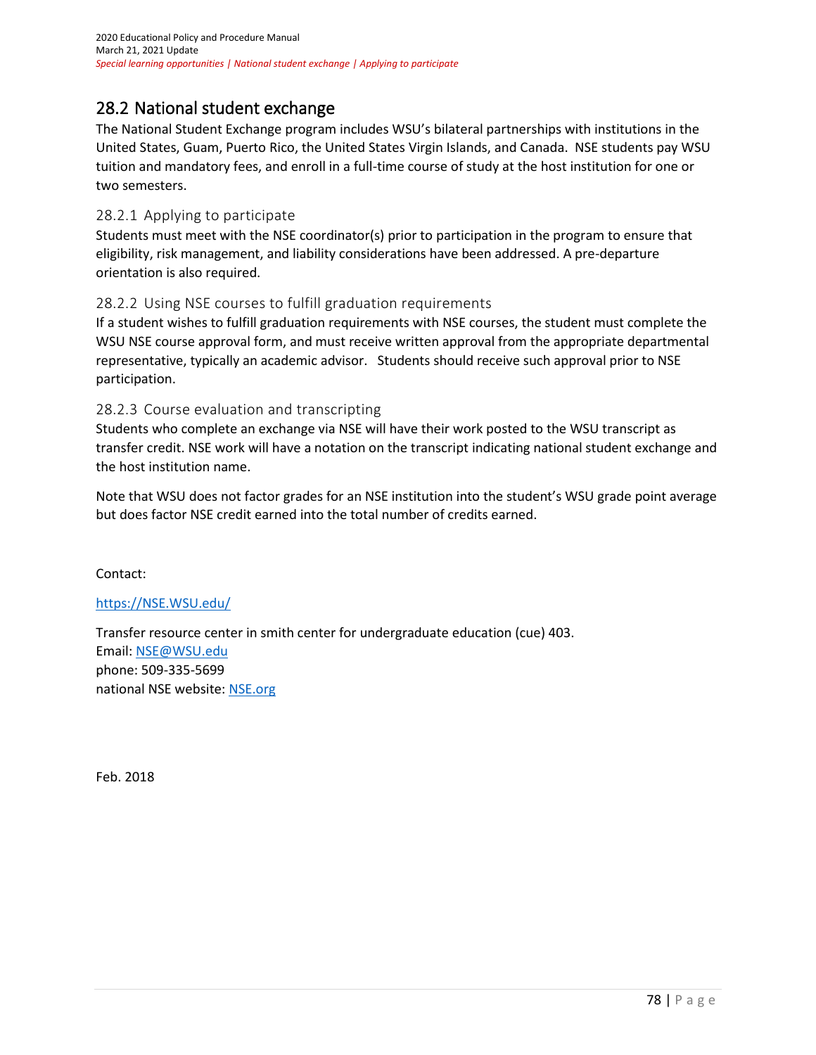### 28.2 National student exchange

The National Student Exchange program includes WSU's bilateral partnerships with institutions in the United States, Guam, Puerto Rico, the United States Virgin Islands, and Canada. NSE students pay WSU tuition and mandatory fees, and enroll in a full-time course of study at the host institution for one or two semesters.

#### 28.2.1 Applying to participate

Students must meet with the NSE coordinator(s) prior to participation in the program to ensure that eligibility, risk management, and liability considerations have been addressed. A pre-departure orientation is also required.

#### 28.2.2 Using NSE courses to fulfill graduation requirements

If a student wishes to fulfill graduation requirements with NSE courses, the student must complete the WSU NSE course approval form, and must receive written approval from the appropriate departmental representative, typically an academic advisor. Students should receive such approval prior to NSE participation.

#### 28.2.3 Course evaluation and transcripting

Students who complete an exchange via NSE will have their work posted to the WSU transcript as transfer credit. NSE work will have a notation on the transcript indicating national student exchange and the host institution name.

Note that WSU does not factor grades for an NSE institution into the student's WSU grade point average but does factor NSE credit earned into the total number of credits earned.

Contact:

#### [https://NSE.WSU.edu/](https://nse.wsu.edu/)

Transfer resource center in smith center for undergraduate education (cue) 403. Email: [NSE@WSU.edu](mailto:nse@wsu.edu) phone: 509-335-5699 national NSE website: [NSE.org](http://www.nse.org/)

Feb. 2018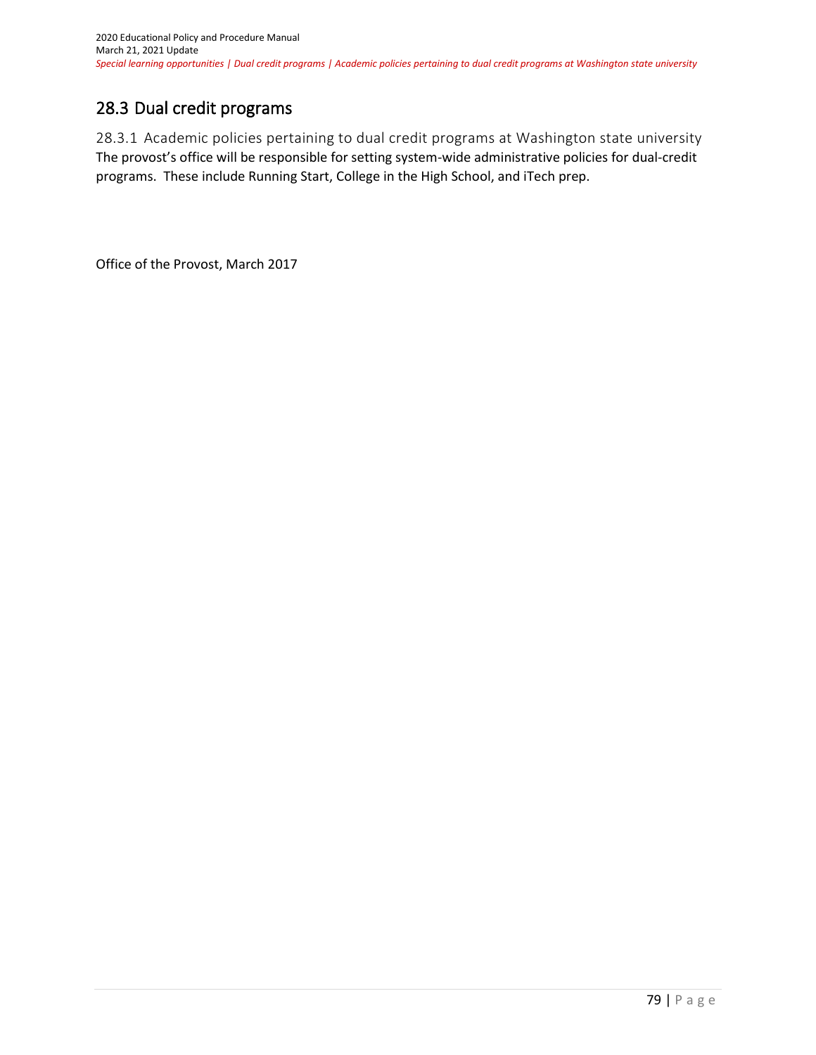## 28.3 Dual credit programs

28.3.1 Academic policies pertaining to dual credit programs at Washington state university The provost's office will be responsible for setting system-wide administrative policies for dual-credit programs. These include Running Start, College in the High School, and iTech prep.

Office of the Provost, March 2017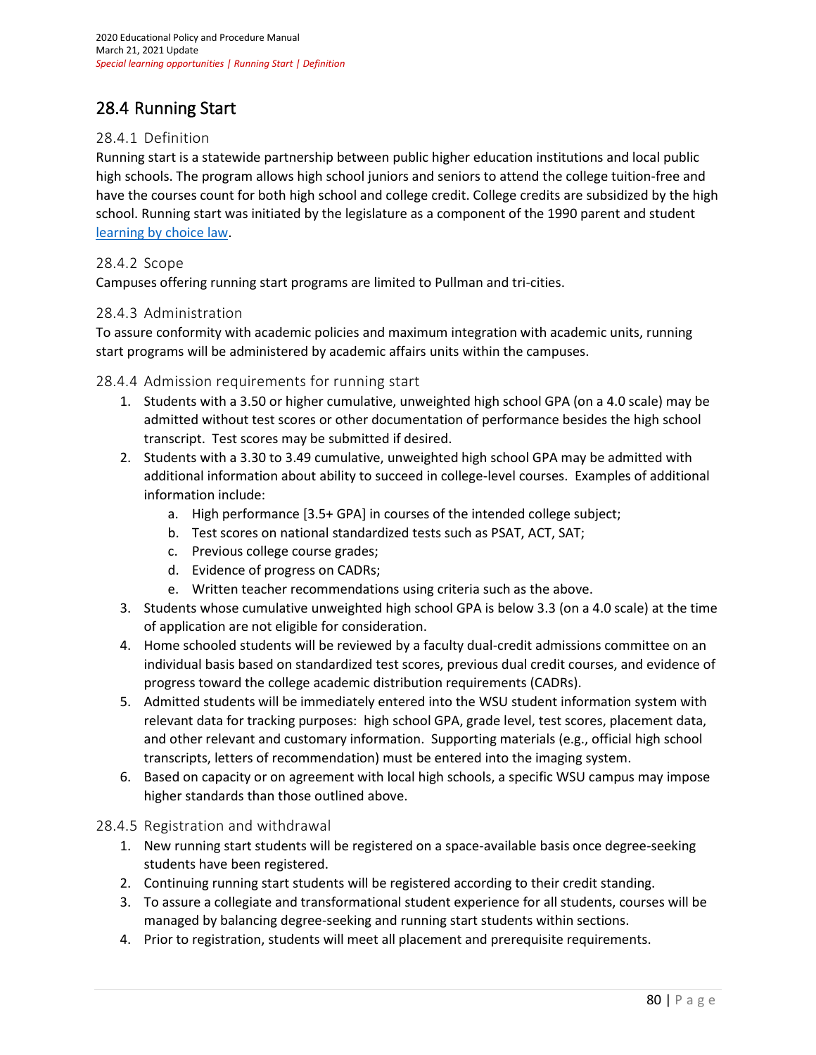### 28.4 Running Start

#### 28.4.1 Definition

Running start is a statewide partnership between public higher education institutions and local public high schools. The program allows high school juniors and seniors to attend the college tuition-free and have the courses count for both high school and college credit. College credits are subsidized by the high school. Running start was initiated by the legislature as a component of the 1990 parent and student [learning by choice law.](http://www.k12.wa.us/GeneralInfo/EnrollmentOptions.aspx)

#### 28.4.2 Scope

Campuses offering running start programs are limited to Pullman and tri-cities.

#### 28.4.3 Administration

To assure conformity with academic policies and maximum integration with academic units, running start programs will be administered by academic affairs units within the campuses.

#### 28.4.4 Admission requirements for running start

- 1. Students with a 3.50 or higher cumulative, unweighted high school GPA (on a 4.0 scale) may be admitted without test scores or other documentation of performance besides the high school transcript. Test scores may be submitted if desired.
- 2. Students with a 3.30 to 3.49 cumulative, unweighted high school GPA may be admitted with additional information about ability to succeed in college-level courses. Examples of additional information include:
	- a. High performance [3.5+ GPA] in courses of the intended college subject;
	- b. Test scores on national standardized tests such as PSAT, ACT, SAT;
	- c. Previous college course grades;
	- d. Evidence of progress on CADRs;
	- e. Written teacher recommendations using criteria such as the above.
- 3. Students whose cumulative unweighted high school GPA is below 3.3 (on a 4.0 scale) at the time of application are not eligible for consideration.
- 4. Home schooled students will be reviewed by a faculty dual-credit admissions committee on an individual basis based on standardized test scores, previous dual credit courses, and evidence of progress toward the college academic distribution requirements (CADRs).
- 5. Admitted students will be immediately entered into the WSU student information system with relevant data for tracking purposes: high school GPA, grade level, test scores, placement data, and other relevant and customary information. Supporting materials (e.g., official high school transcripts, letters of recommendation) must be entered into the imaging system.
- 6. Based on capacity or on agreement with local high schools, a specific WSU campus may impose higher standards than those outlined above.

#### 28.4.5 Registration and withdrawal

- 1. New running start students will be registered on a space-available basis once degree-seeking students have been registered.
- 2. Continuing running start students will be registered according to their credit standing.
- 3. To assure a collegiate and transformational student experience for all students, courses will be managed by balancing degree-seeking and running start students within sections.
- 4. Prior to registration, students will meet all placement and prerequisite requirements.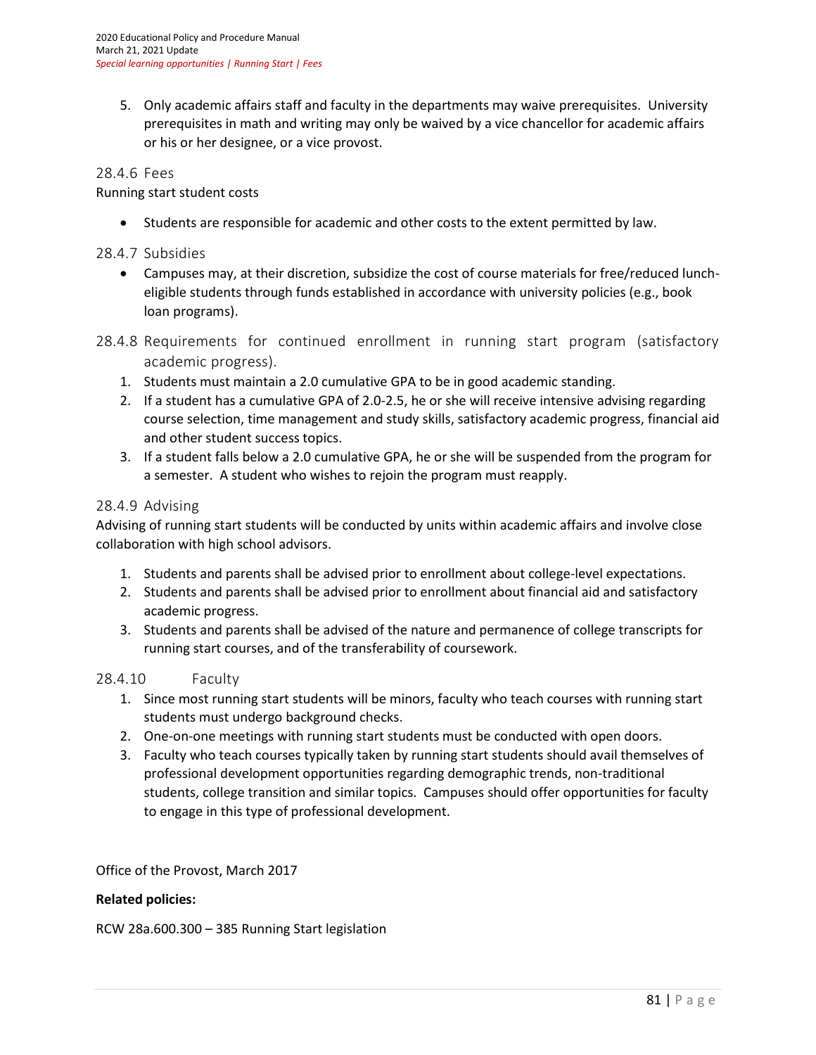5. Only academic affairs staff and faculty in the departments may waive prerequisites. University prerequisites in math and writing may only be waived by a vice chancellor for academic affairs or his or her designee, or a vice provost.

#### 28.4.6 Fees

#### Running start student costs

• Students are responsible for academic and other costs to the extent permitted by law.

#### 28.4.7 Subsidies

- Campuses may, at their discretion, subsidize the cost of course materials for free/reduced luncheligible students through funds established in accordance with university policies (e.g., book loan programs).
- 28.4.8 Requirements for continued enrollment in running start program (satisfactory academic progress).
	- 1. Students must maintain a 2.0 cumulative GPA to be in good academic standing.
	- 2. If a student has a cumulative GPA of 2.0-2.5, he or she will receive intensive advising regarding course selection, time management and study skills, satisfactory academic progress, financial aid and other student success topics.
	- 3. If a student falls below a 2.0 cumulative GPA, he or she will be suspended from the program for a semester. A student who wishes to rejoin the program must reapply.

#### 28.4.9 Advising

Advising of running start students will be conducted by units within academic affairs and involve close collaboration with high school advisors.

- 1. Students and parents shall be advised prior to enrollment about college-level expectations.
- 2. Students and parents shall be advised prior to enrollment about financial aid and satisfactory academic progress.
- 3. Students and parents shall be advised of the nature and permanence of college transcripts for running start courses, and of the transferability of coursework.

#### 28.4.10 Faculty

- 1. Since most running start students will be minors, faculty who teach courses with running start students must undergo background checks.
- 2. One-on-one meetings with running start students must be conducted with open doors.
- 3. Faculty who teach courses typically taken by running start students should avail themselves of professional development opportunities regarding demographic trends, non-traditional students, college transition and similar topics. Campuses should offer opportunities for faculty to engage in this type of professional development.

Office of the Provost, March 2017

#### **Related policies:**

#### RCW 28a.600.300 – 385 Running Start legislation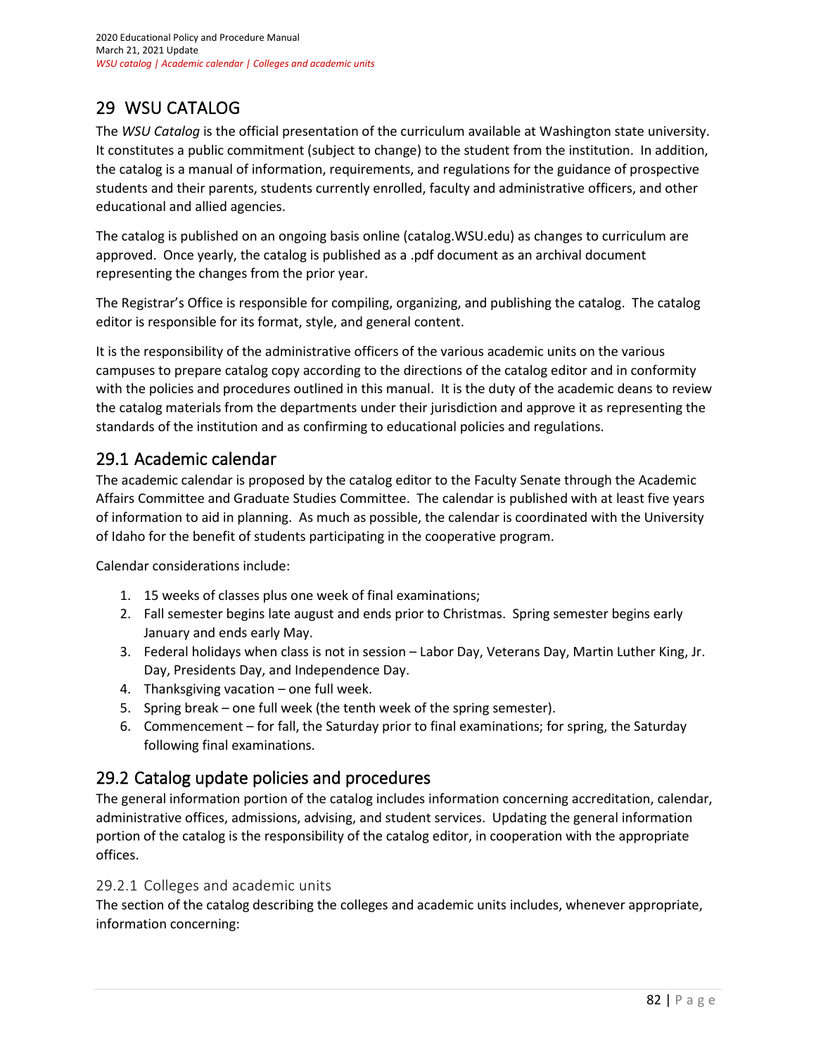# 29 WSU CATALOG

The *WSU Catalog* is the official presentation of the curriculum available at Washington state university. It constitutes a public commitment (subject to change) to the student from the institution. In addition, the catalog is a manual of information, requirements, and regulations for the guidance of prospective students and their parents, students currently enrolled, faculty and administrative officers, and other educational and allied agencies.

The catalog is published on an ongoing basis online (catalog.WSU.edu) as changes to curriculum are approved. Once yearly, the catalog is published as a .pdf document as an archival document representing the changes from the prior year.

The Registrar's Office is responsible for compiling, organizing, and publishing the catalog. The catalog editor is responsible for its format, style, and general content.

It is the responsibility of the administrative officers of the various academic units on the various campuses to prepare catalog copy according to the directions of the catalog editor and in conformity with the policies and procedures outlined in this manual. It is the duty of the academic deans to review the catalog materials from the departments under their jurisdiction and approve it as representing the standards of the institution and as confirming to educational policies and regulations.

### 29.1 Academic calendar

The academic calendar is proposed by the catalog editor to the Faculty Senate through the Academic Affairs Committee and Graduate Studies Committee. The calendar is published with at least five years of information to aid in planning. As much as possible, the calendar is coordinated with the University of Idaho for the benefit of students participating in the cooperative program.

Calendar considerations include:

- 1. 15 weeks of classes plus one week of final examinations;
- 2. Fall semester begins late august and ends prior to Christmas. Spring semester begins early January and ends early May.
- 3. Federal holidays when class is not in session Labor Day, Veterans Day, Martin Luther King, Jr. Day, Presidents Day, and Independence Day.
- 4. Thanksgiving vacation one full week.
- 5. Spring break one full week (the tenth week of the spring semester).
- 6. Commencement for fall, the Saturday prior to final examinations; for spring, the Saturday following final examinations.

### 29.2 Catalog update policies and procedures

The general information portion of the catalog includes information concerning accreditation, calendar, administrative offices, admissions, advising, and student services. Updating the general information portion of the catalog is the responsibility of the catalog editor, in cooperation with the appropriate offices.

#### 29.2.1 Colleges and academic units

The section of the catalog describing the colleges and academic units includes, whenever appropriate, information concerning: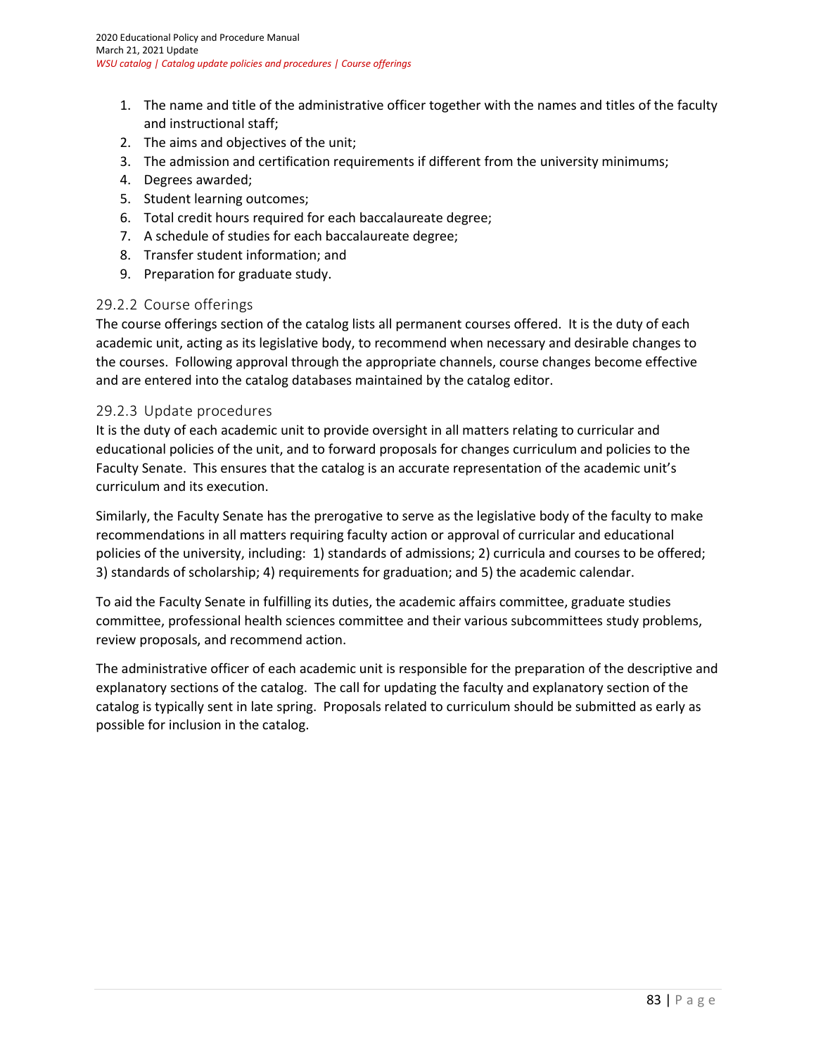- 1. The name and title of the administrative officer together with the names and titles of the faculty and instructional staff;
- 2. The aims and objectives of the unit;
- 3. The admission and certification requirements if different from the university minimums;
- 4. Degrees awarded;
- 5. Student learning outcomes;
- 6. Total credit hours required for each baccalaureate degree;
- 7. A schedule of studies for each baccalaureate degree;
- 8. Transfer student information; and
- 9. Preparation for graduate study.

#### 29.2.2 Course offerings

The course offerings section of the catalog lists all permanent courses offered. It is the duty of each academic unit, acting as its legislative body, to recommend when necessary and desirable changes to the courses. Following approval through the appropriate channels, course changes become effective and are entered into the catalog databases maintained by the catalog editor.

#### 29.2.3 Update procedures

It is the duty of each academic unit to provide oversight in all matters relating to curricular and educational policies of the unit, and to forward proposals for changes curriculum and policies to the Faculty Senate. This ensures that the catalog is an accurate representation of the academic unit's curriculum and its execution.

Similarly, the Faculty Senate has the prerogative to serve as the legislative body of the faculty to make recommendations in all matters requiring faculty action or approval of curricular and educational policies of the university, including: 1) standards of admissions; 2) curricula and courses to be offered; 3) standards of scholarship; 4) requirements for graduation; and 5) the academic calendar.

To aid the Faculty Senate in fulfilling its duties, the academic affairs committee, graduate studies committee, professional health sciences committee and their various subcommittees study problems, review proposals, and recommend action.

The administrative officer of each academic unit is responsible for the preparation of the descriptive and explanatory sections of the catalog. The call for updating the faculty and explanatory section of the catalog is typically sent in late spring. Proposals related to curriculum should be submitted as early as possible for inclusion in the catalog.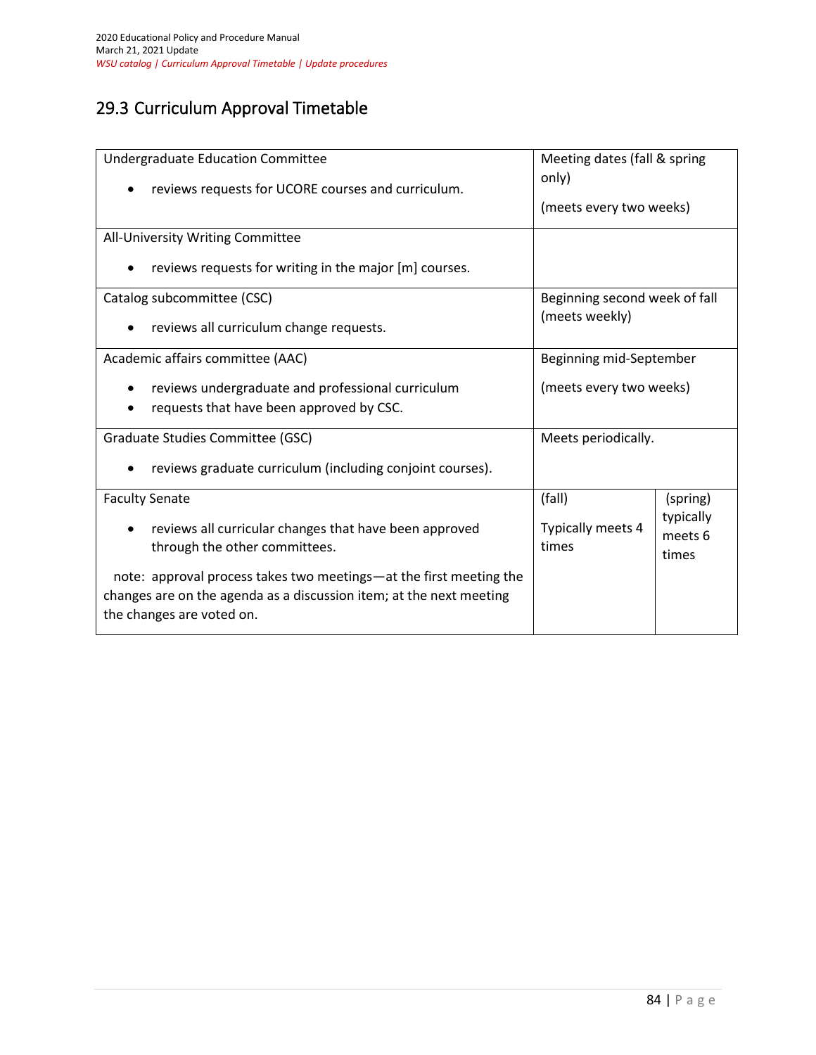# 29.3 Curriculum Approval Timetable

| <b>Undergraduate Education Committee</b><br>reviews requests for UCORE courses and curriculum.                                                                         | Meeting dates (fall & spring<br>only)           |                               |
|------------------------------------------------------------------------------------------------------------------------------------------------------------------------|-------------------------------------------------|-------------------------------|
|                                                                                                                                                                        | (meets every two weeks)                         |                               |
| All-University Writing Committee                                                                                                                                       |                                                 |                               |
| reviews requests for writing in the major [m] courses.                                                                                                                 |                                                 |                               |
| Catalog subcommittee (CSC)                                                                                                                                             | Beginning second week of fall<br>(meets weekly) |                               |
| reviews all curriculum change requests.                                                                                                                                |                                                 |                               |
| Academic affairs committee (AAC)                                                                                                                                       | Beginning mid-September                         |                               |
| reviews undergraduate and professional curriculum<br>requests that have been approved by CSC.                                                                          | (meets every two weeks)                         |                               |
| Graduate Studies Committee (GSC)                                                                                                                                       | Meets periodically.                             |                               |
| reviews graduate curriculum (including conjoint courses).                                                                                                              |                                                 |                               |
| <b>Faculty Senate</b>                                                                                                                                                  | (fall)                                          | (spring)                      |
| reviews all curricular changes that have been approved<br>through the other committees.                                                                                | Typically meets 4<br>times                      | typically<br>meets 6<br>times |
| note: approval process takes two meetings—at the first meeting the<br>changes are on the agenda as a discussion item; at the next meeting<br>the changes are voted on. |                                                 |                               |